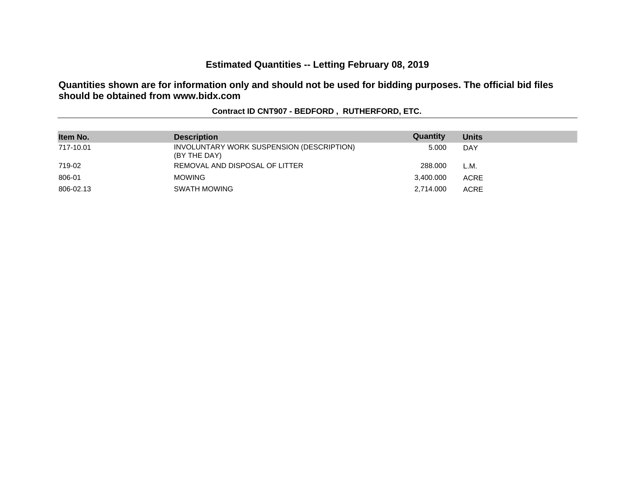# **Estimated Quantities -- Letting February 08, 2019**

**Quantities shown are for information only and should not be used for bidding purposes. The official bid files should be obtained from www.bidx.com**

| Item No.  | <b>Description</b>                                        | Quantity  | <b>Units</b> |
|-----------|-----------------------------------------------------------|-----------|--------------|
| 717-10.01 | INVOLUNTARY WORK SUSPENSION (DESCRIPTION)<br>(BY THE DAY) | 5.000     | <b>DAY</b>   |
| 719-02    | REMOVAL AND DISPOSAL OF LITTER                            | 288,000   | L.M.         |
| 806-01    | <b>MOWING</b>                                             | 3,400.000 | <b>ACRE</b>  |
| 806-02.13 | <b>SWATH MOWING</b>                                       | 2.714.000 | <b>ACRE</b>  |

#### **Contract ID CNT907 - BEDFORD , RUTHERFORD, ETC.**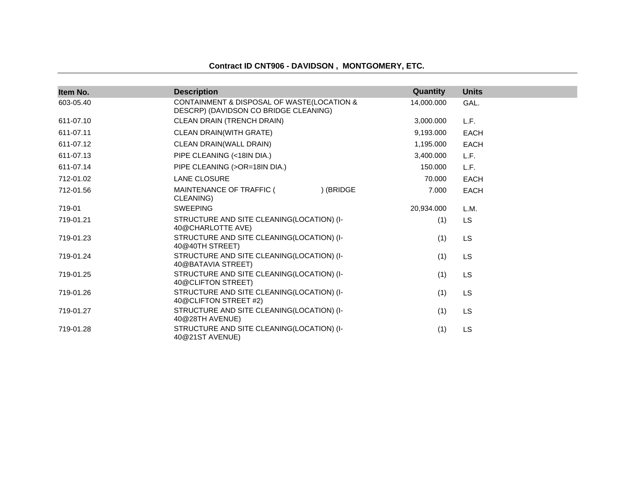#### **Contract ID CNT906 - DAVIDSON , MONTGOMERY, ETC.**

| Item No.  | <b>Description</b>                                                                  | Quantity   | <b>Units</b> |
|-----------|-------------------------------------------------------------------------------------|------------|--------------|
| 603-05.40 | CONTAINMENT & DISPOSAL OF WASTE(LOCATION &<br>DESCRP) (DAVIDSON CO BRIDGE CLEANING) | 14,000.000 | GAL.         |
| 611-07.10 | CLEAN DRAIN (TRENCH DRAIN)                                                          | 3,000.000  | L.F.         |
| 611-07.11 | CLEAN DRAIN(WITH GRATE)                                                             | 9,193.000  | <b>EACH</b>  |
| 611-07.12 | CLEAN DRAIN(WALL DRAIN)                                                             | 1,195.000  | <b>EACH</b>  |
| 611-07.13 | PIPE CLEANING (<18IN DIA.)                                                          | 3,400.000  | L.F.         |
| 611-07.14 | PIPE CLEANING (>OR=18IN DIA.)                                                       | 150.000    | L.F.         |
| 712-01.02 | <b>LANE CLOSURE</b>                                                                 | 70.000     | <b>EACH</b>  |
| 712-01.56 | ) (BRIDGE<br>MAINTENANCE OF TRAFFIC (<br>CLEANING)                                  | 7.000      | <b>EACH</b>  |
| 719-01    | <b>SWEEPING</b>                                                                     | 20,934.000 | L.M.         |
| 719-01.21 | STRUCTURE AND SITE CLEANING(LOCATION) (I-<br>40@CHARLOTTE AVE)                      | (1)        | <b>LS</b>    |
| 719-01.23 | STRUCTURE AND SITE CLEANING(LOCATION) (I-<br>40@40TH STREET)                        | (1)        | LS           |
| 719-01.24 | STRUCTURE AND SITE CLEANING(LOCATION) (I-<br>40@BATAVIA STREET)                     | (1)        | LS           |
| 719-01.25 | STRUCTURE AND SITE CLEANING(LOCATION) (I-<br>40@CLIFTON STREET)                     | (1)        | <b>LS</b>    |
| 719-01.26 | STRUCTURE AND SITE CLEANING(LOCATION) (I-<br>40@CLIFTON STREET #2)                  | (1)        | LS           |
| 719-01.27 | STRUCTURE AND SITE CLEANING(LOCATION) (I-<br>40@28TH AVENUE)                        | (1)        | LS           |
| 719-01.28 | STRUCTURE AND SITE CLEANING(LOCATION) (I-<br>40@21ST AVENUE)                        | (1)        | <b>LS</b>    |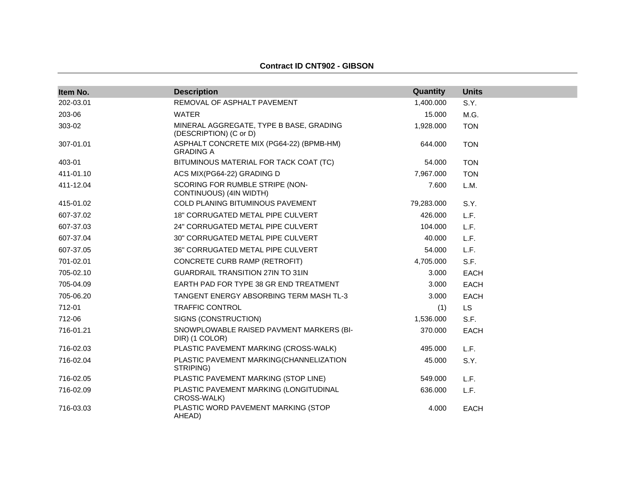| Item No.  | <b>Description</b>                                                | Quantity   | <b>Units</b> |
|-----------|-------------------------------------------------------------------|------------|--------------|
| 202-03.01 | REMOVAL OF ASPHALT PAVEMENT                                       | 1,400.000  | S.Y.         |
| 203-06    | <b>WATER</b>                                                      | 15.000     | M.G.         |
| 303-02    | MINERAL AGGREGATE, TYPE B BASE, GRADING<br>(DESCRIPTION) (C or D) | 1,928.000  | <b>TON</b>   |
| 307-01.01 | ASPHALT CONCRETE MIX (PG64-22) (BPMB-HM)<br><b>GRADING A</b>      | 644.000    | <b>TON</b>   |
| 403-01    | BITUMINOUS MATERIAL FOR TACK COAT (TC)                            | 54.000     | <b>TON</b>   |
| 411-01.10 | ACS MIX(PG64-22) GRADING D                                        | 7,967.000  | <b>TON</b>   |
| 411-12.04 | SCORING FOR RUMBLE STRIPE (NON-<br>CONTINUOUS) (4IN WIDTH)        | 7.600      | L.M.         |
| 415-01.02 | COLD PLANING BITUMINOUS PAVEMENT                                  | 79,283.000 | S.Y.         |
| 607-37.02 | 18" CORRUGATED METAL PIPE CULVERT                                 | 426.000    | L.F.         |
| 607-37.03 | 24" CORRUGATED METAL PIPE CULVERT                                 | 104.000    | L.F.         |
| 607-37.04 | 30" CORRUGATED METAL PIPE CULVERT                                 | 40.000     | L.F.         |
| 607-37.05 | 36" CORRUGATED METAL PIPE CULVERT                                 | 54.000     | L.F.         |
| 701-02.01 | CONCRETE CURB RAMP (RETROFIT)                                     | 4,705.000  | S.F.         |
| 705-02.10 | <b>GUARDRAIL TRANSITION 27IN TO 31IN</b>                          | 3.000      | <b>EACH</b>  |
| 705-04.09 | EARTH PAD FOR TYPE 38 GR END TREATMENT                            | 3.000      | <b>EACH</b>  |
| 705-06.20 | TANGENT ENERGY ABSORBING TERM MASH TL-3                           | 3.000      | EACH         |
| 712-01    | <b>TRAFFIC CONTROL</b>                                            | (1)        | <b>LS</b>    |
| 712-06    | SIGNS (CONSTRUCTION)                                              | 1,536.000  | S.F.         |
| 716-01.21 | SNOWPLOWABLE RAISED PAVMENT MARKERS (BI-<br>DIR) (1 COLOR)        | 370.000    | EACH         |
| 716-02.03 | PLASTIC PAVEMENT MARKING (CROSS-WALK)                             | 495.000    | L.F.         |
| 716-02.04 | PLASTIC PAVEMENT MARKING(CHANNELIZATION<br>STRIPING)              | 45.000     | S.Y.         |
| 716-02.05 | PLASTIC PAVEMENT MARKING (STOP LINE)                              | 549.000    | L.F.         |
| 716-02.09 | PLASTIC PAVEMENT MARKING (LONGITUDINAL<br>CROSS-WALK)             | 636,000    | L.F.         |
| 716-03.03 | PLASTIC WORD PAVEMENT MARKING (STOP<br>AHEAD)                     | 4.000      | <b>EACH</b>  |

#### **Contract ID CNT902 - GIBSON**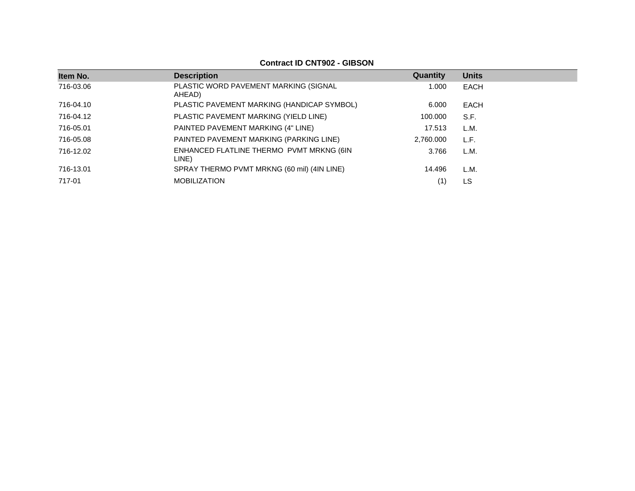| Item No.  | <b>Description</b>                                | Quantity  | <b>Units</b> |
|-----------|---------------------------------------------------|-----------|--------------|
| 716-03.06 | PLASTIC WORD PAVEMENT MARKING (SIGNAL<br>AHEAD)   | 1.000     | EACH         |
| 716-04.10 | PLASTIC PAVEMENT MARKING (HANDICAP SYMBOL)        | 6.000     | EACH         |
| 716-04.12 | PLASTIC PAVEMENT MARKING (YIELD LINE)             | 100.000   | S.F.         |
| 716-05.01 | PAINTED PAVEMENT MARKING (4" LINE)                | 17.513    | L.M.         |
| 716-05.08 | PAINTED PAVEMENT MARKING (PARKING LINE)           | 2,760.000 | L.F.         |
| 716-12.02 | ENHANCED FLATLINE THERMO PVMT MRKNG (6IN<br>LINE) | 3.766     | L.M.         |
| 716-13.01 | SPRAY THERMO PVMT MRKNG (60 mil) (4IN LINE)       | 14.496    | L.M.         |
| 717-01    | <b>MOBILIZATION</b>                               |           | LS           |

**Contract ID CNT902 - GIBSON**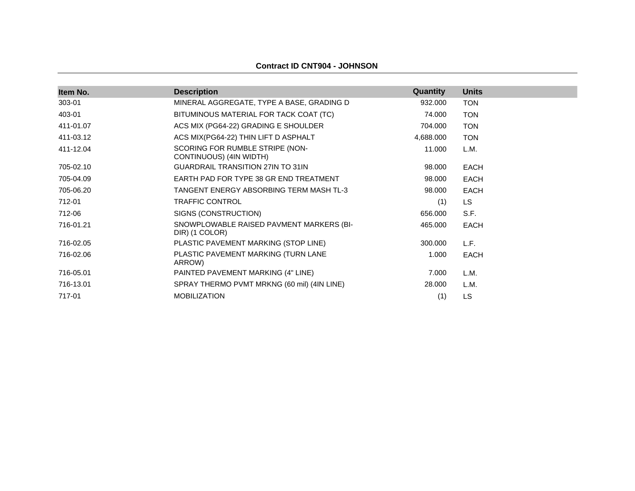| Item No.  | <b>Description</b>                                         | <b>Quantity</b> | <b>Units</b> |
|-----------|------------------------------------------------------------|-----------------|--------------|
| 303-01    | MINERAL AGGREGATE, TYPE A BASE, GRADING D                  | 932.000         | <b>TON</b>   |
| 403-01    | BITUMINOUS MATERIAL FOR TACK COAT (TC)                     | 74.000          | <b>TON</b>   |
| 411-01.07 | ACS MIX (PG64-22) GRADING E SHOULDER                       | 704.000         | <b>TON</b>   |
| 411-03.12 | ACS MIX(PG64-22) THIN LIFT D ASPHALT                       | 4,688.000       | <b>TON</b>   |
| 411-12.04 | SCORING FOR RUMBLE STRIPE (NON-<br>CONTINUOUS) (4IN WIDTH) | 11.000          | L.M.         |
| 705-02.10 | <b>GUARDRAIL TRANSITION 27IN TO 31IN</b>                   | 98.000          | <b>EACH</b>  |
| 705-04.09 | EARTH PAD FOR TYPE 38 GR END TREATMENT                     | 98.000          | <b>EACH</b>  |
| 705-06.20 | TANGENT ENERGY ABSORBING TERM MASH TL-3                    | 98.000          | <b>EACH</b>  |
| 712-01    | TRAFFIC CONTROL                                            | (1)             | LS           |
| 712-06    | SIGNS (CONSTRUCTION)                                       | 656.000         | S.F.         |
| 716-01.21 | SNOWPLOWABLE RAISED PAVMENT MARKERS (BI-<br>DIR) (1 COLOR) | 465.000         | <b>EACH</b>  |
| 716-02.05 | PLASTIC PAVEMENT MARKING (STOP LINE)                       | 300.000         | L.F.         |
| 716-02.06 | PLASTIC PAVEMENT MARKING (TURN LANE<br>ARROW)              | 1.000           | <b>EACH</b>  |
| 716-05.01 | PAINTED PAVEMENT MARKING (4" LINE)                         | 7.000           | L.M.         |
| 716-13.01 | SPRAY THERMO PVMT MRKNG (60 mil) (4IN LINE)                | 28.000          | L.M.         |
| 717-01    | <b>MOBILIZATION</b>                                        | (1)             | LS           |

#### **Contract ID CNT904 - JOHNSON**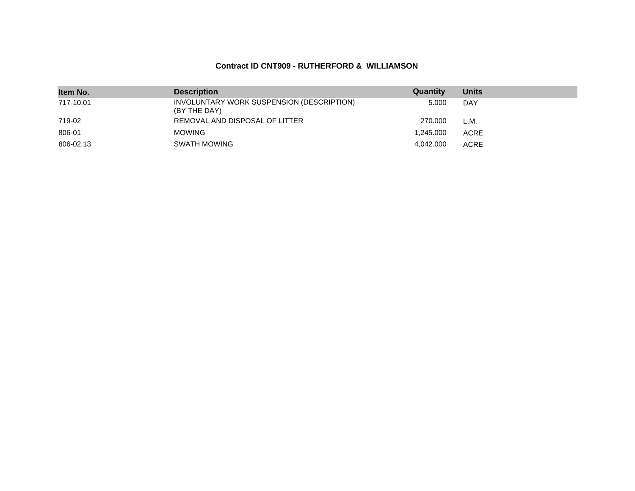#### **Contract ID CNT909 - RUTHERFORD & WILLIAMSON**

| Item No.  | <b>Description</b>                                        | Quantity  | <b>Units</b> |
|-----------|-----------------------------------------------------------|-----------|--------------|
| 717-10.01 | INVOLUNTARY WORK SUSPENSION (DESCRIPTION)<br>(BY THE DAY) | 5.000     | <b>DAY</b>   |
| 719-02    | REMOVAL AND DISPOSAL OF LITTER                            | 270,000   | L.M.         |
| 806-01    | <b>MOWING</b>                                             | 1.245.000 | ACRE         |
| 806-02.13 | SWATH MOWING                                              | 4.042.000 | <b>ACRE</b>  |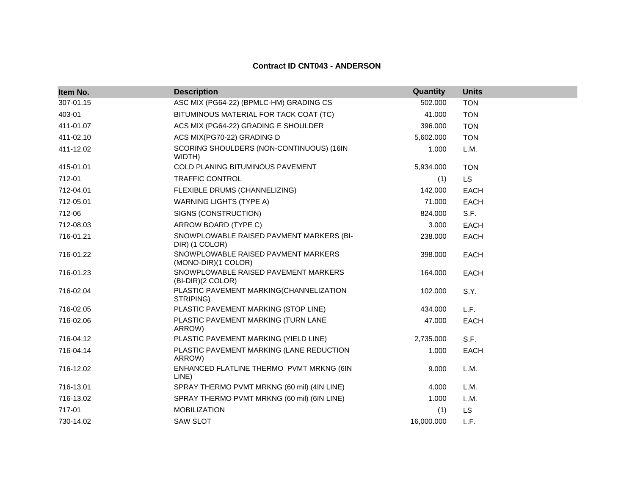# **Item No. Description**<br>
307-01.15 **Description**<br>
307-01.15 **ASC MIX (PG64-22) (BPMLC-HM) GRADING CS** 502.000 TON ASC MIX (PG64-22) (BPMLC-HM) GRADING CS 502.000 TON WIDTH)

**Contract ID CNT043 - ANDERSON**

| 403-01    | BITUMINOUS MATERIAL FOR TACK COAT (TC)                     | 41.000     | <b>TON</b>  |
|-----------|------------------------------------------------------------|------------|-------------|
| 411-01.07 | ACS MIX (PG64-22) GRADING E SHOULDER                       | 396.000    | <b>TON</b>  |
| 411-02.10 | ACS MIX(PG70-22) GRADING D                                 | 5,602.000  | <b>TON</b>  |
| 411-12.02 | SCORING SHOULDERS (NON-CONTINUOUS) (16IN<br>WIDTH)         | 1.000      | L.M.        |
| 415-01.01 | COLD PLANING BITUMINOUS PAVEMENT                           | 5,934.000  | <b>TON</b>  |
| 712-01    | <b>TRAFFIC CONTROL</b>                                     | (1)        | <b>LS</b>   |
| 712-04.01 | FLEXIBLE DRUMS (CHANNELIZING)                              | 142,000    | <b>EACH</b> |
| 712-05.01 | <b>WARNING LIGHTS (TYPE A)</b>                             | 71.000     | <b>EACH</b> |
| 712-06    | SIGNS (CONSTRUCTION)                                       | 824.000    | S.F.        |
| 712-08.03 | ARROW BOARD (TYPE C)                                       | 3.000      | <b>EACH</b> |
| 716-01.21 | SNOWPLOWABLE RAISED PAVMENT MARKERS (BI-<br>DIR) (1 COLOR) | 238,000    | <b>EACH</b> |
| 716-01.22 | SNOWPLOWABLE RAISED PAVMENT MARKERS<br>(MONO-DIR)(1 COLOR) | 398.000    | <b>EACH</b> |
| 716-01.23 | SNOWPLOWABLE RAISED PAVEMENT MARKERS<br>(BI-DIR)(2 COLOR)  | 164.000    | <b>EACH</b> |
| 716-02.04 | PLASTIC PAVEMENT MARKING(CHANNELIZATION<br>STRIPING)       | 102.000    | S.Y.        |
| 716-02.05 | PLASTIC PAVEMENT MARKING (STOP LINE)                       | 434.000    | L.F.        |
| 716-02.06 | PLASTIC PAVEMENT MARKING (TURN LANE<br>ARROW)              | 47.000     | <b>EACH</b> |
| 716-04.12 | PLASTIC PAVEMENT MARKING (YIELD LINE)                      | 2,735.000  | S.F.        |
| 716-04.14 | PLASTIC PAVEMENT MARKING (LANE REDUCTION<br>ARROW)         | 1.000      | <b>EACH</b> |
| 716-12.02 | ENHANCED FLATLINE THERMO PVMT MRKNG (6IN<br>LINE)          | 9.000      | L.M.        |
| 716-13.01 | SPRAY THERMO PVMT MRKNG (60 mil) (4IN LINE)                | 4.000      | L.M.        |
| 716-13.02 | SPRAY THERMO PVMT MRKNG (60 mil) (6IN LINE)                | 1.000      | L.M.        |
| 717-01    | <b>MOBILIZATION</b>                                        | (1)        | LS.         |
| 730-14.02 | <b>SAW SLOT</b>                                            | 16,000.000 | L.F.        |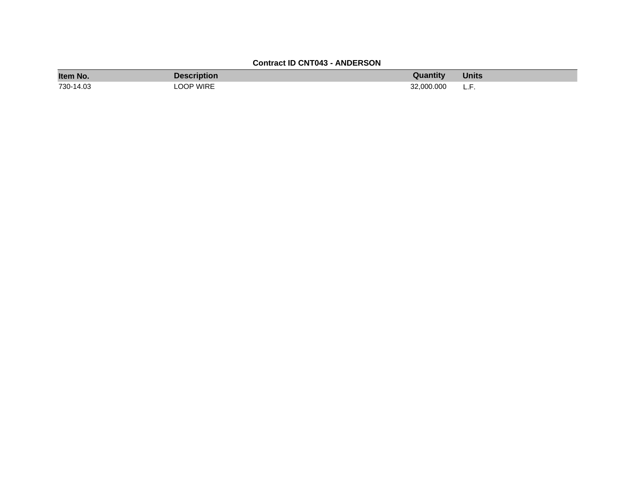### **Contract ID CNT043 - ANDERSON**

| Item No.  | Description | Quantity   | Units |
|-----------|-------------|------------|-------|
| 730-14.03 | LOOP WIRE   | 32,000,000 | .     |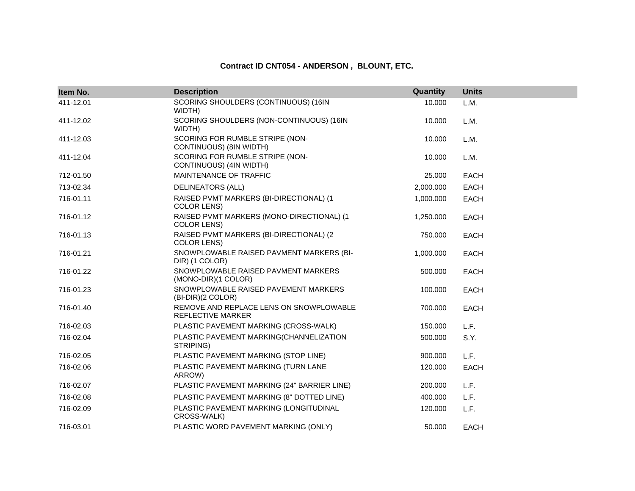#### **Contract ID CNT054 - ANDERSON , BLOUNT, ETC.**

| Item No.  | <b>Description</b>                                                  | Quantity  | <b>Units</b> |
|-----------|---------------------------------------------------------------------|-----------|--------------|
| 411-12.01 | SCORING SHOULDERS (CONTINUOUS) (16IN<br>WIDTH)                      | 10.000    | L.M.         |
| 411-12.02 | SCORING SHOULDERS (NON-CONTINUOUS) (16IN<br>WIDTH)                  | 10.000    | L.M.         |
| 411-12.03 | SCORING FOR RUMBLE STRIPE (NON-<br>CONTINUOUS) (8IN WIDTH)          | 10.000    | L.M.         |
| 411-12.04 | SCORING FOR RUMBLE STRIPE (NON-<br>CONTINUOUS) (4IN WIDTH)          | 10.000    | L.M.         |
| 712-01.50 | MAINTENANCE OF TRAFFIC                                              | 25.000    | <b>EACH</b>  |
| 713-02.34 | <b>DELINEATORS (ALL)</b>                                            | 2,000.000 | <b>EACH</b>  |
| 716-01.11 | RAISED PVMT MARKERS (BI-DIRECTIONAL) (1<br><b>COLOR LENS)</b>       | 1,000.000 | <b>EACH</b>  |
| 716-01.12 | RAISED PVMT MARKERS (MONO-DIRECTIONAL) (1<br><b>COLOR LENS)</b>     | 1,250.000 | <b>EACH</b>  |
| 716-01.13 | RAISED PVMT MARKERS (BI-DIRECTIONAL) (2<br><b>COLOR LENS)</b>       | 750.000   | <b>EACH</b>  |
| 716-01.21 | SNOWPLOWABLE RAISED PAVMENT MARKERS (BI-<br>DIR) (1 COLOR)          | 1,000.000 | <b>EACH</b>  |
| 716-01.22 | SNOWPLOWABLE RAISED PAVMENT MARKERS<br>(MONO-DIR)(1 COLOR)          | 500.000   | <b>EACH</b>  |
| 716-01.23 | SNOWPLOWABLE RAISED PAVEMENT MARKERS<br>(BI-DIR)(2 COLOR)           | 100.000   | <b>EACH</b>  |
| 716-01.40 | REMOVE AND REPLACE LENS ON SNOWPLOWABLE<br><b>REFLECTIVE MARKER</b> | 700.000   | <b>EACH</b>  |
| 716-02.03 | PLASTIC PAVEMENT MARKING (CROSS-WALK)                               | 150.000   | L.F.         |
| 716-02.04 | PLASTIC PAVEMENT MARKING(CHANNELIZATION<br>STRIPING)                | 500.000   | S.Y.         |
| 716-02.05 | PLASTIC PAVEMENT MARKING (STOP LINE)                                | 900.000   | L.F.         |
| 716-02.06 | PLASTIC PAVEMENT MARKING (TURN LANE<br>ARROW)                       | 120.000   | <b>EACH</b>  |
| 716-02.07 | PLASTIC PAVEMENT MARKING (24" BARRIER LINE)                         | 200.000   | L.F.         |
| 716-02.08 | PLASTIC PAVEMENT MARKING (8" DOTTED LINE)                           | 400.000   | L.F.         |
| 716-02.09 | PLASTIC PAVEMENT MARKING (LONGITUDINAL<br>CROSS-WALK)               | 120.000   | L.F.         |
| 716-03.01 | PLASTIC WORD PAVEMENT MARKING (ONLY)                                | 50.000    | <b>EACH</b>  |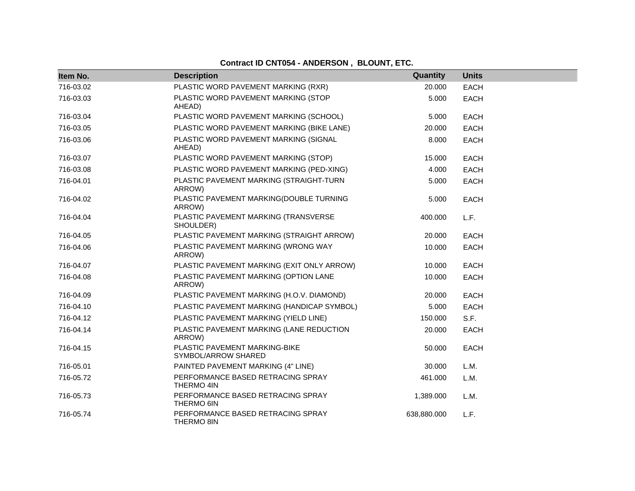# **Contract ID CNT054 - ANDERSON , BLOUNT, ETC.**

| Item No.  | <b>Description</b>                                   | Quantity    | <b>Units</b> |
|-----------|------------------------------------------------------|-------------|--------------|
| 716-03.02 | PLASTIC WORD PAVEMENT MARKING (RXR)                  | 20.000      | <b>EACH</b>  |
| 716-03.03 | PLASTIC WORD PAVEMENT MARKING (STOP<br>AHEAD)        | 5.000       | <b>EACH</b>  |
| 716-03.04 | PLASTIC WORD PAVEMENT MARKING (SCHOOL)               | 5.000       | <b>EACH</b>  |
| 716-03.05 | PLASTIC WORD PAVEMENT MARKING (BIKE LANE)            | 20,000      | EACH         |
| 716-03.06 | PLASTIC WORD PAVEMENT MARKING (SIGNAL<br>AHEAD)      | 8.000       | <b>EACH</b>  |
| 716-03.07 | PLASTIC WORD PAVEMENT MARKING (STOP)                 | 15.000      | <b>EACH</b>  |
| 716-03.08 | PLASTIC WORD PAVEMENT MARKING (PED-XING)             | 4.000       | <b>EACH</b>  |
| 716-04.01 | PLASTIC PAVEMENT MARKING (STRAIGHT-TURN<br>ARROW)    | 5.000       | <b>EACH</b>  |
| 716-04.02 | PLASTIC PAVEMENT MARKING(DOUBLE TURNING<br>ARROW)    | 5.000       | <b>EACH</b>  |
| 716-04.04 | PLASTIC PAVEMENT MARKING (TRANSVERSE<br>SHOULDER)    | 400.000     | L.F.         |
| 716-04.05 | PLASTIC PAVEMENT MARKING (STRAIGHT ARROW)            | 20.000      | <b>EACH</b>  |
| 716-04.06 | PLASTIC PAVEMENT MARKING (WRONG WAY<br>ARROW)        | 10.000      | <b>EACH</b>  |
| 716-04.07 | PLASTIC PAVEMENT MARKING (EXIT ONLY ARROW)           | 10.000      | <b>EACH</b>  |
| 716-04.08 | PLASTIC PAVEMENT MARKING (OPTION LANE<br>ARROW)      | 10.000      | <b>EACH</b>  |
| 716-04.09 | PLASTIC PAVEMENT MARKING (H.O.V. DIAMOND)            | 20.000      | EACH         |
| 716-04.10 | PLASTIC PAVEMENT MARKING (HANDICAP SYMBOL)           | 5.000       | <b>EACH</b>  |
| 716-04.12 | PLASTIC PAVEMENT MARKING (YIELD LINE)                | 150.000     | S.F.         |
| 716-04.14 | PLASTIC PAVEMENT MARKING (LANE REDUCTION<br>ARROW)   | 20.000      | <b>EACH</b>  |
| 716-04.15 | PLASTIC PAVEMENT MARKING-BIKE<br>SYMBOL/ARROW SHARED | 50.000      | <b>EACH</b>  |
| 716-05.01 | PAINTED PAVEMENT MARKING (4" LINE)                   | 30.000      | L.M.         |
| 716-05.72 | PERFORMANCE BASED RETRACING SPRAY<br>THERMO 4IN      | 461.000     | L.M.         |
| 716-05.73 | PERFORMANCE BASED RETRACING SPRAY<br>THERMO 6IN      | 1,389.000   | L.M.         |
| 716-05.74 | PERFORMANCE BASED RETRACING SPRAY<br>THERMO 8IN      | 638,880.000 | L.F.         |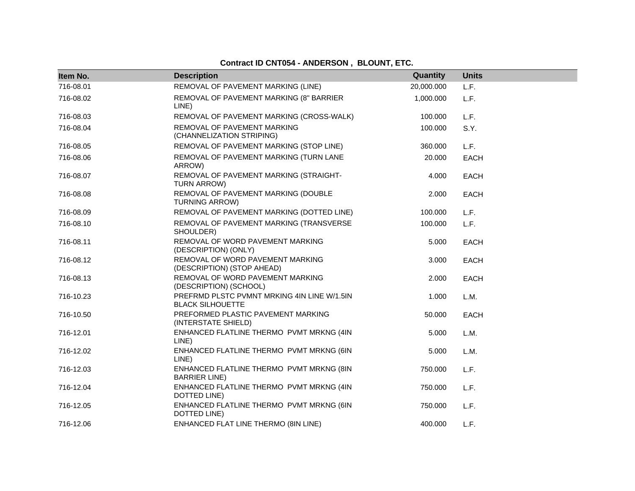# **Contract ID CNT054 - ANDERSON , BLOUNT, ETC.**

| Item No.  | <b>Description</b>                                                     | Quantity   | <b>Units</b> |
|-----------|------------------------------------------------------------------------|------------|--------------|
| 716-08.01 | REMOVAL OF PAVEMENT MARKING (LINE)                                     | 20,000.000 | L.F.         |
| 716-08.02 | REMOVAL OF PAVEMENT MARKING (8" BARRIER<br>LINE)                       | 1,000.000  | L.F.         |
| 716-08.03 | REMOVAL OF PAVEMENT MARKING (CROSS-WALK)                               | 100.000    | L.F.         |
| 716-08.04 | REMOVAL OF PAVEMENT MARKING<br>(CHANNELIZATION STRIPING)               | 100.000    | S.Y.         |
| 716-08.05 | REMOVAL OF PAVEMENT MARKING (STOP LINE)                                | 360,000    | L.F.         |
| 716-08.06 | REMOVAL OF PAVEMENT MARKING (TURN LANE<br>ARROW)                       | 20.000     | EACH         |
| 716-08.07 | REMOVAL OF PAVEMENT MARKING (STRAIGHT-<br>TURN ARROW)                  | 4.000      | <b>EACH</b>  |
| 716-08.08 | REMOVAL OF PAVEMENT MARKING (DOUBLE<br><b>TURNING ARROW)</b>           | 2.000      | <b>EACH</b>  |
| 716-08.09 | REMOVAL OF PAVEMENT MARKING (DOTTED LINE)                              | 100.000    | L.F.         |
| 716-08.10 | REMOVAL OF PAVEMENT MARKING (TRANSVERSE<br>SHOULDER)                   | 100.000    | L.F.         |
| 716-08.11 | REMOVAL OF WORD PAVEMENT MARKING<br>(DESCRIPTION) (ONLY)               | 5.000      | <b>EACH</b>  |
| 716-08.12 | REMOVAL OF WORD PAVEMENT MARKING<br>(DESCRIPTION) (STOP AHEAD)         | 3.000      | <b>EACH</b>  |
| 716-08.13 | REMOVAL OF WORD PAVEMENT MARKING<br>(DESCRIPTION) (SCHOOL)             | 2.000      | <b>EACH</b>  |
| 716-10.23 | PREFRMD PLSTC PVMNT MRKING 4IN LINE W/1.5IN<br><b>BLACK SILHOUETTE</b> | 1.000      | L.M.         |
| 716-10.50 | PREFORMED PLASTIC PAVEMENT MARKING<br>(INTERSTATE SHIELD)              | 50.000     | EACH         |
| 716-12.01 | ENHANCED FLATLINE THERMO PVMT MRKNG (4IN<br>LINE)                      | 5.000      | L.M.         |
| 716-12.02 | ENHANCED FLATLINE THERMO PVMT MRKNG (6IN<br>LINE)                      | 5.000      | L.M.         |
| 716-12.03 | ENHANCED FLATLINE THERMO PVMT MRKNG (8IN<br><b>BARRIER LINE)</b>       | 750,000    | L.F.         |
| 716-12.04 | ENHANCED FLATLINE THERMO PVMT MRKNG (4IN<br>DOTTED LINE)               | 750.000    | L.F.         |
| 716-12.05 | ENHANCED FLATLINE THERMO PVMT MRKNG (6IN<br>DOTTED LINE)               | 750.000    | L.F.         |
| 716-12.06 | ENHANCED FLAT LINE THERMO (8IN LINE)                                   | 400.000    | L.F.         |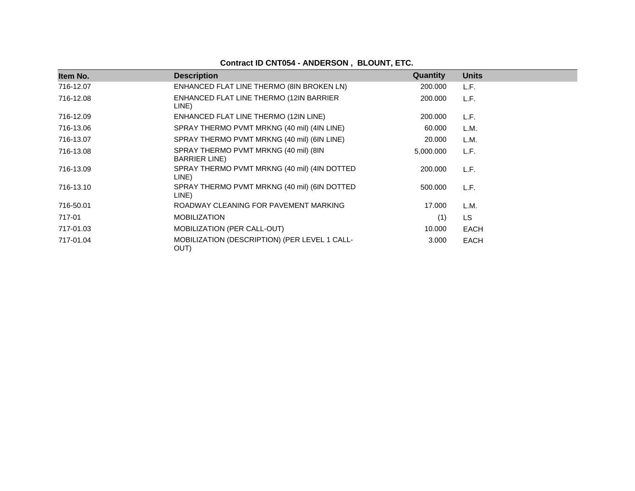| Item No.  | <b>Description</b>                                             | <b>Quantity</b> | <b>Units</b> |
|-----------|----------------------------------------------------------------|-----------------|--------------|
| 716-12.07 | ENHANCED FLAT LINE THERMO (8IN BROKEN LN)                      | 200.000         | L.F.         |
| 716-12.08 | ENHANCED FLAT LINE THERMO (12IN BARRIER<br>LINE)               | 200.000         | L.F.         |
| 716-12.09 | ENHANCED FLAT LINE THERMO (12IN LINE)                          | 200.000         | L.F.         |
| 716-13.06 | SPRAY THERMO PVMT MRKNG (40 mil) (4IN LINE)                    | 60.000          | L.M.         |
| 716-13.07 | SPRAY THERMO PVMT MRKNG (40 mil) (6IN LINE)                    | 20.000          | L.M.         |
| 716-13.08 | SPRAY THERMO PVMT MRKNG (40 mil) (8IN<br><b>BARRIER LINE</b> ) | 5,000.000       | L.F.         |
| 716-13.09 | SPRAY THERMO PVMT MRKNG (40 mil) (4IN DOTTED<br>LINE)          | 200.000         | L.F.         |
| 716-13.10 | SPRAY THERMO PVMT MRKNG (40 mil) (6IN DOTTED<br>LINE)          | 500,000         | L.F.         |
| 716-50.01 | ROADWAY CLEANING FOR PAVEMENT MARKING                          | 17.000          | L.M.         |
| 717-01    | <b>MOBILIZATION</b>                                            | (1)             | LS.          |
| 717-01.03 | <b>MOBILIZATION (PER CALL-OUT)</b>                             | 10.000          | <b>EACH</b>  |
| 717-01.04 | MOBILIZATION (DESCRIPTION) (PER LEVEL 1 CALL-<br>OUT)          | 3.000           | <b>EACH</b>  |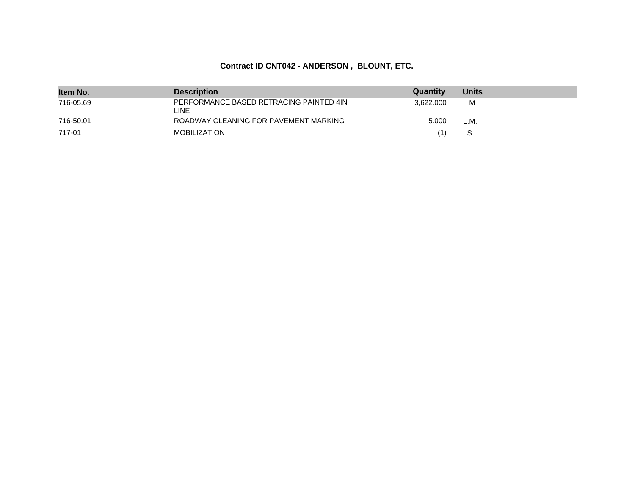# **Contract ID CNT042 - ANDERSON , BLOUNT, ETC.**

| Item No.  | <b>Description</b>                               | Quantity  | <b>Units</b> |
|-----------|--------------------------------------------------|-----------|--------------|
| 716-05.69 | PERFORMANCE BASED RETRACING PAINTED 4IN<br>LINE. | 3.622.000 | L.M.         |
| 716-50.01 | ROADWAY CLEANING FOR PAVEMENT MARKING            | 5.000     | L.M.         |
| 717-01    | MOBILIZATION                                     |           | LS           |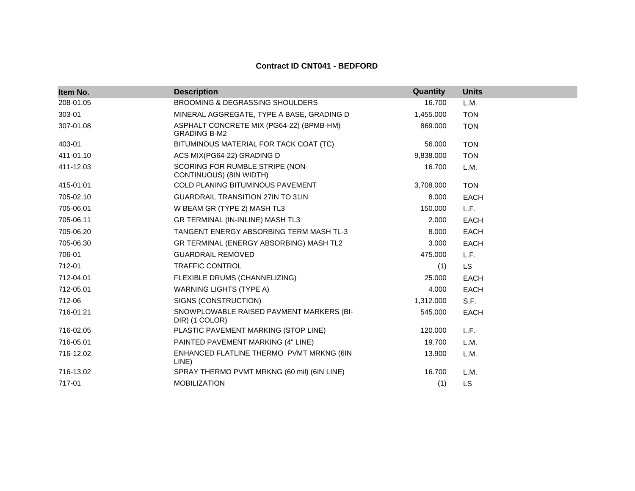| Item No.  | <b>Description</b>                                              | Quantity  | <b>Units</b> |
|-----------|-----------------------------------------------------------------|-----------|--------------|
| 208-01.05 | <b>BROOMING &amp; DEGRASSING SHOULDERS</b>                      | 16.700    | L.M.         |
| 303-01    | MINERAL AGGREGATE, TYPE A BASE, GRADING D                       | 1,455.000 | <b>TON</b>   |
| 307-01.08 | ASPHALT CONCRETE MIX (PG64-22) (BPMB-HM)<br><b>GRADING B-M2</b> | 869.000   | <b>TON</b>   |
| 403-01    | BITUMINOUS MATERIAL FOR TACK COAT (TC)                          | 56.000    | <b>TON</b>   |
| 411-01.10 | ACS MIX(PG64-22) GRADING D                                      | 9.838.000 | <b>TON</b>   |
| 411-12.03 | SCORING FOR RUMBLE STRIPE (NON-<br>CONTINUOUS) (8IN WIDTH)      | 16.700    | L.M.         |
| 415-01.01 | COLD PLANING BITUMINOUS PAVEMENT                                | 3,708.000 | <b>TON</b>   |
| 705-02.10 | <b>GUARDRAIL TRANSITION 27IN TO 31IN</b>                        | 8.000     | <b>EACH</b>  |
| 705-06.01 | W BEAM GR (TYPE 2) MASH TL3                                     | 150.000   | L.F.         |
| 705-06.11 | GR TERMINAL (IN-INLINE) MASH TL3                                | 2.000     | <b>EACH</b>  |
| 705-06.20 | TANGENT ENERGY ABSORBING TERM MASH TL-3                         | 8.000     | <b>EACH</b>  |
| 705-06.30 | GR TERMINAL (ENERGY ABSORBING) MASH TL2                         | 3.000     | <b>EACH</b>  |
| 706-01    | <b>GUARDRAIL REMOVED</b>                                        | 475.000   | L.F.         |
| 712-01    | <b>TRAFFIC CONTROL</b>                                          | (1)       | <b>LS</b>    |
| 712-04.01 | FLEXIBLE DRUMS (CHANNELIZING)                                   | 25.000    | <b>EACH</b>  |
| 712-05.01 | WARNING LIGHTS (TYPE A)                                         | 4.000     | <b>EACH</b>  |
| 712-06    | SIGNS (CONSTRUCTION)                                            | 1,312.000 | S.F.         |
| 716-01.21 | SNOWPLOWABLE RAISED PAVMENT MARKERS (BI-<br>DIR) (1 COLOR)      | 545.000   | <b>EACH</b>  |
| 716-02.05 | PLASTIC PAVEMENT MARKING (STOP LINE)                            | 120.000   | L.F.         |
| 716-05.01 | PAINTED PAVEMENT MARKING (4" LINE)                              | 19.700    | L.M.         |
| 716-12.02 | ENHANCED FLATLINE THERMO PVMT MRKNG (6IN<br>LINE)               | 13.900    | L.M.         |
| 716-13.02 | SPRAY THERMO PVMT MRKNG (60 mil) (6IN LINE)                     | 16.700    | L.M.         |
| 717-01    | <b>MOBILIZATION</b>                                             | (1)       | LS           |

#### **Contract ID CNT041 - BEDFORD**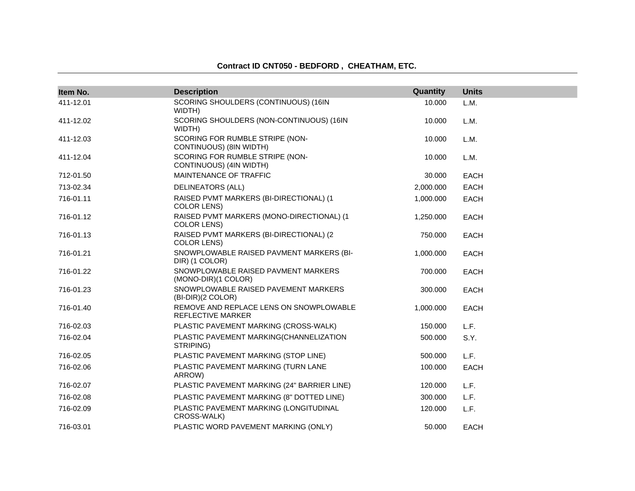| Item No.  | <b>Description</b>                                              | Quantity  | <b>Units</b> |
|-----------|-----------------------------------------------------------------|-----------|--------------|
| 411-12.01 | SCORING SHOULDERS (CONTINUOUS) (16IN<br>WIDTH)                  | 10.000    | L.M.         |
| 411-12.02 | SCORING SHOULDERS (NON-CONTINUOUS) (16IN<br>WIDTH)              | 10.000    | L.M.         |
| 411-12.03 | SCORING FOR RUMBLE STRIPE (NON-<br>CONTINUOUS) (8IN WIDTH)      | 10.000    | L.M.         |
| 411-12.04 | SCORING FOR RUMBLE STRIPE (NON-<br>CONTINUOUS) (4IN WIDTH)      | 10.000    | L.M.         |
| 712-01.50 | MAINTENANCE OF TRAFFIC                                          | 30.000    | <b>EACH</b>  |
| 713-02.34 | <b>DELINEATORS (ALL)</b>                                        | 2,000.000 | <b>EACH</b>  |
| 716-01.11 | RAISED PVMT MARKERS (BI-DIRECTIONAL) (1<br><b>COLOR LENS)</b>   | 1,000.000 | <b>EACH</b>  |
| 716-01.12 | RAISED PVMT MARKERS (MONO-DIRECTIONAL) (1<br><b>COLOR LENS)</b> | 1,250.000 | <b>EACH</b>  |
| 716-01.13 | RAISED PVMT MARKERS (BI-DIRECTIONAL) (2<br><b>COLOR LENS)</b>   | 750.000   | <b>EACH</b>  |
| 716-01.21 | SNOWPLOWABLE RAISED PAVMENT MARKERS (BI-<br>DIR) (1 COLOR)      | 1,000.000 | <b>EACH</b>  |
| 716-01.22 | SNOWPLOWABLE RAISED PAVMENT MARKERS<br>(MONO-DIR)(1 COLOR)      | 700.000   | <b>EACH</b>  |
| 716-01.23 | SNOWPLOWABLE RAISED PAVEMENT MARKERS<br>(BI-DIR)(2 COLOR)       | 300.000   | <b>EACH</b>  |
| 716-01.40 | REMOVE AND REPLACE LENS ON SNOWPLOWABLE<br>REFLECTIVE MARKER    | 1,000.000 | <b>EACH</b>  |
| 716-02.03 | PLASTIC PAVEMENT MARKING (CROSS-WALK)                           | 150.000   | L.F.         |
| 716-02.04 | PLASTIC PAVEMENT MARKING(CHANNELIZATION<br>STRIPING)            | 500.000   | S.Y.         |
| 716-02.05 | PLASTIC PAVEMENT MARKING (STOP LINE)                            | 500.000   | L.F.         |
| 716-02.06 | PLASTIC PAVEMENT MARKING (TURN LANE<br>ARROW)                   | 100.000   | <b>EACH</b>  |
| 716-02.07 | PLASTIC PAVEMENT MARKING (24" BARRIER LINE)                     | 120.000   | L.F.         |
| 716-02.08 | PLASTIC PAVEMENT MARKING (8" DOTTED LINE)                       | 300.000   | L.F.         |
| 716-02.09 | PLASTIC PAVEMENT MARKING (LONGITUDINAL<br>CROSS-WALK)           | 120.000   | L.F.         |
| 716-03.01 | PLASTIC WORD PAVEMENT MARKING (ONLY)                            | 50.000    | <b>EACH</b>  |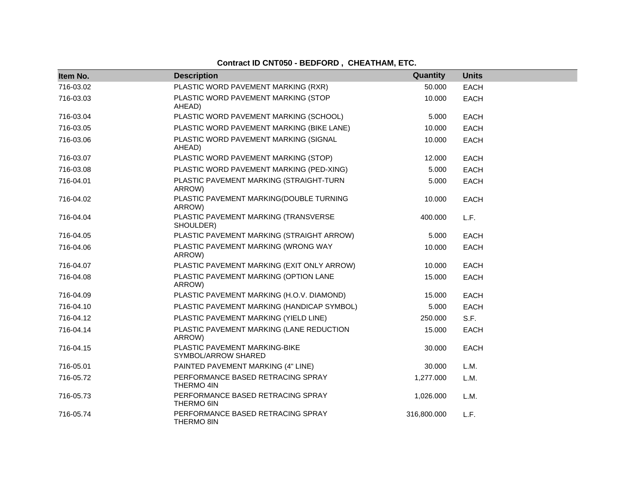| Item No.  | <b>Description</b>                                   | Quantity    | <b>Units</b> |
|-----------|------------------------------------------------------|-------------|--------------|
| 716-03.02 | PLASTIC WORD PAVEMENT MARKING (RXR)                  | 50.000      | <b>EACH</b>  |
| 716-03.03 | PLASTIC WORD PAVEMENT MARKING (STOP                  | 10.000      | <b>EACH</b>  |
|           | AHEAD)                                               |             |              |
| 716-03.04 | PLASTIC WORD PAVEMENT MARKING (SCHOOL)               | 5.000       | <b>EACH</b>  |
| 716-03.05 | PLASTIC WORD PAVEMENT MARKING (BIKE LANE)            | 10.000      | <b>EACH</b>  |
| 716-03.06 | PLASTIC WORD PAVEMENT MARKING (SIGNAL<br>AHEAD)      | 10.000      | <b>EACH</b>  |
| 716-03.07 | PLASTIC WORD PAVEMENT MARKING (STOP)                 | 12.000      | <b>EACH</b>  |
| 716-03.08 | PLASTIC WORD PAVEMENT MARKING (PED-XING)             | 5.000       | <b>EACH</b>  |
| 716-04.01 | PLASTIC PAVEMENT MARKING (STRAIGHT-TURN<br>ARROW)    | 5.000       | <b>EACH</b>  |
| 716-04.02 | PLASTIC PAVEMENT MARKING(DOUBLE TURNING<br>ARROW)    | 10.000      | <b>EACH</b>  |
| 716-04.04 | PLASTIC PAVEMENT MARKING (TRANSVERSE<br>SHOULDER)    | 400.000     | L.F.         |
| 716-04.05 | PLASTIC PAVEMENT MARKING (STRAIGHT ARROW)            | 5.000       | <b>EACH</b>  |
| 716-04.06 | PLASTIC PAVEMENT MARKING (WRONG WAY<br>ARROW)        | 10.000      | <b>EACH</b>  |
| 716-04.07 | PLASTIC PAVEMENT MARKING (EXIT ONLY ARROW)           | 10.000      | <b>EACH</b>  |
| 716-04.08 | PLASTIC PAVEMENT MARKING (OPTION LANE<br>ARROW)      | 15.000      | <b>EACH</b>  |
| 716-04.09 | PLASTIC PAVEMENT MARKING (H.O.V. DIAMOND)            | 15.000      | <b>EACH</b>  |
| 716-04.10 | PLASTIC PAVEMENT MARKING (HANDICAP SYMBOL)           | 5.000       | <b>EACH</b>  |
| 716-04.12 | PLASTIC PAVEMENT MARKING (YIELD LINE)                | 250,000     | S.F.         |
| 716-04.14 | PLASTIC PAVEMENT MARKING (LANE REDUCTION<br>ARROW)   | 15.000      | <b>EACH</b>  |
| 716-04.15 | PLASTIC PAVEMENT MARKING-BIKE<br>SYMBOL/ARROW SHARED | 30.000      | <b>EACH</b>  |
| 716-05.01 | PAINTED PAVEMENT MARKING (4" LINE)                   | 30.000      | L.M.         |
| 716-05.72 | PERFORMANCE BASED RETRACING SPRAY<br>THERMO 4IN      | 1,277.000   | L.M.         |
| 716-05.73 | PERFORMANCE BASED RETRACING SPRAY<br>THERMO 6IN      | 1,026.000   | L.M.         |
| 716-05.74 | PERFORMANCE BASED RETRACING SPRAY<br>THERMO 8IN      | 316,800.000 | L.F.         |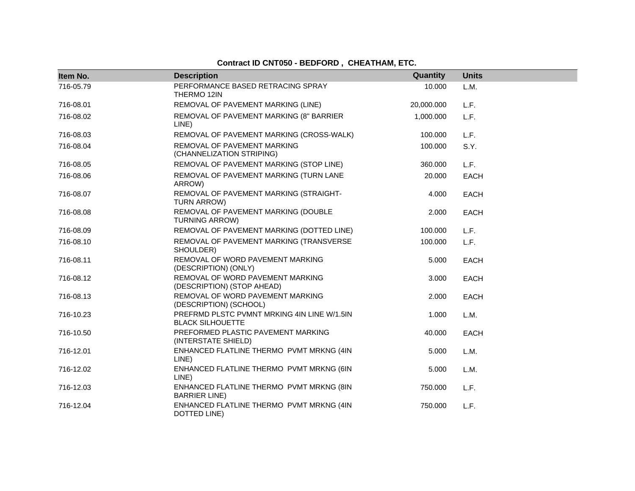| Item No.  | <b>Description</b>                                                     | Quantity   | <b>Units</b> |
|-----------|------------------------------------------------------------------------|------------|--------------|
| 716-05.79 | PERFORMANCE BASED RETRACING SPRAY<br>THERMO 12IN                       | 10.000     | L.M.         |
| 716-08.01 | REMOVAL OF PAVEMENT MARKING (LINE)                                     | 20,000.000 | L.F.         |
| 716-08.02 | REMOVAL OF PAVEMENT MARKING (8" BARRIER<br>LINE)                       | 1,000.000  | L.F.         |
| 716-08.03 | REMOVAL OF PAVEMENT MARKING (CROSS-WALK)                               | 100.000    | L.F.         |
| 716-08.04 | REMOVAL OF PAVEMENT MARKING<br>(CHANNELIZATION STRIPING)               | 100.000    | S.Y.         |
| 716-08.05 | REMOVAL OF PAVEMENT MARKING (STOP LINE)                                | 360.000    | L.F.         |
| 716-08.06 | REMOVAL OF PAVEMENT MARKING (TURN LANE<br>ARROW)                       | 20,000     | <b>EACH</b>  |
| 716-08.07 | REMOVAL OF PAVEMENT MARKING (STRAIGHT-<br>TURN ARROW)                  | 4.000      | <b>EACH</b>  |
| 716-08.08 | REMOVAL OF PAVEMENT MARKING (DOUBLE<br><b>TURNING ARROW)</b>           | 2.000      | <b>EACH</b>  |
| 716-08.09 | REMOVAL OF PAVEMENT MARKING (DOTTED LINE)                              | 100.000    | L.F.         |
| 716-08.10 | REMOVAL OF PAVEMENT MARKING (TRANSVERSE<br>SHOULDER)                   | 100.000    | L.F.         |
| 716-08.11 | REMOVAL OF WORD PAVEMENT MARKING<br>(DESCRIPTION) (ONLY)               | 5.000      | <b>EACH</b>  |
| 716-08.12 | REMOVAL OF WORD PAVEMENT MARKING<br>(DESCRIPTION) (STOP AHEAD)         | 3.000      | <b>EACH</b>  |
| 716-08.13 | REMOVAL OF WORD PAVEMENT MARKING<br>(DESCRIPTION) (SCHOOL)             | 2.000      | <b>EACH</b>  |
| 716-10.23 | PREFRMD PLSTC PVMNT MRKING 4IN LINE W/1.5IN<br><b>BLACK SILHOUETTE</b> | 1.000      | L.M.         |
| 716-10.50 | PREFORMED PLASTIC PAVEMENT MARKING<br>(INTERSTATE SHIELD)              | 40.000     | <b>EACH</b>  |
| 716-12.01 | ENHANCED FLATLINE THERMO PVMT MRKNG (4IN<br>LINE)                      | 5.000      | L.M.         |
| 716-12.02 | ENHANCED FLATLINE THERMO PVMT MRKNG (6IN<br>LINE)                      | 5.000      | L.M.         |
| 716-12.03 | ENHANCED FLATLINE THERMO PVMT MRKNG (8IN<br><b>BARRIER LINE)</b>       | 750.000    | L.F.         |
| 716-12.04 | ENHANCED FLATLINE THERMO PVMT MRKNG (4IN<br>DOTTED LINE)               | 750.000    | L.F.         |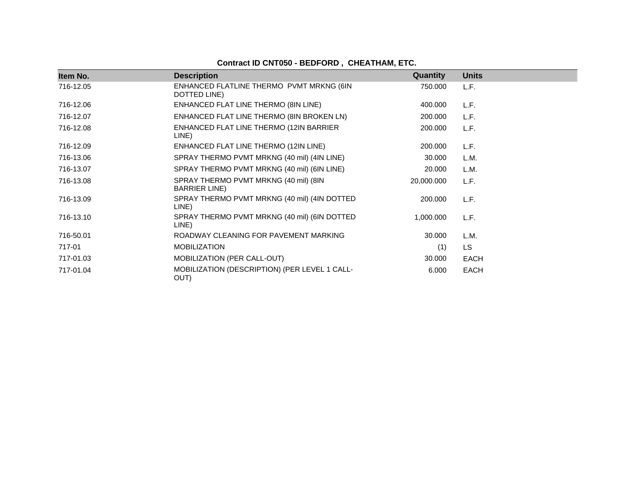| Item No.  | <b>Description</b>                                             | <b>Quantity</b> | <b>Units</b> |
|-----------|----------------------------------------------------------------|-----------------|--------------|
| 716-12.05 | ENHANCED FLATLINE THERMO PVMT MRKNG (6IN<br>DOTTED LINE)       | 750,000         | L.F.         |
| 716-12.06 | ENHANCED FLAT LINE THERMO (8IN LINE)                           | 400.000         | L.F.         |
| 716-12.07 | ENHANCED FLAT LINE THERMO (8IN BROKEN LN)                      | 200.000         | L.F.         |
| 716-12.08 | ENHANCED FLAT LINE THERMO (12IN BARRIER<br>LINE)               | 200.000         | L.F.         |
| 716-12.09 | ENHANCED FLAT LINE THERMO (12IN LINE)                          | 200.000         | L.F.         |
| 716-13.06 | SPRAY THERMO PVMT MRKNG (40 mil) (4IN LINE)                    | 30.000          | L.M.         |
| 716-13.07 | SPRAY THERMO PVMT MRKNG (40 mil) (6IN LINE)                    | 20.000          | L.M.         |
| 716-13.08 | SPRAY THERMO PVMT MRKNG (40 mil) (8IN<br><b>BARRIER LINE</b> ) | 20,000.000      | L.F.         |
| 716-13.09 | SPRAY THERMO PVMT MRKNG (40 mil) (4IN DOTTED<br>LINE)          | 200.000         | L.F.         |
| 716-13.10 | SPRAY THERMO PVMT MRKNG (40 mil) (6IN DOTTED<br>LINE)          | 1,000.000       | L.F.         |
| 716-50.01 | ROADWAY CLEANING FOR PAVEMENT MARKING                          | 30.000          | L.M.         |
| 717-01    | <b>MOBILIZATION</b>                                            | (1)             | LS.          |
| 717-01.03 | <b>MOBILIZATION (PER CALL-OUT)</b>                             | 30.000          | EACH         |
| 717-01.04 | MOBILIZATION (DESCRIPTION) (PER LEVEL 1 CALL-<br>OUT)          | 6.000           | <b>EACH</b>  |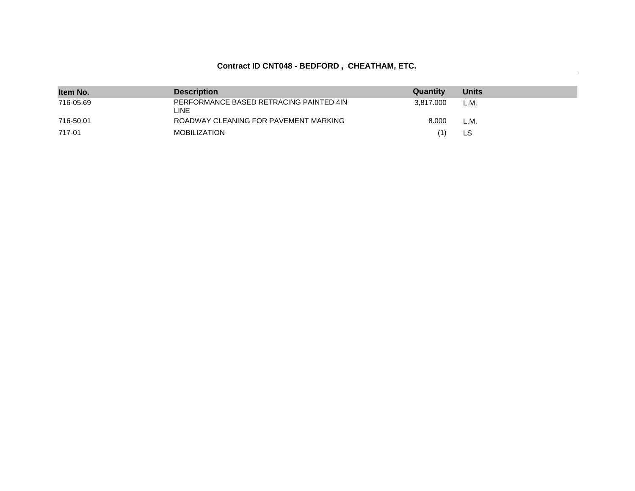| Item No.  | <b>Description</b>                              | Quantity  | <b>Units</b> |
|-----------|-------------------------------------------------|-----------|--------------|
| 716-05.69 | PERFORMANCE BASED RETRACING PAINTED 4IN<br>LINE | 3.817.000 | L.M.         |
| 716-50.01 | ROADWAY CLEANING FOR PAVEMENT MARKING           | 8.000     | L.M.         |
| 717-01    | <b>MOBILIZATION</b>                             | (1)       | LS           |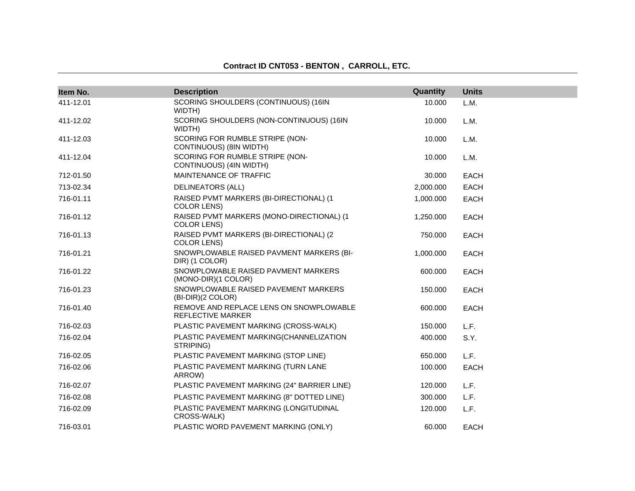| Item No.  | <b>Description</b>                                              | Quantity  | <b>Units</b> |
|-----------|-----------------------------------------------------------------|-----------|--------------|
| 411-12.01 | SCORING SHOULDERS (CONTINUOUS) (16IN                            | 10.000    | L.M.         |
| 411-12.02 | WIDTH)<br>SCORING SHOULDERS (NON-CONTINUOUS) (16IN<br>WIDTH)    | 10.000    | L.M.         |
| 411-12.03 | SCORING FOR RUMBLE STRIPE (NON-<br>CONTINUOUS) (8IN WIDTH)      | 10.000    | L.M.         |
| 411-12.04 | SCORING FOR RUMBLE STRIPE (NON-<br>CONTINUOUS) (4IN WIDTH)      | 10.000    | L.M.         |
| 712-01.50 | MAINTENANCE OF TRAFFIC                                          | 30.000    | <b>EACH</b>  |
| 713-02.34 | <b>DELINEATORS (ALL)</b>                                        | 2,000.000 | <b>EACH</b>  |
| 716-01.11 | RAISED PVMT MARKERS (BI-DIRECTIONAL) (1<br><b>COLOR LENS)</b>   | 1,000.000 | <b>EACH</b>  |
| 716-01.12 | RAISED PVMT MARKERS (MONO-DIRECTIONAL) (1<br><b>COLOR LENS)</b> | 1,250.000 | <b>EACH</b>  |
| 716-01.13 | RAISED PVMT MARKERS (BI-DIRECTIONAL) (2<br><b>COLOR LENS)</b>   | 750.000   | <b>EACH</b>  |
| 716-01.21 | SNOWPLOWABLE RAISED PAVMENT MARKERS (BI-<br>DIR) (1 COLOR)      | 1,000.000 | <b>EACH</b>  |
| 716-01.22 | SNOWPLOWABLE RAISED PAVMENT MARKERS<br>(MONO-DIR)(1 COLOR)      | 600.000   | <b>EACH</b>  |
| 716-01.23 | SNOWPLOWABLE RAISED PAVEMENT MARKERS<br>(BI-DIR)(2 COLOR)       | 150.000   | <b>EACH</b>  |
| 716-01.40 | REMOVE AND REPLACE LENS ON SNOWPLOWABLE<br>REFLECTIVE MARKER    | 600.000   | <b>EACH</b>  |
| 716-02.03 | PLASTIC PAVEMENT MARKING (CROSS-WALK)                           | 150.000   | L.F.         |
| 716-02.04 | PLASTIC PAVEMENT MARKING(CHANNELIZATION<br>STRIPING)            | 400.000   | S.Y.         |
| 716-02.05 | PLASTIC PAVEMENT MARKING (STOP LINE)                            | 650.000   | L.F.         |
| 716-02.06 | PLASTIC PAVEMENT MARKING (TURN LANE<br>ARROW)                   | 100.000   | <b>EACH</b>  |
| 716-02.07 | PLASTIC PAVEMENT MARKING (24" BARRIER LINE)                     | 120.000   | L.F.         |
| 716-02.08 | PLASTIC PAVEMENT MARKING (8" DOTTED LINE)                       | 300.000   | L.F.         |
| 716-02.09 | PLASTIC PAVEMENT MARKING (LONGITUDINAL<br>CROSS-WALK)           | 120.000   | L.F.         |
| 716-03.01 | PLASTIC WORD PAVEMENT MARKING (ONLY)                            | 60.000    | <b>EACH</b>  |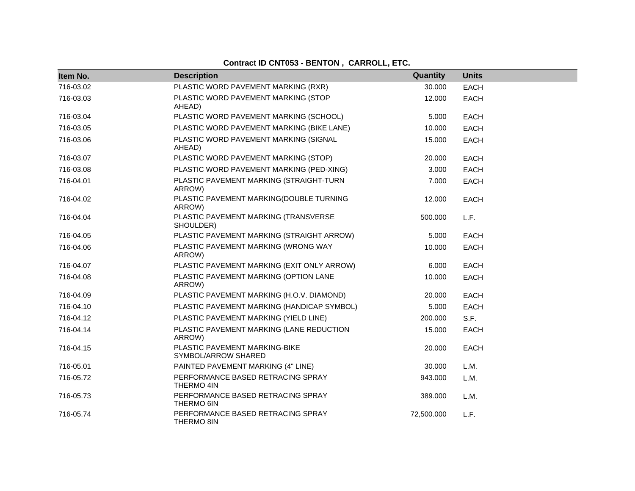| Item No.  | <b>Description</b>                                   | Quantity   | <b>Units</b> |
|-----------|------------------------------------------------------|------------|--------------|
| 716-03.02 | PLASTIC WORD PAVEMENT MARKING (RXR)                  | 30.000     | EACH         |
| 716-03.03 | PLASTIC WORD PAVEMENT MARKING (STOP<br>AHEAD)        | 12.000     | <b>EACH</b>  |
| 716-03.04 | PLASTIC WORD PAVEMENT MARKING (SCHOOL)               | 5.000      | <b>EACH</b>  |
| 716-03.05 | PLASTIC WORD PAVEMENT MARKING (BIKE LANE)            | 10.000     | <b>EACH</b>  |
| 716-03.06 | PLASTIC WORD PAVEMENT MARKING (SIGNAL<br>AHEAD)      | 15.000     | EACH         |
| 716-03.07 | PLASTIC WORD PAVEMENT MARKING (STOP)                 | 20,000     | <b>EACH</b>  |
| 716-03.08 | PLASTIC WORD PAVEMENT MARKING (PED-XING)             | 3.000      | <b>EACH</b>  |
| 716-04.01 | PLASTIC PAVEMENT MARKING (STRAIGHT-TURN<br>ARROW)    | 7.000      | EACH         |
| 716-04.02 | PLASTIC PAVEMENT MARKING(DOUBLE TURNING<br>ARROW)    | 12.000     | <b>EACH</b>  |
| 716-04.04 | PLASTIC PAVEMENT MARKING (TRANSVERSE<br>SHOULDER)    | 500.000    | L.F.         |
| 716-04.05 | PLASTIC PAVEMENT MARKING (STRAIGHT ARROW)            | 5.000      | <b>EACH</b>  |
| 716-04.06 | PLASTIC PAVEMENT MARKING (WRONG WAY<br>ARROW)        | 10.000     | <b>EACH</b>  |
| 716-04.07 | PLASTIC PAVEMENT MARKING (EXIT ONLY ARROW)           | 6.000      | <b>EACH</b>  |
| 716-04.08 | PLASTIC PAVEMENT MARKING (OPTION LANE<br>ARROW)      | 10.000     | EACH         |
| 716-04.09 | PLASTIC PAVEMENT MARKING (H.O.V. DIAMOND)            | 20,000     | <b>EACH</b>  |
| 716-04.10 | PLASTIC PAVEMENT MARKING (HANDICAP SYMBOL)           | 5.000      | <b>EACH</b>  |
| 716-04.12 | PLASTIC PAVEMENT MARKING (YIELD LINE)                | 200.000    | S.F.         |
| 716-04.14 | PLASTIC PAVEMENT MARKING (LANE REDUCTION<br>ARROW)   | 15.000     | EACH         |
| 716-04.15 | PLASTIC PAVEMENT MARKING-BIKE<br>SYMBOL/ARROW SHARED | 20.000     | <b>EACH</b>  |
| 716-05.01 | PAINTED PAVEMENT MARKING (4" LINE)                   | 30.000     | L.M.         |
| 716-05.72 | PERFORMANCE BASED RETRACING SPRAY<br>THERMO 4IN      | 943.000    | L.M.         |
| 716-05.73 | PERFORMANCE BASED RETRACING SPRAY<br>THERMO 6IN      | 389.000    | L.M.         |
| 716-05.74 | PERFORMANCE BASED RETRACING SPRAY<br>THERMO 8IN      | 72,500.000 | L.F.         |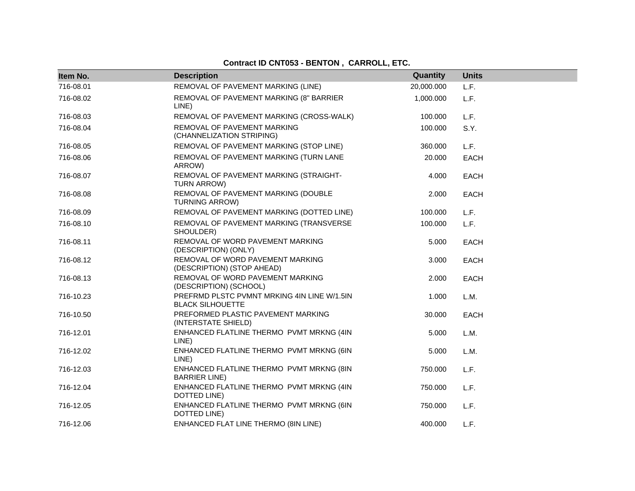| Item No.  | <b>Description</b>                                                     | Quantity   | <b>Units</b> |
|-----------|------------------------------------------------------------------------|------------|--------------|
| 716-08.01 | REMOVAL OF PAVEMENT MARKING (LINE)                                     | 20,000.000 | L.F.         |
| 716-08.02 | REMOVAL OF PAVEMENT MARKING (8" BARRIER<br>LINE)                       | 1,000.000  | L.F.         |
| 716-08.03 | REMOVAL OF PAVEMENT MARKING (CROSS-WALK)                               | 100.000    | L.F.         |
| 716-08.04 | REMOVAL OF PAVEMENT MARKING<br>(CHANNELIZATION STRIPING)               | 100.000    | S.Y.         |
| 716-08.05 | REMOVAL OF PAVEMENT MARKING (STOP LINE)                                | 360,000    | L.F.         |
| 716-08.06 | REMOVAL OF PAVEMENT MARKING (TURN LANE<br>ARROW)                       | 20.000     | EACH         |
| 716-08.07 | REMOVAL OF PAVEMENT MARKING (STRAIGHT-<br>TURN ARROW)                  | 4.000      | <b>EACH</b>  |
| 716-08.08 | REMOVAL OF PAVEMENT MARKING (DOUBLE<br><b>TURNING ARROW)</b>           | 2.000      | <b>EACH</b>  |
| 716-08.09 | REMOVAL OF PAVEMENT MARKING (DOTTED LINE)                              | 100.000    | L.F.         |
| 716-08.10 | REMOVAL OF PAVEMENT MARKING (TRANSVERSE<br>SHOULDER)                   | 100.000    | L.F.         |
| 716-08.11 | REMOVAL OF WORD PAVEMENT MARKING<br>(DESCRIPTION) (ONLY)               | 5.000      | <b>EACH</b>  |
| 716-08.12 | REMOVAL OF WORD PAVEMENT MARKING<br>(DESCRIPTION) (STOP AHEAD)         | 3.000      | <b>EACH</b>  |
| 716-08.13 | REMOVAL OF WORD PAVEMENT MARKING<br>(DESCRIPTION) (SCHOOL)             | 2.000      | <b>EACH</b>  |
| 716-10.23 | PREFRMD PLSTC PVMNT MRKING 4IN LINE W/1.5IN<br><b>BLACK SILHOUETTE</b> | 1.000      | L.M.         |
| 716-10.50 | PREFORMED PLASTIC PAVEMENT MARKING<br>(INTERSTATE SHIELD)              | 30.000     | <b>EACH</b>  |
| 716-12.01 | ENHANCED FLATLINE THERMO PVMT MRKNG (4IN<br>LINE)                      | 5.000      | L.M.         |
| 716-12.02 | ENHANCED FLATLINE THERMO PVMT MRKNG (6IN<br>LINE)                      | 5.000      | L.M.         |
| 716-12.03 | ENHANCED FLATLINE THERMO PVMT MRKNG (8IN<br><b>BARRIER LINE)</b>       | 750,000    | L.F.         |
| 716-12.04 | ENHANCED FLATLINE THERMO PVMT MRKNG (4IN<br>DOTTED LINE)               | 750.000    | L.F.         |
| 716-12.05 | ENHANCED FLATLINE THERMO PVMT MRKNG (6IN<br>DOTTED LINE)               | 750.000    | L.F.         |
| 716-12.06 | ENHANCED FLAT LINE THERMO (8IN LINE)                                   | 400.000    | L.F.         |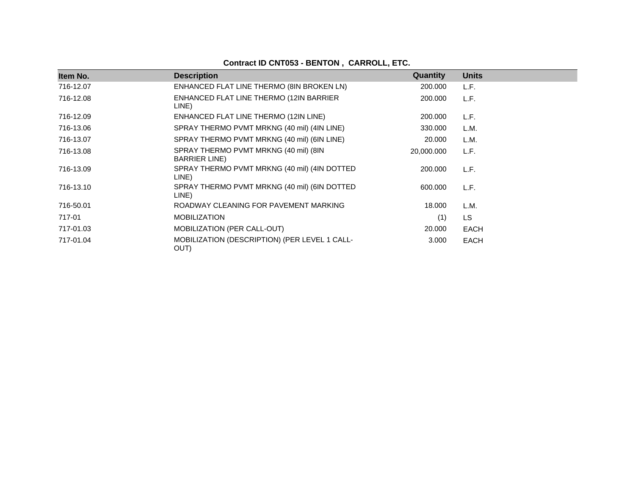| Item No.  | <b>Description</b>                                             | <b>Quantity</b> | <b>Units</b> |
|-----------|----------------------------------------------------------------|-----------------|--------------|
| 716-12.07 | ENHANCED FLAT LINE THERMO (8IN BROKEN LN)                      | 200.000         | L.F.         |
| 716-12.08 | ENHANCED FLAT LINE THERMO (12IN BARRIER<br>LINE)               | 200.000         | L.F.         |
| 716-12.09 | ENHANCED FLAT LINE THERMO (12IN LINE)                          | 200.000         | L.F.         |
| 716-13.06 | SPRAY THERMO PVMT MRKNG (40 mil) (4IN LINE)                    | 330.000         | L.M.         |
| 716-13.07 | SPRAY THERMO PVMT MRKNG (40 mil) (6IN LINE)                    | 20,000          | L.M.         |
| 716-13.08 | SPRAY THERMO PVMT MRKNG (40 mil) (8IN<br><b>BARRIER LINE</b> ) | 20,000.000      | L.F.         |
| 716-13.09 | SPRAY THERMO PVMT MRKNG (40 mil) (4IN DOTTED<br>LINE)          | 200,000         | L.F.         |
| 716-13.10 | SPRAY THERMO PVMT MRKNG (40 mil) (6IN DOTTED<br>LINE)          | 600,000         | L.F.         |
| 716-50.01 | ROADWAY CLEANING FOR PAVEMENT MARKING                          | 18.000          | L.M.         |
| 717-01    | <b>MOBILIZATION</b>                                            | (1)             | LS.          |
| 717-01.03 | MOBILIZATION (PER CALL-OUT)                                    | 20.000          | <b>EACH</b>  |
| 717-01.04 | MOBILIZATION (DESCRIPTION) (PER LEVEL 1 CALL-<br>OUT)          | 3.000           | <b>EACH</b>  |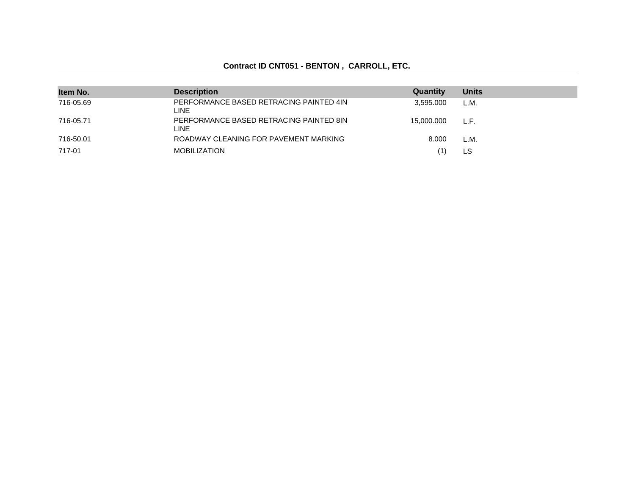| Item No.  | <b>Description</b>                                     | Quantity   | <b>Units</b> |
|-----------|--------------------------------------------------------|------------|--------------|
| 716-05.69 | PERFORMANCE BASED RETRACING PAINTED 4IN<br><b>LINE</b> | 3.595.000  | L.M.         |
| 716-05.71 | PERFORMANCE BASED RETRACING PAINTED 8IN<br><b>LINE</b> | 15,000,000 | L.F.         |
| 716-50.01 | ROADWAY CLEANING FOR PAVEMENT MARKING                  | 8.000      | L.M.         |
| 717-01    | <b>MOBILIZATION</b>                                    | '1)        | LS           |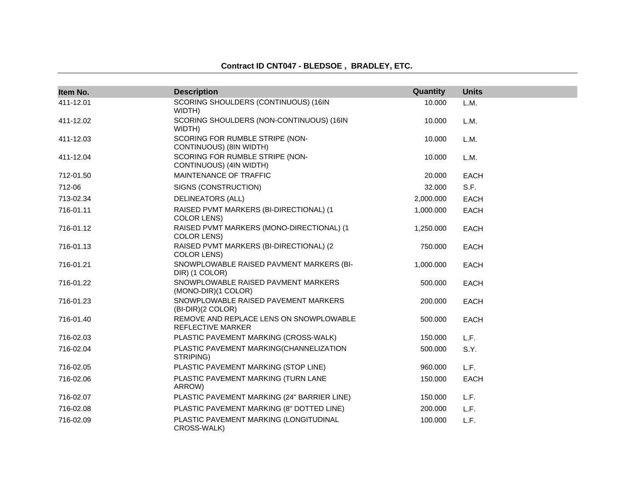#### **Contract ID CNT047 - BLEDSOE , BRADLEY, ETC.**

| Item No.  | <b>Description</b>                                              | Quantity  | <b>Units</b> |
|-----------|-----------------------------------------------------------------|-----------|--------------|
| 411-12.01 | SCORING SHOULDERS (CONTINUOUS) (16IN<br>WIDTH)                  | 10.000    | L.M.         |
| 411-12.02 | SCORING SHOULDERS (NON-CONTINUOUS) (16IN<br>WIDTH)              | 10.000    | L.M.         |
| 411-12.03 | SCORING FOR RUMBLE STRIPE (NON-<br>CONTINUOUS) (8IN WIDTH)      | 10.000    | L.M.         |
| 411-12.04 | SCORING FOR RUMBLE STRIPE (NON-<br>CONTINUOUS) (4IN WIDTH)      | 10.000    | L.M.         |
| 712-01.50 | MAINTENANCE OF TRAFFIC                                          | 20.000    | <b>EACH</b>  |
| 712-06    | SIGNS (CONSTRUCTION)                                            | 32.000    | S.F.         |
| 713-02.34 | <b>DELINEATORS (ALL)</b>                                        | 2,000.000 | <b>EACH</b>  |
| 716-01.11 | RAISED PVMT MARKERS (BI-DIRECTIONAL) (1<br><b>COLOR LENS)</b>   | 1,000.000 | <b>EACH</b>  |
| 716-01.12 | RAISED PVMT MARKERS (MONO-DIRECTIONAL) (1<br><b>COLOR LENS)</b> | 1,250.000 | <b>EACH</b>  |
| 716-01.13 | RAISED PVMT MARKERS (BI-DIRECTIONAL) (2<br><b>COLOR LENS)</b>   | 750.000   | <b>EACH</b>  |
| 716-01.21 | SNOWPLOWABLE RAISED PAVMENT MARKERS (BI-<br>DIR) (1 COLOR)      | 1,000.000 | EACH         |
| 716-01.22 | SNOWPLOWABLE RAISED PAVMENT MARKERS<br>(MONO-DIR)(1 COLOR)      | 500.000   | <b>EACH</b>  |
| 716-01.23 | SNOWPLOWABLE RAISED PAVEMENT MARKERS<br>(BI-DIR)(2 COLOR)       | 200.000   | <b>EACH</b>  |
| 716-01.40 | REMOVE AND REPLACE LENS ON SNOWPLOWABLE<br>REFLECTIVE MARKER    | 500.000   | <b>EACH</b>  |
| 716-02.03 | PLASTIC PAVEMENT MARKING (CROSS-WALK)                           | 150.000   | L.F.         |
| 716-02.04 | PLASTIC PAVEMENT MARKING(CHANNELIZATION<br>STRIPING)            | 500.000   | S.Y.         |
| 716-02.05 | PLASTIC PAVEMENT MARKING (STOP LINE)                            | 960.000   | L.F.         |
| 716-02.06 | PLASTIC PAVEMENT MARKING (TURN LANE<br>ARROW)                   | 150.000   | <b>EACH</b>  |
| 716-02.07 | PLASTIC PAVEMENT MARKING (24" BARRIER LINE)                     | 150.000   | L.F.         |
| 716-02.08 | PLASTIC PAVEMENT MARKING (8" DOTTED LINE)                       | 200.000   | L.F.         |
| 716-02.09 | PLASTIC PAVEMENT MARKING (LONGITUDINAL<br>CROSS-WALK)           | 100.000   | L.F.         |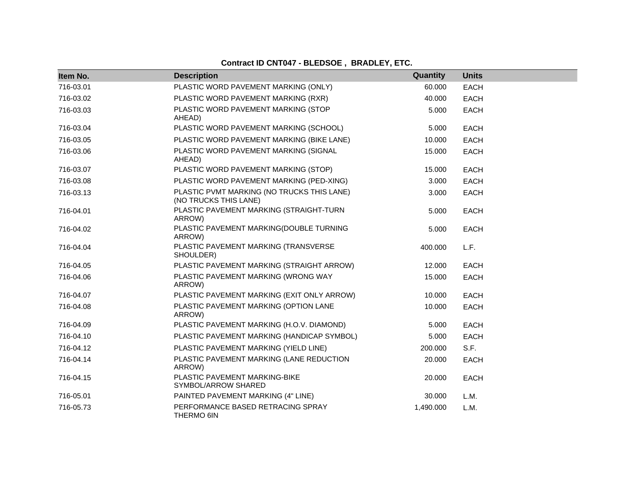# **Contract ID CNT047 - BLEDSOE, BRADLEY, ETC.**

| Item No.  | <b>Description</b>                                                  | Quantity  | <b>Units</b> |
|-----------|---------------------------------------------------------------------|-----------|--------------|
| 716-03.01 | PLASTIC WORD PAVEMENT MARKING (ONLY)                                | 60.000    | <b>EACH</b>  |
| 716-03.02 | PLASTIC WORD PAVEMENT MARKING (RXR)                                 | 40.000    | <b>EACH</b>  |
| 716-03.03 | PLASTIC WORD PAVEMENT MARKING (STOP<br>AHEAD)                       | 5.000     | <b>EACH</b>  |
| 716-03.04 | PLASTIC WORD PAVEMENT MARKING (SCHOOL)                              | 5.000     | <b>EACH</b>  |
| 716-03.05 | PLASTIC WORD PAVEMENT MARKING (BIKE LANE)                           | 10.000    | <b>EACH</b>  |
| 716-03.06 | PLASTIC WORD PAVEMENT MARKING (SIGNAL<br>AHEAD)                     | 15.000    | <b>EACH</b>  |
| 716-03.07 | PLASTIC WORD PAVEMENT MARKING (STOP)                                | 15.000    | <b>EACH</b>  |
| 716-03.08 | PLASTIC WORD PAVEMENT MARKING (PED-XING)                            | 3.000     | <b>EACH</b>  |
| 716-03.13 | PLASTIC PVMT MARKING (NO TRUCKS THIS LANE)<br>(NO TRUCKS THIS LANE) | 3.000     | <b>EACH</b>  |
| 716-04.01 | PLASTIC PAVEMENT MARKING (STRAIGHT-TURN<br>ARROW)                   | 5.000     | <b>EACH</b>  |
| 716-04.02 | PLASTIC PAVEMENT MARKING(DOUBLE TURNING<br>ARROW)                   | 5.000     | <b>EACH</b>  |
| 716-04.04 | PLASTIC PAVEMENT MARKING (TRANSVERSE<br>SHOULDER)                   | 400.000   | L.F.         |
| 716-04.05 | PLASTIC PAVEMENT MARKING (STRAIGHT ARROW)                           | 12.000    | EACH         |
| 716-04.06 | PLASTIC PAVEMENT MARKING (WRONG WAY<br>ARROW)                       | 15.000    | <b>EACH</b>  |
| 716-04.07 | PLASTIC PAVEMENT MARKING (EXIT ONLY ARROW)                          | 10.000    | <b>EACH</b>  |
| 716-04.08 | PLASTIC PAVEMENT MARKING (OPTION LANE<br>ARROW)                     | 10.000    | <b>EACH</b>  |
| 716-04.09 | PLASTIC PAVEMENT MARKING (H.O.V. DIAMOND)                           | 5.000     | <b>EACH</b>  |
| 716-04.10 | PLASTIC PAVEMENT MARKING (HANDICAP SYMBOL)                          | 5.000     | <b>EACH</b>  |
| 716-04.12 | PLASTIC PAVEMENT MARKING (YIELD LINE)                               | 200.000   | S.F.         |
| 716-04.14 | PLASTIC PAVEMENT MARKING (LANE REDUCTION<br>ARROW)                  | 20.000    | <b>EACH</b>  |
| 716-04.15 | PLASTIC PAVEMENT MARKING-BIKE<br>SYMBOL/ARROW SHARED                | 20.000    | <b>EACH</b>  |
| 716-05.01 | PAINTED PAVEMENT MARKING (4" LINE)                                  | 30.000    | L.M.         |
| 716-05.73 | PERFORMANCE BASED RETRACING SPRAY<br>THERMO 6IN                     | 1,490.000 | L.M.         |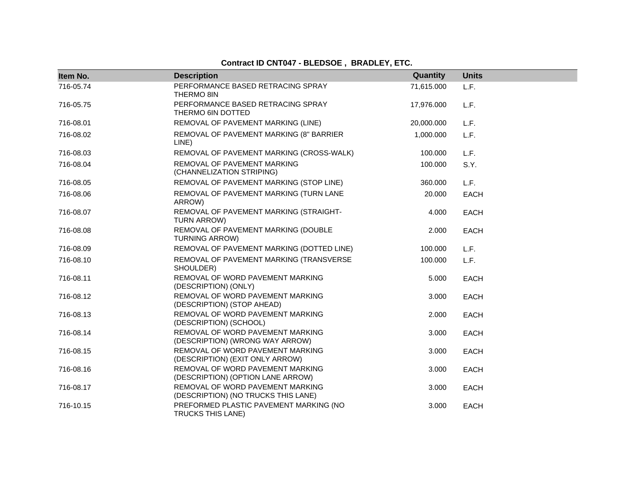# **Contract ID CNT047 - BLEDSOE , BRADLEY, ETC.**

| Item No.  | <b>Description</b>                                                      | Quantity   | <b>Units</b> |
|-----------|-------------------------------------------------------------------------|------------|--------------|
| 716-05.74 | PERFORMANCE BASED RETRACING SPRAY<br><b>THERMO 8IN</b>                  | 71,615.000 | L.F.         |
| 716-05.75 | PERFORMANCE BASED RETRACING SPRAY<br>THERMO 6IN DOTTED                  | 17,976.000 | L.F.         |
| 716-08.01 | REMOVAL OF PAVEMENT MARKING (LINE)                                      | 20,000.000 | L.F.         |
| 716-08.02 | REMOVAL OF PAVEMENT MARKING (8" BARRIER<br>LINE)                        | 1,000.000  | L.F.         |
| 716-08.03 | REMOVAL OF PAVEMENT MARKING (CROSS-WALK)                                | 100.000    | L.F.         |
| 716-08.04 | REMOVAL OF PAVEMENT MARKING<br>(CHANNELIZATION STRIPING)                | 100.000    | S.Y.         |
| 716-08.05 | REMOVAL OF PAVEMENT MARKING (STOP LINE)                                 | 360.000    | L.F.         |
| 716-08.06 | REMOVAL OF PAVEMENT MARKING (TURN LANE<br>ARROW)                        | 20.000     | <b>EACH</b>  |
| 716-08.07 | REMOVAL OF PAVEMENT MARKING (STRAIGHT-<br><b>TURN ARROW)</b>            | 4.000      | <b>EACH</b>  |
| 716-08.08 | REMOVAL OF PAVEMENT MARKING (DOUBLE<br><b>TURNING ARROW)</b>            | 2.000      | <b>EACH</b>  |
| 716-08.09 | REMOVAL OF PAVEMENT MARKING (DOTTED LINE)                               | 100.000    | L.F.         |
| 716-08.10 | REMOVAL OF PAVEMENT MARKING (TRANSVERSE<br>SHOULDER)                    | 100.000    | L.F.         |
| 716-08.11 | REMOVAL OF WORD PAVEMENT MARKING<br>(DESCRIPTION) (ONLY)                | 5.000      | EACH         |
| 716-08.12 | REMOVAL OF WORD PAVEMENT MARKING<br>(DESCRIPTION) (STOP AHEAD)          | 3.000      | <b>EACH</b>  |
| 716-08.13 | REMOVAL OF WORD PAVEMENT MARKING<br>(DESCRIPTION) (SCHOOL)              | 2.000      | <b>EACH</b>  |
| 716-08.14 | REMOVAL OF WORD PAVEMENT MARKING<br>(DESCRIPTION) (WRONG WAY ARROW)     | 3.000      | <b>EACH</b>  |
| 716-08.15 | REMOVAL OF WORD PAVEMENT MARKING<br>(DESCRIPTION) (EXIT ONLY ARROW)     | 3.000      | <b>EACH</b>  |
| 716-08.16 | REMOVAL OF WORD PAVEMENT MARKING<br>(DESCRIPTION) (OPTION LANE ARROW)   | 3.000      | <b>EACH</b>  |
| 716-08.17 | REMOVAL OF WORD PAVEMENT MARKING<br>(DESCRIPTION) (NO TRUCKS THIS LANE) | 3.000      | <b>EACH</b>  |
| 716-10.15 | PREFORMED PLASTIC PAVEMENT MARKING (NO<br>TRUCKS THIS LANE)             | 3.000      | <b>EACH</b>  |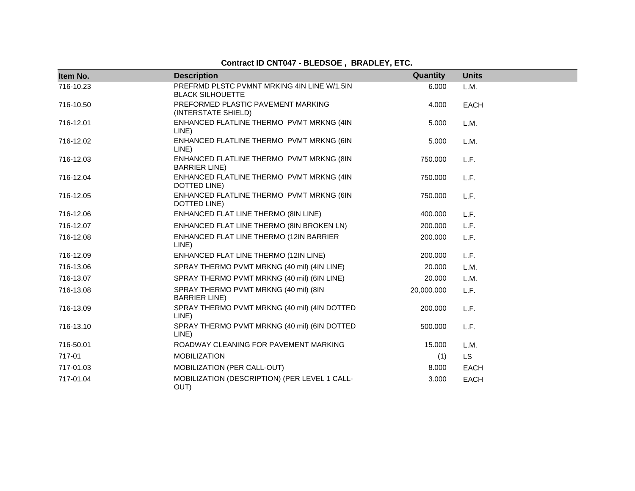# **Contract ID CNT047 - BLEDSOE , BRADLEY, ETC.**

| Item No.  | <b>Description</b>                                                     | Quantity   | <b>Units</b> |
|-----------|------------------------------------------------------------------------|------------|--------------|
| 716-10.23 | PREFRMD PLSTC PVMNT MRKING 4IN LINE W/1.5IN<br><b>BLACK SILHOUETTE</b> | 6.000      | L.M.         |
| 716-10.50 | PREFORMED PLASTIC PAVEMENT MARKING<br>(INTERSTATE SHIELD)              | 4.000      | <b>EACH</b>  |
| 716-12.01 | ENHANCED FLATLINE THERMO PVMT MRKNG (4IN<br>LINE)                      | 5.000      | L.M.         |
| 716-12.02 | ENHANCED FLATLINE THERMO PVMT MRKNG (6IN<br>LINE)                      | 5.000      | L.M.         |
| 716-12.03 | ENHANCED FLATLINE THERMO PVMT MRKNG (8IN<br><b>BARRIER LINE</b> )      | 750.000    | L.F.         |
| 716-12.04 | ENHANCED FLATLINE THERMO PVMT MRKNG (4IN<br>DOTTED LINE)               | 750.000    | L.F.         |
| 716-12.05 | ENHANCED FLATLINE THERMO PVMT MRKNG (6IN<br>DOTTED LINE)               | 750.000    | L.F.         |
| 716-12.06 | ENHANCED FLAT LINE THERMO (8IN LINE)                                   | 400.000    | L.F.         |
| 716-12.07 | ENHANCED FLAT LINE THERMO (8IN BROKEN LN)                              | 200.000    | L.F.         |
| 716-12.08 | ENHANCED FLAT LINE THERMO (12IN BARRIER<br>LINE)                       | 200.000    | L.F.         |
| 716-12.09 | ENHANCED FLAT LINE THERMO (12IN LINE)                                  | 200.000    | L.F.         |
| 716-13.06 | SPRAY THERMO PVMT MRKNG (40 mil) (4IN LINE)                            | 20.000     | L.M.         |
| 716-13.07 | SPRAY THERMO PVMT MRKNG (40 mil) (6IN LINE)                            | 20,000     | L.M.         |
| 716-13.08 | SPRAY THERMO PVMT MRKNG (40 mil) (8IN<br><b>BARRIER LINE</b> )         | 20,000.000 | L.F.         |
| 716-13.09 | SPRAY THERMO PVMT MRKNG (40 mil) (4IN DOTTED<br>LINE)                  | 200.000    | L.F.         |
| 716-13.10 | SPRAY THERMO PVMT MRKNG (40 mil) (6IN DOTTED<br>LINE)                  | 500.000    | L.F.         |
| 716-50.01 | ROADWAY CLEANING FOR PAVEMENT MARKING                                  | 15.000     | L.M.         |
| 717-01    | <b>MOBILIZATION</b>                                                    | (1)        | <b>LS</b>    |
| 717-01.03 | MOBILIZATION (PER CALL-OUT)                                            | 8.000      | <b>EACH</b>  |
| 717-01.04 | MOBILIZATION (DESCRIPTION) (PER LEVEL 1 CALL-<br>OUT)                  | 3.000      | <b>EACH</b>  |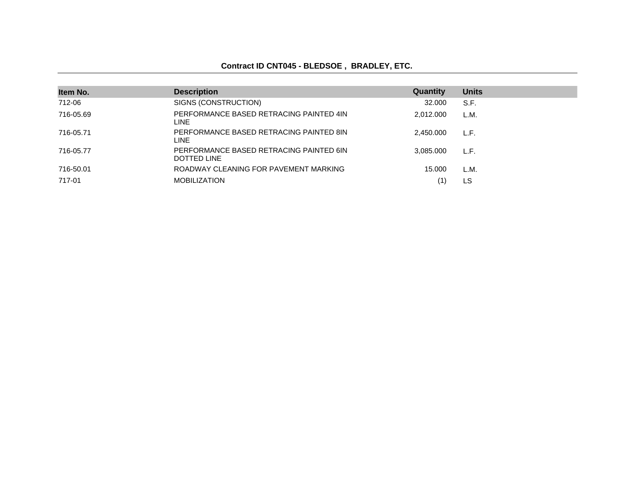#### **Contract ID CNT045 - BLEDSOE , BRADLEY, ETC.**

| Item No.  | <b>Description</b>                                     | Quantity  | <b>Units</b> |
|-----------|--------------------------------------------------------|-----------|--------------|
| 712-06    | SIGNS (CONSTRUCTION)                                   | 32.000    | S.F.         |
| 716-05.69 | PERFORMANCE BASED RETRACING PAINTED 4IN<br>LINE.       | 2.012.000 | L.M.         |
| 716-05.71 | PERFORMANCE BASED RETRACING PAINTED 8IN<br>LINE.       | 2.450.000 | L.F.         |
| 716-05.77 | PERFORMANCE BASED RETRACING PAINTED 6IN<br>DOTTED LINE | 3.085.000 | L.F.         |
| 716-50.01 | ROADWAY CLEANING FOR PAVEMENT MARKING                  | 15.000    | L.M.         |
| 717-01    | <b>MOBILIZATION</b>                                    | (1)       | LS           |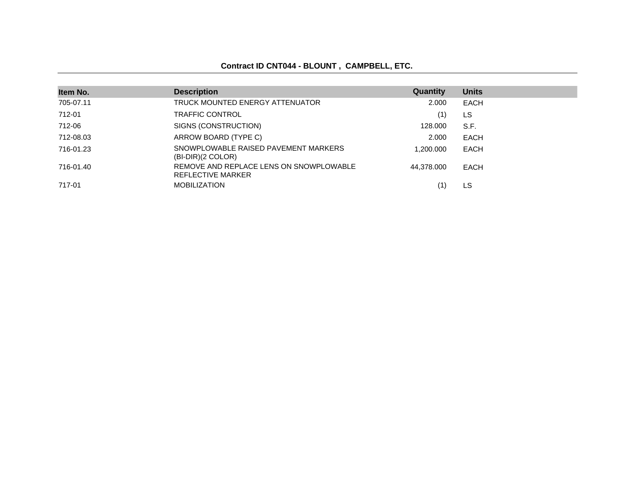# **Contract ID CNT044 - BLOUNT , CAMPBELL, ETC.**

| Item No.  | <b>Description</b>                                           | Quantity   | <b>Units</b> |
|-----------|--------------------------------------------------------------|------------|--------------|
| 705-07.11 | TRUCK MOUNTED ENERGY ATTENUATOR                              | 2.000      | EACH         |
| 712-01    | <b>TRAFFIC CONTROL</b>                                       | (1)        | LS.          |
| 712-06    | SIGNS (CONSTRUCTION)                                         | 128,000    | S.F.         |
| 712-08.03 | ARROW BOARD (TYPE C)                                         | 2.000      | <b>EACH</b>  |
| 716-01.23 | SNOWPLOWABLE RAISED PAVEMENT MARKERS<br>$(BI-DIR)(2 COLOR)$  | 1.200.000  | <b>EACH</b>  |
| 716-01.40 | REMOVE AND REPLACE LENS ON SNOWPLOWABLE<br>REFLECTIVE MARKER | 44.378.000 | <b>EACH</b>  |
| 717-01    | <b>MOBILIZATION</b>                                          |            | LS.          |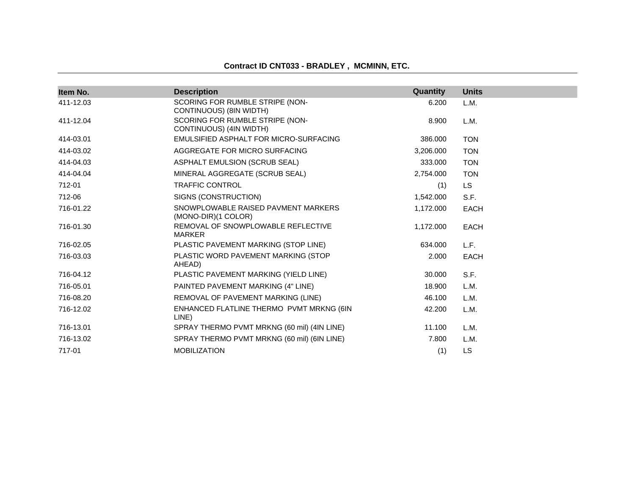|  |  | Contract ID CNT033 - BRADLEY, MCMINN, ETC. |  |  |
|--|--|--------------------------------------------|--|--|
|--|--|--------------------------------------------|--|--|

| Item No.  | <b>Description</b>                                         | Quantity  | <b>Units</b> |
|-----------|------------------------------------------------------------|-----------|--------------|
| 411-12.03 | SCORING FOR RUMBLE STRIPE (NON-<br>CONTINUOUS) (8IN WIDTH) | 6.200     | L.M.         |
| 411-12.04 | SCORING FOR RUMBLE STRIPE (NON-<br>CONTINUOUS) (4IN WIDTH) | 8.900     | L.M.         |
| 414-03.01 | EMULSIFIED ASPHALT FOR MICRO-SURFACING                     | 386.000   | <b>TON</b>   |
| 414-03.02 | AGGREGATE FOR MICRO SURFACING                              | 3,206.000 | <b>TON</b>   |
| 414-04.03 | ASPHALT EMULSION (SCRUB SEAL)                              | 333.000   | <b>TON</b>   |
| 414-04.04 | MINERAL AGGREGATE (SCRUB SEAL)                             | 2,754.000 | <b>TON</b>   |
| 712-01    | <b>TRAFFIC CONTROL</b>                                     | (1)       | <b>LS</b>    |
| 712-06    | SIGNS (CONSTRUCTION)                                       | 1,542.000 | S.F.         |
| 716-01.22 | SNOWPLOWABLE RAISED PAVMENT MARKERS<br>(MONO-DIR)(1 COLOR) | 1,172.000 | <b>EACH</b>  |
| 716-01.30 | REMOVAL OF SNOWPLOWABLE REFLECTIVE<br><b>MARKER</b>        | 1,172.000 | <b>EACH</b>  |
| 716-02.05 | PLASTIC PAVEMENT MARKING (STOP LINE)                       | 634.000   | L.F.         |
| 716-03.03 | PLASTIC WORD PAVEMENT MARKING (STOP<br>AHEAD)              | 2.000     | <b>EACH</b>  |
| 716-04.12 | PLASTIC PAVEMENT MARKING (YIELD LINE)                      | 30.000    | S.F.         |
| 716-05.01 | PAINTED PAVEMENT MARKING (4" LINE)                         | 18.900    | L.M.         |
| 716-08.20 | REMOVAL OF PAVEMENT MARKING (LINE)                         | 46.100    | L.M.         |
| 716-12.02 | ENHANCED FLATLINE THERMO PVMT MRKNG (6IN<br>LINE)          | 42.200    | L.M.         |
| 716-13.01 | SPRAY THERMO PVMT MRKNG (60 mil) (4IN LINE)                | 11.100    | L.M.         |
| 716-13.02 | SPRAY THERMO PVMT MRKNG (60 mil) (6IN LINE)                | 7.800     | L.M.         |
| 717-01    | <b>MOBILIZATION</b>                                        | (1)       | <b>LS</b>    |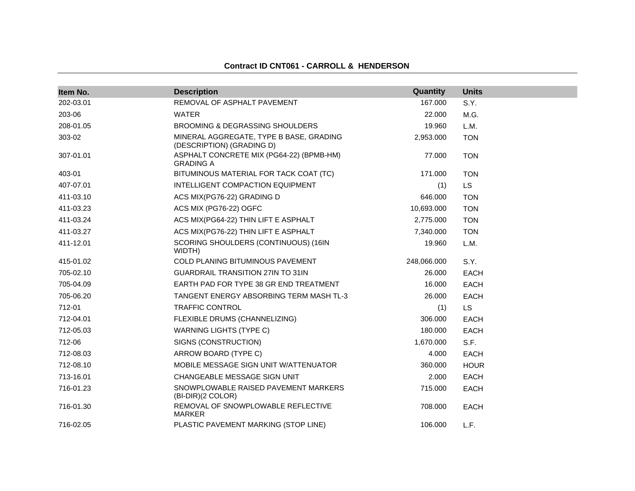#### **Contract ID CNT061 - CARROLL & HENDERSON**

| Item No.  | <b>Description</b>                                                   | Quantity    | <b>Units</b> |
|-----------|----------------------------------------------------------------------|-------------|--------------|
| 202-03.01 | REMOVAL OF ASPHALT PAVEMENT                                          | 167.000     | S.Y.         |
| 203-06    | <b>WATER</b>                                                         | 22.000      | M.G.         |
| 208-01.05 | <b>BROOMING &amp; DEGRASSING SHOULDERS</b>                           | 19.960      | L.M.         |
| 303-02    | MINERAL AGGREGATE, TYPE B BASE, GRADING<br>(DESCRIPTION) (GRADING D) | 2,953.000   | <b>TON</b>   |
| 307-01.01 | ASPHALT CONCRETE MIX (PG64-22) (BPMB-HM)<br><b>GRADING A</b>         | 77.000      | <b>TON</b>   |
| 403-01    | BITUMINOUS MATERIAL FOR TACK COAT (TC)                               | 171.000     | <b>TON</b>   |
| 407-07.01 | INTELLIGENT COMPACTION EQUIPMENT                                     | (1)         | LS.          |
| 411-03.10 | ACS MIX(PG76-22) GRADING D                                           | 646.000     | <b>TON</b>   |
| 411-03.23 | ACS MIX (PG76-22) OGFC                                               | 10,693.000  | <b>TON</b>   |
| 411-03.24 | ACS MIX(PG64-22) THIN LIFT E ASPHALT                                 | 2,775.000   | <b>TON</b>   |
| 411-03.27 | ACS MIX(PG76-22) THIN LIFT E ASPHALT                                 | 7,340.000   | <b>TON</b>   |
| 411-12.01 | SCORING SHOULDERS (CONTINUOUS) (16IN<br>WIDTH)                       | 19.960      | L.M.         |
| 415-01.02 | COLD PLANING BITUMINOUS PAVEMENT                                     | 248,066.000 | S.Y.         |
| 705-02.10 | <b>GUARDRAIL TRANSITION 27IN TO 31IN</b>                             | 26.000      | <b>EACH</b>  |
| 705-04.09 | EARTH PAD FOR TYPE 38 GR END TREATMENT                               | 16.000      | <b>EACH</b>  |
| 705-06.20 | TANGENT ENERGY ABSORBING TERM MASH TL-3                              | 26.000      | <b>EACH</b>  |
| 712-01    | <b>TRAFFIC CONTROL</b>                                               | (1)         | <b>LS</b>    |
| 712-04.01 | FLEXIBLE DRUMS (CHANNELIZING)                                        | 306.000     | <b>EACH</b>  |
| 712-05.03 | <b>WARNING LIGHTS (TYPE C)</b>                                       | 180.000     | <b>EACH</b>  |
| 712-06    | SIGNS (CONSTRUCTION)                                                 | 1,670.000   | S.F.         |
| 712-08.03 | ARROW BOARD (TYPE C)                                                 | 4.000       | <b>EACH</b>  |
| 712-08.10 | MOBILE MESSAGE SIGN UNIT W/ATTENUATOR                                | 360.000     | <b>HOUR</b>  |
| 713-16.01 | <b>CHANGEABLE MESSAGE SIGN UNIT</b>                                  | 2.000       | <b>EACH</b>  |
| 716-01.23 | SNOWPLOWABLE RAISED PAVEMENT MARKERS<br>(BI-DIR)(2 COLOR)            | 715.000     | <b>EACH</b>  |
| 716-01.30 | REMOVAL OF SNOWPLOWABLE REFLECTIVE<br><b>MARKER</b>                  | 708.000     | <b>EACH</b>  |
| 716-02.05 | PLASTIC PAVEMENT MARKING (STOP LINE)                                 | 106.000     | L.F.         |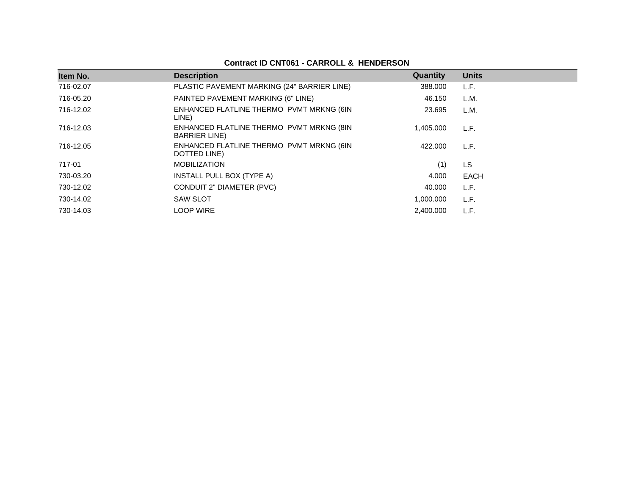# **Contract ID CNT061 - CARROLL & HENDERSON**

| Item No.  | <b>Description</b>                                                | Quantity  | <b>Units</b> |
|-----------|-------------------------------------------------------------------|-----------|--------------|
| 716-02.07 | PLASTIC PAVEMENT MARKING (24" BARRIER LINE)                       | 388.000   | L.F.         |
| 716-05.20 | PAINTED PAVEMENT MARKING (6" LINE)                                | 46.150    | L.M.         |
| 716-12.02 | ENHANCED FLATLINE THERMO PVMT MRKNG (6IN<br>LINE)                 | 23.695    | L.M.         |
| 716-12.03 | ENHANCED FLATLINE THERMO PVMT MRKNG (8IN<br><b>BARRIER LINE</b> ) | 1.405.000 | L.F.         |
| 716-12.05 | ENHANCED FLATLINE THERMO PVMT MRKNG (6IN<br>DOTTED LINE)          | 422,000   | L.F.         |
| 717-01    | <b>MOBILIZATION</b>                                               | (1)       | LS           |
| 730-03.20 | INSTALL PULL BOX (TYPE A)                                         | 4.000     | EACH         |
| 730-12.02 | CONDUIT 2" DIAMETER (PVC)                                         | 40.000    | L.F.         |
| 730-14.02 | <b>SAW SLOT</b>                                                   | 1,000.000 | L.F.         |
| 730-14.03 | <b>LOOP WIRE</b>                                                  | 2.400.000 | L.F.         |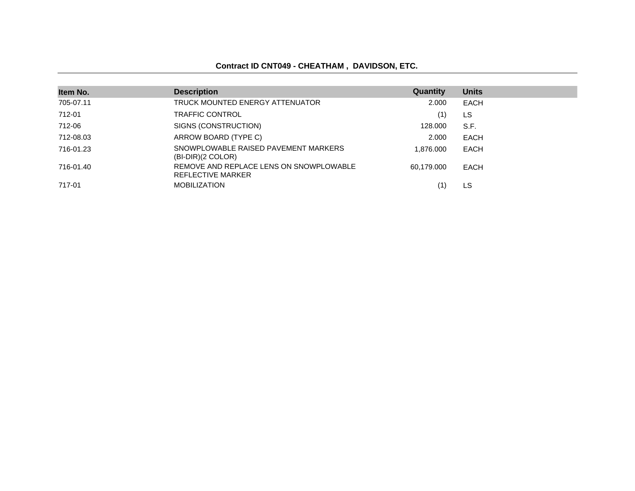#### **Contract ID CNT049 - CHEATHAM , DAVIDSON, ETC.**

| Item No.  | <b>Description</b>                                           | Quantity   | <b>Units</b> |
|-----------|--------------------------------------------------------------|------------|--------------|
| 705-07.11 | TRUCK MOUNTED ENERGY ATTENUATOR                              | 2.000      | <b>EACH</b>  |
| 712-01    | <b>TRAFFIC CONTROL</b>                                       | (1)        | LS.          |
| 712-06    | SIGNS (CONSTRUCTION)                                         | 128,000    | S.F.         |
| 712-08.03 | ARROW BOARD (TYPE C)                                         | 2.000      | <b>EACH</b>  |
| 716-01.23 | SNOWPLOWABLE RAISED PAVEMENT MARKERS<br>$(BI-DIR)(2 COLOR)$  | 1.876.000  | EACH         |
| 716-01.40 | REMOVE AND REPLACE LENS ON SNOWPLOWABLE<br>REFLECTIVE MARKER | 60.179.000 | EACH         |
| 717-01    | <b>MOBILIZATION</b>                                          | (1)        | LS.          |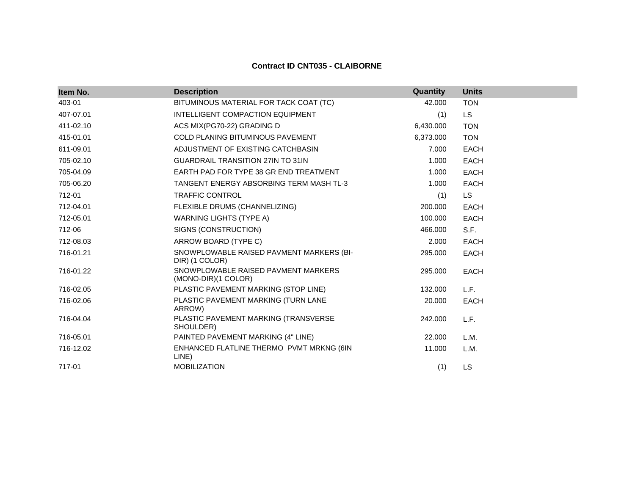#### **Contract ID CNT035 - CLAIBORNE**

| Item No.  | <b>Description</b>                                         | Quantity  | <b>Units</b> |
|-----------|------------------------------------------------------------|-----------|--------------|
| 403-01    | BITUMINOUS MATERIAL FOR TACK COAT (TC)                     | 42.000    | <b>TON</b>   |
| 407-07.01 | INTELLIGENT COMPACTION EQUIPMENT                           | (1)       | LS.          |
| 411-02.10 | ACS MIX(PG70-22) GRADING D                                 | 6,430.000 | <b>TON</b>   |
| 415-01.01 | <b>COLD PLANING BITUMINOUS PAVEMENT</b>                    | 6,373.000 | <b>TON</b>   |
| 611-09.01 | ADJUSTMENT OF EXISTING CATCHBASIN                          | 7.000     | <b>EACH</b>  |
| 705-02.10 | <b>GUARDRAIL TRANSITION 27IN TO 31IN</b>                   | 1.000     | <b>EACH</b>  |
| 705-04.09 | EARTH PAD FOR TYPE 38 GR END TREATMENT                     | 1.000     | <b>EACH</b>  |
| 705-06.20 | TANGENT ENERGY ABSORBING TERM MASH TL-3                    | 1.000     | <b>EACH</b>  |
| 712-01    | <b>TRAFFIC CONTROL</b>                                     | (1)       | LS.          |
| 712-04.01 | FLEXIBLE DRUMS (CHANNELIZING)                              | 200,000   | <b>EACH</b>  |
| 712-05.01 | WARNING LIGHTS (TYPE A)                                    | 100.000   | <b>EACH</b>  |
| 712-06    | SIGNS (CONSTRUCTION)                                       | 466.000   | S.F.         |
| 712-08.03 | ARROW BOARD (TYPE C)                                       | 2.000     | <b>EACH</b>  |
| 716-01.21 | SNOWPLOWABLE RAISED PAVMENT MARKERS (BI-<br>DIR) (1 COLOR) | 295.000   | <b>EACH</b>  |
| 716-01.22 | SNOWPLOWABLE RAISED PAVMENT MARKERS<br>(MONO-DIR)(1 COLOR) | 295.000   | <b>EACH</b>  |
| 716-02.05 | PLASTIC PAVEMENT MARKING (STOP LINE)                       | 132.000   | L.F.         |
| 716-02.06 | PLASTIC PAVEMENT MARKING (TURN LANE<br>ARROW)              | 20.000    | <b>EACH</b>  |
| 716-04.04 | PLASTIC PAVEMENT MARKING (TRANSVERSE<br>SHOULDER)          | 242.000   | L.F.         |
| 716-05.01 | PAINTED PAVEMENT MARKING (4" LINE)                         | 22,000    | L.M.         |
| 716-12.02 | ENHANCED FLATLINE THERMO PVMT MRKNG (6IN<br>LINE)          | 11.000    | L.M.         |
| 717-01    | <b>MOBILIZATION</b>                                        | (1)       | <b>LS</b>    |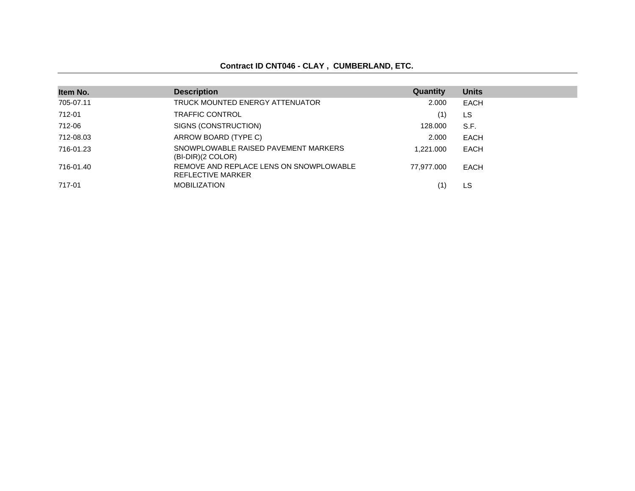# **Contract ID CNT046 - CLAY , CUMBERLAND, ETC.**

| Item No.  | <b>Description</b>                                           | Quantity   | <b>Units</b> |
|-----------|--------------------------------------------------------------|------------|--------------|
| 705-07.11 | TRUCK MOUNTED ENERGY ATTENUATOR                              | 2.000      | EACH         |
| 712-01    | <b>TRAFFIC CONTROL</b>                                       | (1)        | LS           |
| 712-06    | SIGNS (CONSTRUCTION)                                         | 128,000    | S.F.         |
| 712-08.03 | ARROW BOARD (TYPE C)                                         | 2.000      | EACH         |
| 716-01.23 | SNOWPLOWABLE RAISED PAVEMENT MARKERS<br>$(BI-DIR)(2 COLOR)$  | 1.221.000  | EACH         |
| 716-01.40 | REMOVE AND REPLACE LENS ON SNOWPLOWABLE<br>REFLECTIVE MARKER | 77.977.000 | EACH         |
| 717-01    | <b>MOBILIZATION</b>                                          |            | LS           |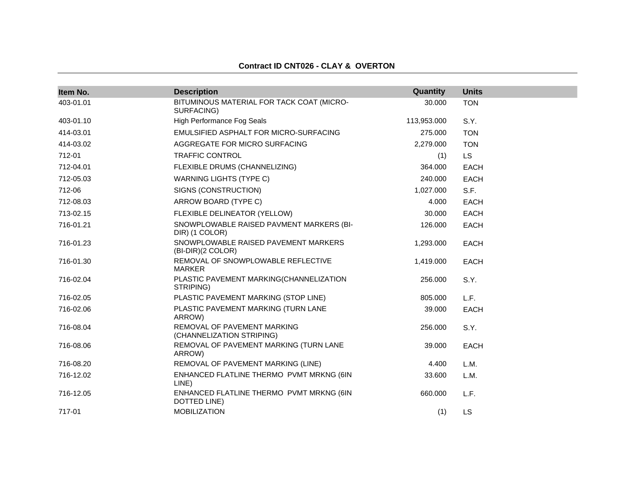# **Contract ID CNT026 - CLAY & OVERTON**

| Item No.  | <b>Description</b>                                         | Quantity    | <b>Units</b> |
|-----------|------------------------------------------------------------|-------------|--------------|
| 403-01.01 | BITUMINOUS MATERIAL FOR TACK COAT (MICRO-<br>SURFACING)    | 30.000      | <b>TON</b>   |
| 403-01.10 | High Performance Fog Seals                                 | 113,953.000 | S.Y.         |
| 414-03.01 | EMULSIFIED ASPHALT FOR MICRO-SURFACING                     | 275.000     | <b>TON</b>   |
| 414-03.02 | AGGREGATE FOR MICRO SURFACING                              | 2,279.000   | <b>TON</b>   |
| 712-01    | <b>TRAFFIC CONTROL</b>                                     | (1)         | LS.          |
| 712-04.01 | FLEXIBLE DRUMS (CHANNELIZING)                              | 364.000     | <b>EACH</b>  |
| 712-05.03 | <b>WARNING LIGHTS (TYPE C)</b>                             | 240.000     | <b>EACH</b>  |
| 712-06    | SIGNS (CONSTRUCTION)                                       | 1,027.000   | S.F.         |
| 712-08.03 | ARROW BOARD (TYPE C)                                       | 4.000       | EACH         |
| 713-02.15 | FLEXIBLE DELINEATOR (YELLOW)                               | 30.000      | EACH         |
| 716-01.21 | SNOWPLOWABLE RAISED PAVMENT MARKERS (BI-<br>DIR) (1 COLOR) | 126.000     | <b>EACH</b>  |
| 716-01.23 | SNOWPLOWABLE RAISED PAVEMENT MARKERS<br>(BI-DIR)(2 COLOR)  | 1,293.000   | <b>EACH</b>  |
| 716-01.30 | REMOVAL OF SNOWPLOWABLE REFLECTIVE<br>MARKER               | 1,419.000   | <b>EACH</b>  |
| 716-02.04 | PLASTIC PAVEMENT MARKING(CHANNELIZATION<br>STRIPING)       | 256,000     | S.Y.         |
| 716-02.05 | PLASTIC PAVEMENT MARKING (STOP LINE)                       | 805.000     | L.F.         |
| 716-02.06 | PLASTIC PAVEMENT MARKING (TURN LANE<br>ARROW)              | 39.000      | EACH         |
| 716-08.04 | REMOVAL OF PAVEMENT MARKING<br>(CHANNELIZATION STRIPING)   | 256.000     | S.Y.         |
| 716-08.06 | REMOVAL OF PAVEMENT MARKING (TURN LANE<br>ARROW)           | 39,000      | <b>EACH</b>  |
| 716-08.20 | REMOVAL OF PAVEMENT MARKING (LINE)                         | 4.400       | L.M.         |
| 716-12.02 | ENHANCED FLATLINE THERMO PVMT MRKNG (6IN<br>LINE)          | 33.600      | L.M.         |
| 716-12.05 | ENHANCED FLATLINE THERMO PVMT MRKNG (6IN<br>DOTTED LINE)   | 660.000     | L.F.         |
| 717-01    | <b>MOBILIZATION</b>                                        | (1)         | LS           |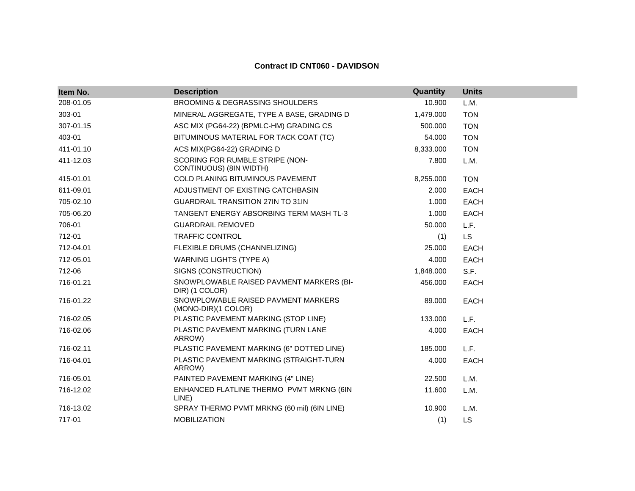| Item No.  | <b>Description</b>                                         | Quantity  | <b>Units</b> |
|-----------|------------------------------------------------------------|-----------|--------------|
| 208-01.05 | <b>BROOMING &amp; DEGRASSING SHOULDERS</b>                 | 10.900    | L.M.         |
| 303-01    | MINERAL AGGREGATE, TYPE A BASE, GRADING D                  | 1,479.000 | <b>TON</b>   |
| 307-01.15 | ASC MIX (PG64-22) (BPMLC-HM) GRADING CS                    | 500.000   | <b>TON</b>   |
| 403-01    | BITUMINOUS MATERIAL FOR TACK COAT (TC)                     | 54.000    | <b>TON</b>   |
| 411-01.10 | ACS MIX(PG64-22) GRADING D                                 | 8,333.000 | <b>TON</b>   |
| 411-12.03 | SCORING FOR RUMBLE STRIPE (NON-<br>CONTINUOUS) (8IN WIDTH) | 7.800     | L.M.         |
| 415-01.01 | <b>COLD PLANING BITUMINOUS PAVEMENT</b>                    | 8,255.000 | <b>TON</b>   |
| 611-09.01 | ADJUSTMENT OF EXISTING CATCHBASIN                          | 2.000     | <b>EACH</b>  |
| 705-02.10 | <b>GUARDRAIL TRANSITION 27IN TO 31IN</b>                   | 1.000     | <b>EACH</b>  |
| 705-06.20 | TANGENT ENERGY ABSORBING TERM MASH TL-3                    | 1.000     | <b>EACH</b>  |
| 706-01    | <b>GUARDRAIL REMOVED</b>                                   | 50.000    | L.F.         |
| 712-01    | <b>TRAFFIC CONTROL</b>                                     | (1)       | <b>LS</b>    |
| 712-04.01 | FLEXIBLE DRUMS (CHANNELIZING)                              | 25.000    | <b>EACH</b>  |
| 712-05.01 | <b>WARNING LIGHTS (TYPE A)</b>                             | 4.000     | <b>EACH</b>  |
| 712-06    | SIGNS (CONSTRUCTION)                                       | 1,848.000 | S.F.         |
| 716-01.21 | SNOWPLOWABLE RAISED PAVMENT MARKERS (BI-<br>DIR) (1 COLOR) | 456.000   | <b>EACH</b>  |
| 716-01.22 | SNOWPLOWABLE RAISED PAVMENT MARKERS<br>(MONO-DIR)(1 COLOR) | 89.000    | <b>EACH</b>  |
| 716-02.05 | PLASTIC PAVEMENT MARKING (STOP LINE)                       | 133.000   | L.F.         |
| 716-02.06 | PLASTIC PAVEMENT MARKING (TURN LANE<br>ARROW)              | 4.000     | <b>EACH</b>  |
| 716-02.11 | PLASTIC PAVEMENT MARKING (6" DOTTED LINE)                  | 185.000   | L.F.         |
| 716-04.01 | PLASTIC PAVEMENT MARKING (STRAIGHT-TURN<br>ARROW)          | 4.000     | <b>EACH</b>  |
| 716-05.01 | PAINTED PAVEMENT MARKING (4" LINE)                         | 22.500    | L.M.         |
| 716-12.02 | ENHANCED FLATLINE THERMO PVMT MRKNG (6IN<br>LINE)          | 11.600    | L.M.         |
| 716-13.02 | SPRAY THERMO PVMT MRKNG (60 mil) (6IN LINE)                | 10.900    | L.M.         |
| 717-01    | <b>MOBILIZATION</b>                                        | (1)       | <b>LS</b>    |

### **Contract ID CNT060 - DAVIDSON**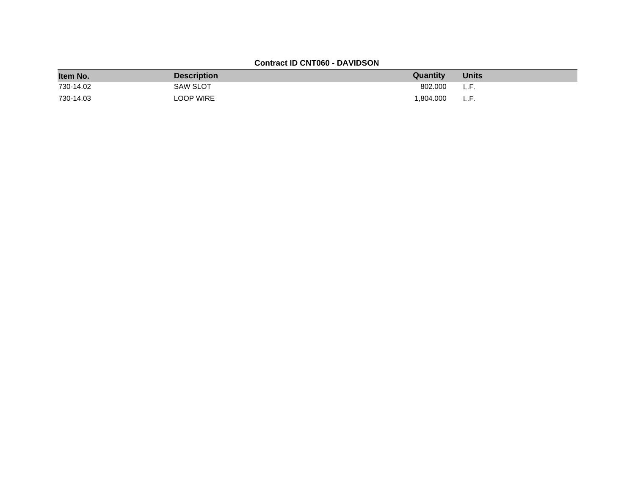## **Contract ID CNT060 - DAVIDSON**

| Item No.  | <b>Description</b> | <b>Quantity</b> | <b>Units</b> |
|-----------|--------------------|-----------------|--------------|
| 730-14.02 | <b>SAW SLOT</b>    | 802.000         | L.F.         |
| 730-14.03 | LOOP WIRE          | 1.804.000       | L.F.         |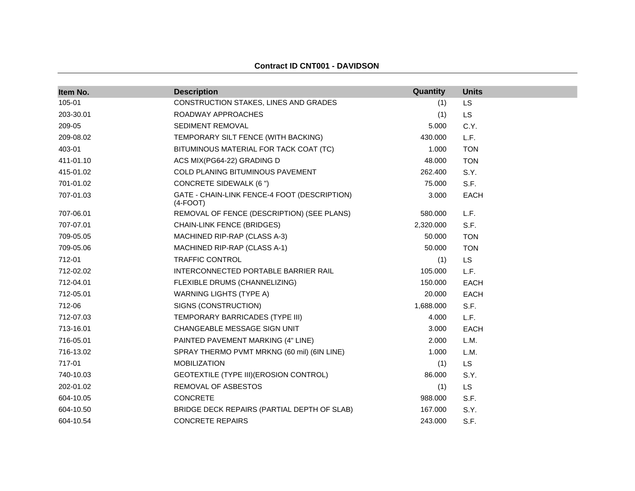| Item No.  | <b>Description</b>                                         | Quantity  | <b>Units</b> |
|-----------|------------------------------------------------------------|-----------|--------------|
| 105-01    | CONSTRUCTION STAKES, LINES AND GRADES                      | (1)       | LS           |
| 203-30.01 | ROADWAY APPROACHES                                         | (1)       | <b>LS</b>    |
| 209-05    | SEDIMENT REMOVAL                                           | 5.000     | C.Y.         |
| 209-08.02 | TEMPORARY SILT FENCE (WITH BACKING)                        | 430.000   | L.F.         |
| 403-01    | BITUMINOUS MATERIAL FOR TACK COAT (TC)                     | 1.000     | <b>TON</b>   |
| 411-01.10 | ACS MIX(PG64-22) GRADING D                                 | 48.000    | <b>TON</b>   |
| 415-01.02 | <b>COLD PLANING BITUMINOUS PAVEMENT</b>                    | 262.400   | S.Y.         |
| 701-01.02 | <b>CONCRETE SIDEWALK (6 ")</b>                             | 75.000    | S.F.         |
| 707-01.03 | GATE - CHAIN-LINK FENCE-4 FOOT (DESCRIPTION)<br>$(4-FOOT)$ | 3.000     | <b>EACH</b>  |
| 707-06.01 | REMOVAL OF FENCE (DESCRIPTION) (SEE PLANS)                 | 580.000   | L.F.         |
| 707-07.01 | <b>CHAIN-LINK FENCE (BRIDGES)</b>                          | 2,320.000 | S.F.         |
| 709-05.05 | MACHINED RIP-RAP (CLASS A-3)                               | 50.000    | <b>TON</b>   |
| 709-05.06 | MACHINED RIP-RAP (CLASS A-1)                               | 50.000    | <b>TON</b>   |
| 712-01    | <b>TRAFFIC CONTROL</b>                                     | (1)       | <b>LS</b>    |
| 712-02.02 | INTERCONNECTED PORTABLE BARRIER RAIL                       | 105.000   | L.F.         |
| 712-04.01 | FLEXIBLE DRUMS (CHANNELIZING)                              | 150.000   | <b>EACH</b>  |
| 712-05.01 | WARNING LIGHTS (TYPE A)                                    | 20.000    | <b>EACH</b>  |
| 712-06    | SIGNS (CONSTRUCTION)                                       | 1,688.000 | S.F.         |
| 712-07.03 | TEMPORARY BARRICADES (TYPE III)                            | 4.000     | L.F.         |
| 713-16.01 | CHANGEABLE MESSAGE SIGN UNIT                               | 3.000     | <b>EACH</b>  |
| 716-05.01 | PAINTED PAVEMENT MARKING (4" LINE)                         | 2.000     | L.M.         |
| 716-13.02 | SPRAY THERMO PVMT MRKNG (60 mil) (6IN LINE)                | 1.000     | L.M.         |
| 717-01    | <b>MOBILIZATION</b>                                        | (1)       | <b>LS</b>    |
| 740-10.03 | GEOTEXTILE (TYPE III) (EROSION CONTROL)                    | 86.000    | S.Y.         |
| 202-01.02 | REMOVAL OF ASBESTOS                                        | (1)       | <b>LS</b>    |
| 604-10.05 | <b>CONCRETE</b>                                            | 988.000   | S.F.         |
| 604-10.50 | BRIDGE DECK REPAIRS (PARTIAL DEPTH OF SLAB)                | 167.000   | S.Y.         |
| 604-10.54 | <b>CONCRETE REPAIRS</b>                                    | 243.000   | S.F.         |

#### **Contract ID CNT001 - DAVIDSON**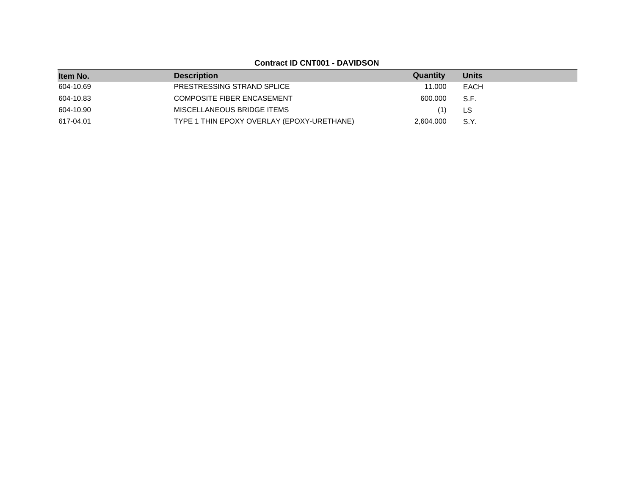**Contract ID CNT001 - DAVIDSON**

| Item No.  | <b>Description</b>                         | Quantity  | <b>Units</b> |
|-----------|--------------------------------------------|-----------|--------------|
| 604-10.69 | PRESTRESSING STRAND SPLICE                 | 11.000    | EACH         |
| 604-10.83 | <b>COMPOSITE FIBER ENCASEMENT</b>          | 600.000   | S.F.         |
| 604-10.90 | MISCELLANEOUS BRIDGE ITEMS                 |           | LS           |
| 617-04.01 | TYPE 1 THIN EPOXY OVERLAY (EPOXY-URETHANE) | 2.604.000 | S.Y.         |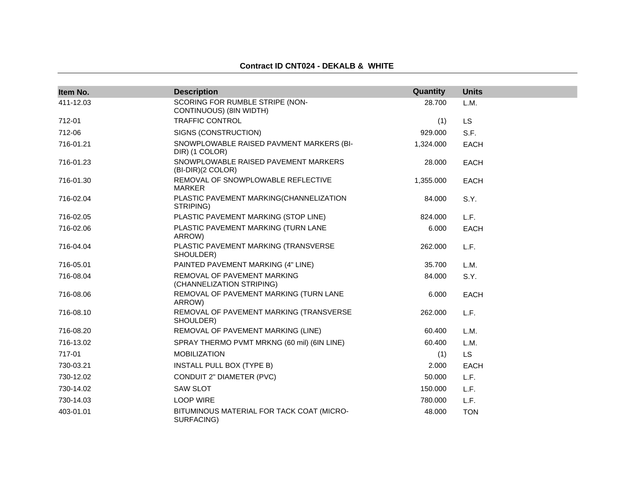### **Contract ID CNT024 - DEKALB & WHITE**

| Item No.  | <b>Description</b>                                          | Quantity  | <b>Units</b> |
|-----------|-------------------------------------------------------------|-----------|--------------|
| 411-12.03 | SCORING FOR RUMBLE STRIPE (NON-<br>CONTINUOUS) (8IN WIDTH)  | 28.700    | L.M.         |
| 712-01    | <b>TRAFFIC CONTROL</b>                                      | (1)       | LS.          |
| 712-06    | SIGNS (CONSTRUCTION)                                        | 929.000   | S.F.         |
| 716-01.21 | SNOWPLOWABLE RAISED PAVMENT MARKERS (BI-<br>DIR) (1 COLOR)  | 1,324.000 | <b>EACH</b>  |
| 716-01.23 | SNOWPLOWABLE RAISED PAVEMENT MARKERS<br>$(BI-DIR)(2 COLOR)$ | 28.000    | <b>EACH</b>  |
| 716-01.30 | REMOVAL OF SNOWPLOWABLE REFLECTIVE<br><b>MARKER</b>         | 1,355.000 | <b>EACH</b>  |
| 716-02.04 | PLASTIC PAVEMENT MARKING(CHANNELIZATION<br>STRIPING)        | 84.000    | S.Y.         |
| 716-02.05 | PLASTIC PAVEMENT MARKING (STOP LINE)                        | 824.000   | L.F.         |
| 716-02.06 | PLASTIC PAVEMENT MARKING (TURN LANE<br>ARROW)               | 6.000     | <b>EACH</b>  |
| 716-04.04 | PLASTIC PAVEMENT MARKING (TRANSVERSE<br>SHOULDER)           | 262.000   | L.F.         |
| 716-05.01 | PAINTED PAVEMENT MARKING (4" LINE)                          | 35.700    | L.M.         |
| 716-08.04 | REMOVAL OF PAVEMENT MARKING<br>(CHANNELIZATION STRIPING)    | 84.000    | S.Y.         |
| 716-08.06 | REMOVAL OF PAVEMENT MARKING (TURN LANE<br>ARROW)            | 6.000     | <b>EACH</b>  |
| 716-08.10 | REMOVAL OF PAVEMENT MARKING (TRANSVERSE<br>SHOULDER)        | 262.000   | L.F.         |
| 716-08.20 | REMOVAL OF PAVEMENT MARKING (LINE)                          | 60.400    | L.M.         |
| 716-13.02 | SPRAY THERMO PVMT MRKNG (60 mil) (6IN LINE)                 | 60.400    | L.M.         |
| 717-01    | <b>MOBILIZATION</b>                                         | (1)       | <b>LS</b>    |
| 730-03.21 | INSTALL PULL BOX (TYPE B)                                   | 2.000     | <b>EACH</b>  |
| 730-12.02 | <b>CONDUIT 2" DIAMETER (PVC)</b>                            | 50.000    | L.F.         |
| 730-14.02 | <b>SAW SLOT</b>                                             | 150.000   | L.F.         |
| 730-14.03 | <b>LOOP WIRE</b>                                            | 780.000   | L.F.         |
| 403-01.01 | BITUMINOUS MATERIAL FOR TACK COAT (MICRO-<br>SURFACING)     | 48.000    | <b>TON</b>   |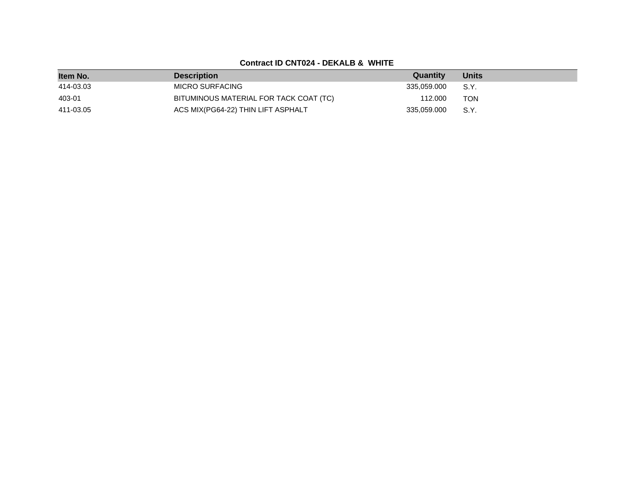# **Contract ID CNT024 - DEKALB & WHITE**

| Item No.  | <b>Description</b>                     | Quantity    | <b>Units</b> |
|-----------|----------------------------------------|-------------|--------------|
| 414-03.03 | MICRO SURFACING                        | 335.059.000 | S.Y.         |
| 403-01    | BITUMINOUS MATERIAL FOR TACK COAT (TC) | 112.000     | TON          |
| 411-03.05 | ACS MIX(PG64-22) THIN LIFT ASPHALT     | 335.059.000 | S.Y.         |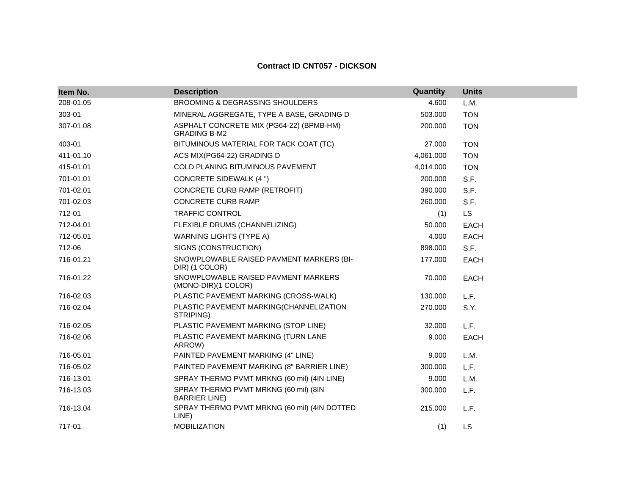#### **Contract ID CNT057 - DICKSON**

| Item No.  | <b>Description</b>                                              | Quantity  | <b>Units</b> |
|-----------|-----------------------------------------------------------------|-----------|--------------|
| 208-01.05 | <b>BROOMING &amp; DEGRASSING SHOULDERS</b>                      | 4.600     | L.M.         |
| 303-01    | MINERAL AGGREGATE, TYPE A BASE, GRADING D                       | 503.000   | <b>TON</b>   |
| 307-01.08 | ASPHALT CONCRETE MIX (PG64-22) (BPMB-HM)<br><b>GRADING B-M2</b> | 200.000   | <b>TON</b>   |
| 403-01    | BITUMINOUS MATERIAL FOR TACK COAT (TC)                          | 27,000    | <b>TON</b>   |
| 411-01.10 | ACS MIX(PG64-22) GRADING D                                      | 4,061.000 | <b>TON</b>   |
| 415-01.01 | <b>COLD PLANING BITUMINOUS PAVEMENT</b>                         | 4,014.000 | <b>TON</b>   |
| 701-01.01 | <b>CONCRETE SIDEWALK (4 ")</b>                                  | 200.000   | S.F.         |
| 701-02.01 | CONCRETE CURB RAMP (RETROFIT)                                   | 390,000   | S.F.         |
| 701-02.03 | <b>CONCRETE CURB RAMP</b>                                       | 260,000   | S.F.         |
| 712-01    | <b>TRAFFIC CONTROL</b>                                          | (1)       | <b>LS</b>    |
| 712-04.01 | FLEXIBLE DRUMS (CHANNELIZING)                                   | 50.000    | <b>EACH</b>  |
| 712-05.01 | <b>WARNING LIGHTS (TYPE A)</b>                                  | 4.000     | <b>EACH</b>  |
| 712-06    | SIGNS (CONSTRUCTION)                                            | 898.000   | S.F.         |
| 716-01.21 | SNOWPLOWABLE RAISED PAVMENT MARKERS (BI-<br>DIR) (1 COLOR)      | 177.000   | <b>EACH</b>  |
| 716-01.22 | SNOWPLOWABLE RAISED PAVMENT MARKERS<br>(MONO-DIR)(1 COLOR)      | 70.000    | <b>EACH</b>  |
| 716-02.03 | PLASTIC PAVEMENT MARKING (CROSS-WALK)                           | 130.000   | L.F.         |
| 716-02.04 | PLASTIC PAVEMENT MARKING(CHANNELIZATION<br>STRIPING)            | 270.000   | S.Y.         |
| 716-02.05 | PLASTIC PAVEMENT MARKING (STOP LINE)                            | 32.000    | L.F.         |
| 716-02.06 | PLASTIC PAVEMENT MARKING (TURN LANE<br>ARROW)                   | 9.000     | <b>EACH</b>  |
| 716-05.01 | PAINTED PAVEMENT MARKING (4" LINE)                              | 9.000     | L.M.         |
| 716-05.02 | PAINTED PAVEMENT MARKING (8" BARRIER LINE)                      | 300.000   | L.F.         |
| 716-13.01 | SPRAY THERMO PVMT MRKNG (60 mil) (4IN LINE)                     | 9.000     | L.M.         |
| 716-13.03 | SPRAY THERMO PVMT MRKNG (60 mil) (8IN<br><b>BARRIER LINE)</b>   | 300.000   | L.F.         |
| 716-13.04 | SPRAY THERMO PVMT MRKNG (60 mil) (4IN DOTTED<br>LINE)           | 215.000   | L.F.         |
| 717-01    | <b>MOBILIZATION</b>                                             | (1)       | <b>LS</b>    |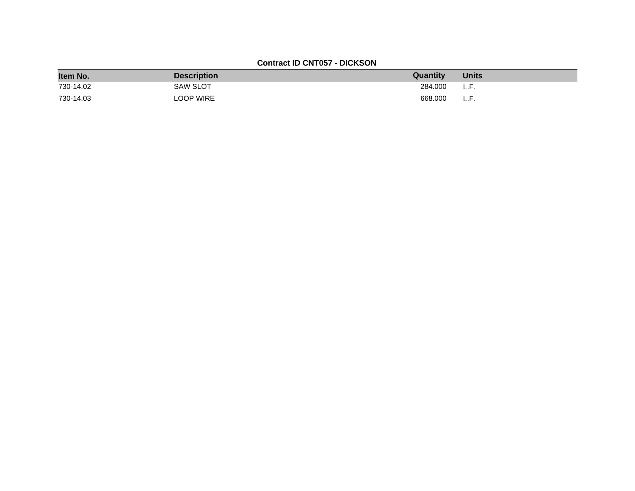## **Contract ID CNT057 - DICKSON**

| Item No.  | <b>Description</b> | Quantity | <b>Units</b> |
|-----------|--------------------|----------|--------------|
| 730-14.02 | <b>SAW SLOT</b>    | 284.000  | L.F.         |
| 730-14.03 | <b>LOOP WIRE</b>   | 668,000  | L.F.         |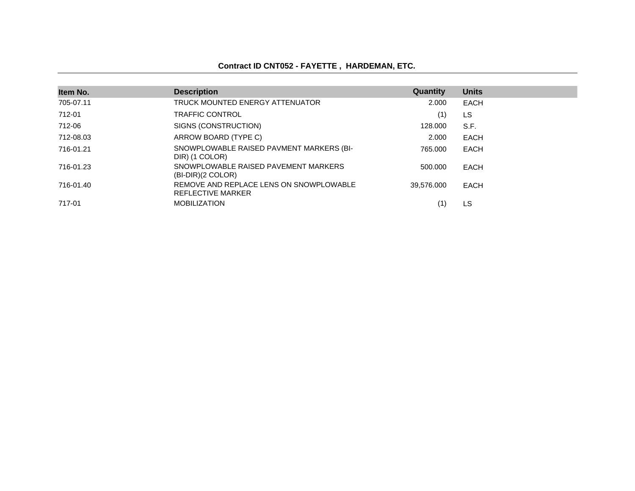# **Contract ID CNT052 - FAYETTE , HARDEMAN, ETC.**

| Item No.  | <b>Description</b>                                           | <b>Quantity</b> | <b>Units</b> |
|-----------|--------------------------------------------------------------|-----------------|--------------|
| 705-07.11 | TRUCK MOUNTED ENERGY ATTENUATOR                              | 2.000           | EACH         |
| 712-01    | <b>TRAFFIC CONTROL</b>                                       | (1)             | LS           |
| 712-06    | SIGNS (CONSTRUCTION)                                         | 128,000         | S.F.         |
| 712-08.03 | ARROW BOARD (TYPE C)                                         | 2.000           | <b>EACH</b>  |
| 716-01.21 | SNOWPLOWABLE RAISED PAVMENT MARKERS (BI-<br>DIR) (1 COLOR)   | 765.000         | <b>EACH</b>  |
| 716-01.23 | SNOWPLOWABLE RAISED PAVEMENT MARKERS<br>$(BI-DIR)(2 COLOR)$  | 500.000         | EACH         |
| 716-01.40 | REMOVE AND REPLACE LENS ON SNOWPLOWABLE<br>REFLECTIVE MARKER | 39.576.000      | <b>EACH</b>  |
| 717-01    | <b>MOBILIZATION</b>                                          | (1)             | LS           |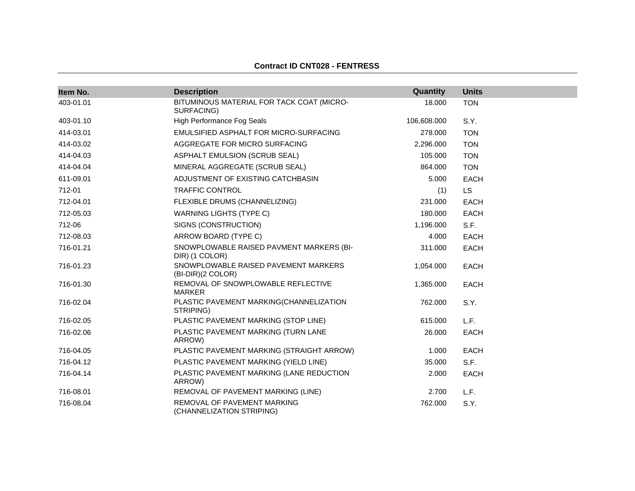# **Contract ID CNT028 - FENTRESS**

| Item No.  | <b>Description</b>                                         | Quantity    | <b>Units</b> |
|-----------|------------------------------------------------------------|-------------|--------------|
| 403-01.01 | BITUMINOUS MATERIAL FOR TACK COAT (MICRO-<br>SURFACING)    | 18.000      | <b>TON</b>   |
| 403-01.10 | <b>High Performance Fog Seals</b>                          | 106,608.000 | S.Y.         |
| 414-03.01 | EMULSIFIED ASPHALT FOR MICRO-SURFACING                     | 278,000     | <b>TON</b>   |
| 414-03.02 | AGGREGATE FOR MICRO SURFACING                              | 2,296.000   | <b>TON</b>   |
| 414-04.03 | ASPHALT EMULSION (SCRUB SEAL)                              | 105.000     | <b>TON</b>   |
| 414-04.04 | MINERAL AGGREGATE (SCRUB SEAL)                             | 864.000     | <b>TON</b>   |
| 611-09.01 | ADJUSTMENT OF EXISTING CATCHBASIN                          | 5.000       | EACH         |
| 712-01    | <b>TRAFFIC CONTROL</b>                                     | (1)         | LS.          |
| 712-04.01 | FLEXIBLE DRUMS (CHANNELIZING)                              | 231.000     | EACH         |
| 712-05.03 | <b>WARNING LIGHTS (TYPE C)</b>                             | 180.000     | <b>EACH</b>  |
| 712-06    | SIGNS (CONSTRUCTION)                                       | 1,196.000   | S.F.         |
| 712-08.03 | ARROW BOARD (TYPE C)                                       | 4.000       | EACH         |
| 716-01.21 | SNOWPLOWABLE RAISED PAVMENT MARKERS (BI-<br>DIR) (1 COLOR) | 311.000     | EACH         |
| 716-01.23 | SNOWPLOWABLE RAISED PAVEMENT MARKERS<br>(BI-DIR)(2 COLOR)  | 1,054.000   | <b>EACH</b>  |
| 716-01.30 | REMOVAL OF SNOWPLOWABLE REFLECTIVE<br><b>MARKER</b>        | 1,365.000   | <b>EACH</b>  |
| 716-02.04 | PLASTIC PAVEMENT MARKING(CHANNELIZATION<br>STRIPING)       | 762.000     | S.Y.         |
| 716-02.05 | PLASTIC PAVEMENT MARKING (STOP LINE)                       | 615.000     | L.F.         |
| 716-02.06 | PLASTIC PAVEMENT MARKING (TURN LANE<br>ARROW)              | 26.000      | EACH         |
| 716-04.05 | PLASTIC PAVEMENT MARKING (STRAIGHT ARROW)                  | 1.000       | EACH         |
| 716-04.12 | PLASTIC PAVEMENT MARKING (YIELD LINE)                      | 35.000      | S.F.         |
| 716-04.14 | PLASTIC PAVEMENT MARKING (LANE REDUCTION<br>ARROW)         | 2.000       | <b>EACH</b>  |
| 716-08.01 | REMOVAL OF PAVEMENT MARKING (LINE)                         | 2.700       | L.F.         |
| 716-08.04 | REMOVAL OF PAVEMENT MARKING<br>(CHANNELIZATION STRIPING)   | 762.000     | S.Y.         |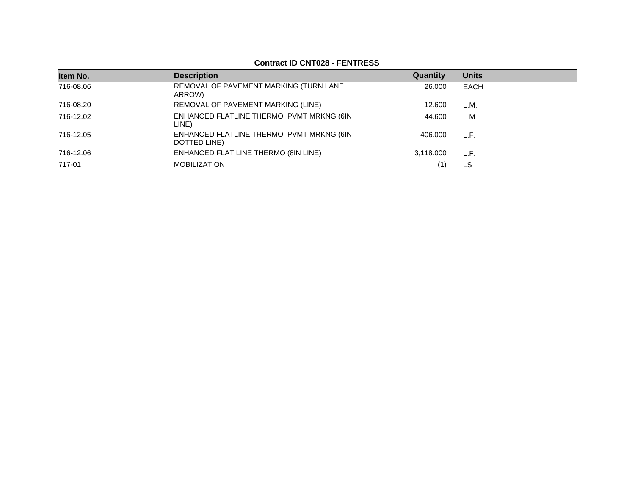## **Contract ID CNT028 - FENTRESS**

| Item No.  | <b>Description</b>                                       | Quantity  | <b>Units</b> |
|-----------|----------------------------------------------------------|-----------|--------------|
| 716-08.06 | REMOVAL OF PAVEMENT MARKING (TURN LANE<br>ARROW)         | 26,000    | <b>EACH</b>  |
| 716-08.20 | REMOVAL OF PAVEMENT MARKING (LINE)                       | 12.600    | L.M.         |
| 716-12.02 | ENHANCED FLATLINE THERMO PVMT MRKNG (6IN<br>LINE)        | 44.600    | L.M.         |
| 716-12.05 | ENHANCED FLATLINE THERMO PVMT MRKNG (6IN<br>DOTTED LINE) | 406.000   | L.F.         |
| 716-12.06 | ENHANCED FLAT LINE THERMO (8IN LINE)                     | 3,118.000 | L.F.         |
| 717-01    | <b>MOBILIZATION</b>                                      | (1)       | LS           |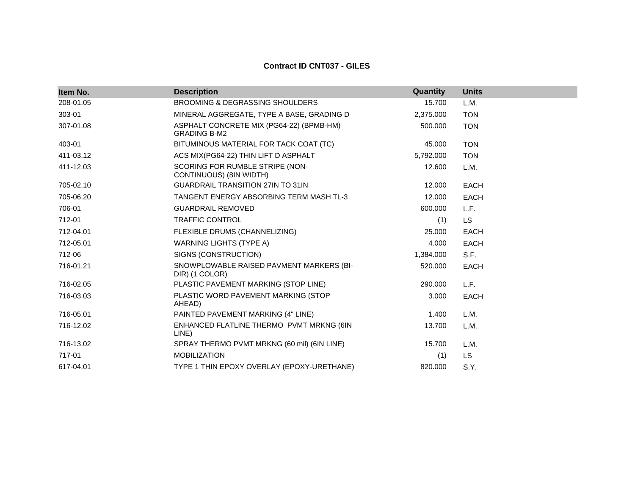| <b>Description</b>                                              | Quantity  | <b>Units</b> |
|-----------------------------------------------------------------|-----------|--------------|
| BROOMING & DEGRASSING SHOULDERS                                 | 15.700    | L.M.         |
| MINERAL AGGREGATE, TYPE A BASE, GRADING D                       | 2,375.000 | <b>TON</b>   |
| ASPHALT CONCRETE MIX (PG64-22) (BPMB-HM)<br><b>GRADING B-M2</b> | 500.000   | <b>TON</b>   |
| BITUMINOUS MATERIAL FOR TACK COAT (TC)                          | 45.000    | <b>TON</b>   |
| ACS MIX(PG64-22) THIN LIFT D ASPHALT                            | 5,792.000 | <b>TON</b>   |
| SCORING FOR RUMBLE STRIPE (NON-<br>CONTINUOUS) (8IN WIDTH)      | 12.600    | L.M.         |
| GUARDRAIL TRANSITION 27IN TO 31IN                               | 12.000    | <b>EACH</b>  |
| TANGENT ENERGY ABSORBING TERM MASH TL-3                         | 12.000    | <b>EACH</b>  |
| <b>GUARDRAIL REMOVED</b>                                        | 600.000   | L.F.         |
| <b>TRAFFIC CONTROL</b>                                          | (1)       | <b>LS</b>    |
| FLEXIBLE DRUMS (CHANNELIZING)                                   | 25,000    | <b>EACH</b>  |
| <b>WARNING LIGHTS (TYPE A)</b>                                  | 4.000     | EACH         |
| SIGNS (CONSTRUCTION)                                            | 1,384.000 | S.F.         |
| SNOWPLOWABLE RAISED PAVMENT MARKERS (BI-<br>DIR) (1 COLOR)      | 520,000   | <b>EACH</b>  |
| PLASTIC PAVEMENT MARKING (STOP LINE)                            | 290,000   | L.F.         |
| PLASTIC WORD PAVEMENT MARKING (STOP<br>AHEAD)                   | 3.000     | <b>EACH</b>  |
| PAINTED PAVEMENT MARKING (4" LINE)                              | 1.400     | L.M.         |
| ENHANCED FLATLINE THERMO PVMT MRKNG (6IN<br>LINE)               | 13.700    | L.M.         |
| SPRAY THERMO PVMT MRKNG (60 mil) (6IN LINE)                     | 15.700    | L.M.         |
| <b>MOBILIZATION</b>                                             | (1)       | LS.          |
| TYPE 1 THIN EPOXY OVERLAY (EPOXY-URETHANE)                      | 820.000   | S.Y.         |
|                                                                 |           |              |

**Contract ID CNT037 - GILES**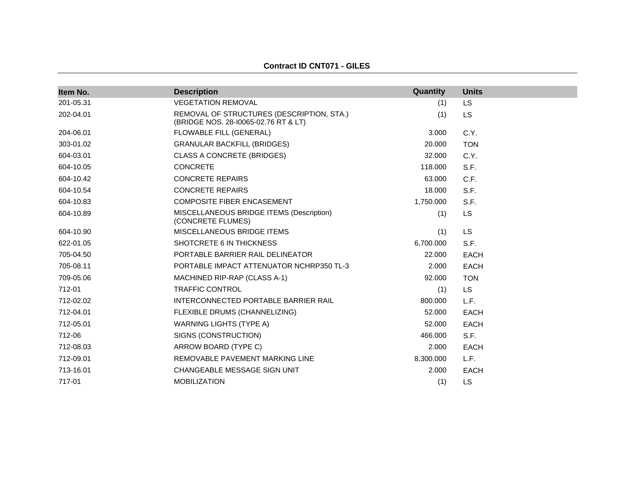| Item No.  | <b>Description</b>                                                                | Quantity  | <b>Units</b> |
|-----------|-----------------------------------------------------------------------------------|-----------|--------------|
| 201-05.31 | <b>VEGETATION REMOVAL</b>                                                         | (1)       | <b>LS</b>    |
| 202-04.01 | REMOVAL OF STRUCTURES (DESCRIPTION, STA.)<br>(BRIDGE NOS. 28-10065-02.76 RT & LT) | (1)       | LS.          |
| 204-06.01 | FLOWABLE FILL (GENERAL)                                                           | 3.000     | C.Y.         |
| 303-01.02 | <b>GRANULAR BACKFILL (BRIDGES)</b>                                                | 20,000    | <b>TON</b>   |
| 604-03.01 | <b>CLASS A CONCRETE (BRIDGES)</b>                                                 | 32,000    | C.Y.         |
| 604-10.05 | <b>CONCRETE</b>                                                                   | 118,000   | S.F.         |
| 604-10.42 | <b>CONCRETE REPAIRS</b>                                                           | 63,000    | C.F.         |
| 604-10.54 | <b>CONCRETE REPAIRS</b>                                                           | 18.000    | S.F.         |
| 604-10.83 | <b>COMPOSITE FIBER ENCASEMENT</b>                                                 | 1,750.000 | S.F.         |
| 604-10.89 | MISCELLANEOUS BRIDGE ITEMS (Description)<br>(CONCRETE FLUMES)                     | (1)       | <b>LS</b>    |
| 604-10.90 | <b>MISCELLANEOUS BRIDGE ITEMS</b>                                                 | (1)       | <b>LS</b>    |
| 622-01.05 | SHOTCRETE 6 IN THICKNESS                                                          | 6,700.000 | S.F.         |
| 705-04.50 | PORTABLE BARRIER RAIL DELINEATOR                                                  | 22,000    | <b>EACH</b>  |
| 705-08.11 | PORTABLE IMPACT ATTENUATOR NCHRP350 TL-3                                          | 2.000     | <b>EACH</b>  |
| 709-05.06 | MACHINED RIP-RAP (CLASS A-1)                                                      | 92,000    | <b>TON</b>   |
| 712-01    | <b>TRAFFIC CONTROL</b>                                                            | (1)       | <b>LS</b>    |
| 712-02.02 | INTERCONNECTED PORTABLE BARRIER RAIL                                              | 800.000   | L.F.         |
| 712-04.01 | FLEXIBLE DRUMS (CHANNELIZING)                                                     | 52,000    | <b>EACH</b>  |
| 712-05.01 | <b>WARNING LIGHTS (TYPE A)</b>                                                    | 52,000    | <b>EACH</b>  |
| 712-06    | SIGNS (CONSTRUCTION)                                                              | 466.000   | S.F.         |
| 712-08.03 | ARROW BOARD (TYPE C)                                                              | 2.000     | <b>EACH</b>  |
| 712-09.01 | REMOVABLE PAVEMENT MARKING LINE                                                   | 8,300.000 | L.F.         |
| 713-16.01 | CHANGEABLE MESSAGE SIGN UNIT                                                      | 2.000     | <b>EACH</b>  |
| 717-01    | <b>MOBILIZATION</b>                                                               | (1)       | LS           |

### **Contract ID CNT071 - GILES**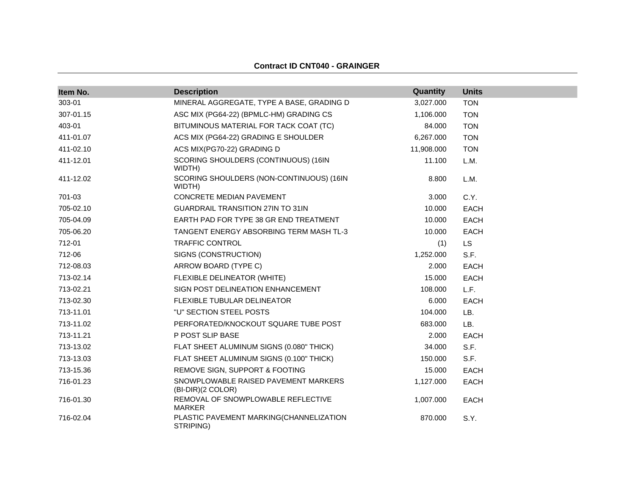## **Contract ID CNT040 - GRAINGER**

| Item No.  | <b>Description</b>                                        | Quantity   | <b>Units</b> |
|-----------|-----------------------------------------------------------|------------|--------------|
| 303-01    | MINERAL AGGREGATE, TYPE A BASE, GRADING D                 | 3,027.000  | <b>TON</b>   |
| 307-01.15 | ASC MIX (PG64-22) (BPMLC-HM) GRADING CS                   | 1,106.000  | <b>TON</b>   |
| 403-01    | BITUMINOUS MATERIAL FOR TACK COAT (TC)                    | 84.000     | <b>TON</b>   |
| 411-01.07 | ACS MIX (PG64-22) GRADING E SHOULDER                      | 6,267.000  | <b>TON</b>   |
| 411-02.10 | ACS MIX(PG70-22) GRADING D                                | 11,908.000 | <b>TON</b>   |
| 411-12.01 | SCORING SHOULDERS (CONTINUOUS) (16IN<br>WIDTH)            | 11.100     | L.M.         |
| 411-12.02 | SCORING SHOULDERS (NON-CONTINUOUS) (16IN<br>WIDTH)        | 8.800      | L.M.         |
| 701-03    | CONCRETE MEDIAN PAVEMENT                                  | 3.000      | C.Y.         |
| 705-02.10 | <b>GUARDRAIL TRANSITION 27IN TO 31IN</b>                  | 10.000     | <b>EACH</b>  |
| 705-04.09 | EARTH PAD FOR TYPE 38 GR END TREATMENT                    | 10.000     | <b>EACH</b>  |
| 705-06.20 | TANGENT ENERGY ABSORBING TERM MASH TL-3                   | 10.000     | <b>EACH</b>  |
| 712-01    | <b>TRAFFIC CONTROL</b>                                    | (1)        | <b>LS</b>    |
| 712-06    | SIGNS (CONSTRUCTION)                                      | 1,252.000  | S.F.         |
| 712-08.03 | ARROW BOARD (TYPE C)                                      | 2.000      | <b>EACH</b>  |
| 713-02.14 | FLEXIBLE DELINEATOR (WHITE)                               | 15.000     | <b>EACH</b>  |
| 713-02.21 | SIGN POST DELINEATION ENHANCEMENT                         | 108.000    | L.F.         |
| 713-02.30 | FLEXIBLE TUBULAR DELINEATOR                               | 6.000      | <b>EACH</b>  |
| 713-11.01 | "U" SECTION STEEL POSTS                                   | 104.000    | LB.          |
| 713-11.02 | PERFORATED/KNOCKOUT SQUARE TUBE POST                      | 683.000    | LB.          |
| 713-11.21 | P POST SLIP BASE                                          | 2.000      | <b>EACH</b>  |
| 713-13.02 | FLAT SHEET ALUMINUM SIGNS (0.080" THICK)                  | 34.000     | S.F.         |
| 713-13.03 | FLAT SHEET ALUMINUM SIGNS (0.100" THICK)                  | 150.000    | S.F.         |
| 713-15.36 | REMOVE SIGN, SUPPORT & FOOTING                            | 15.000     | <b>EACH</b>  |
| 716-01.23 | SNOWPLOWABLE RAISED PAVEMENT MARKERS<br>(BI-DIR)(2 COLOR) | 1,127.000  | <b>EACH</b>  |
| 716-01.30 | REMOVAL OF SNOWPLOWABLE REFLECTIVE<br><b>MARKER</b>       | 1,007.000  | <b>EACH</b>  |
| 716-02.04 | PLASTIC PAVEMENT MARKING(CHANNELIZATION<br>STRIPING)      | 870.000    | S.Y.         |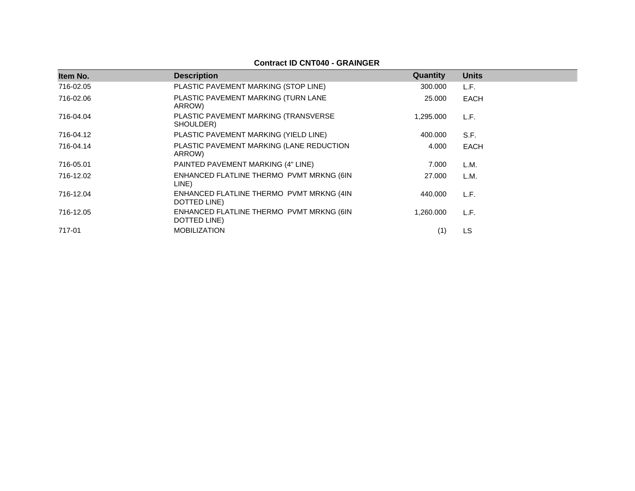## **Contract ID CNT040 - GRAINGER**

| Item No.  | <b>Description</b>                                       | Quantity  | <b>Units</b> |
|-----------|----------------------------------------------------------|-----------|--------------|
| 716-02.05 | PLASTIC PAVEMENT MARKING (STOP LINE)                     | 300.000   | L.F.         |
| 716-02.06 | PLASTIC PAVEMENT MARKING (TURN LANE<br>ARROW)            | 25,000    | <b>EACH</b>  |
| 716-04.04 | PLASTIC PAVEMENT MARKING (TRANSVERSE<br>SHOULDER)        | 1,295.000 | L.F.         |
| 716-04.12 | PLASTIC PAVEMENT MARKING (YIELD LINE)                    | 400.000   | S.F.         |
| 716-04.14 | PLASTIC PAVEMENT MARKING (LANE REDUCTION<br>ARROW)       | 4.000     | <b>EACH</b>  |
| 716-05.01 | PAINTED PAVEMENT MARKING (4" LINE)                       | 7.000     | L.M.         |
| 716-12.02 | ENHANCED FLATLINE THERMO PVMT MRKNG (6IN<br>LINE)        | 27,000    | L.M.         |
| 716-12.04 | ENHANCED FLATLINE THERMO PVMT MRKNG (4IN<br>DOTTED LINE) | 440.000   | L.F.         |
| 716-12.05 | ENHANCED FLATLINE THERMO PVMT MRKNG (6IN<br>DOTTED LINE) | 1.260.000 | L.F.         |
| 717-01    | <b>MOBILIZATION</b>                                      | (1)       | LS           |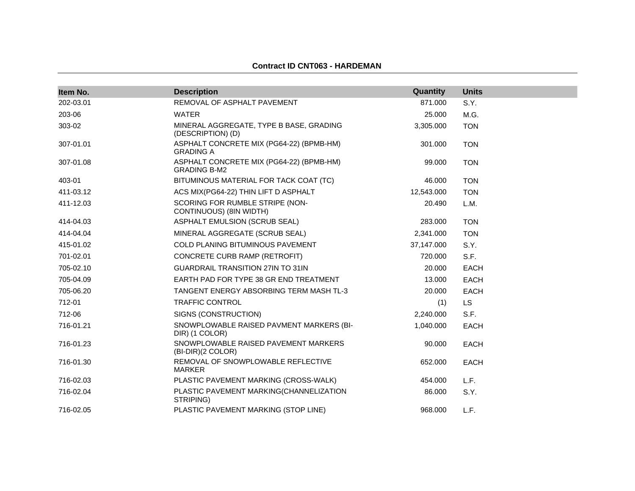### **Contract ID CNT063 - HARDEMAN**

| Item No.  | <b>Description</b>                                              | Quantity   | <b>Units</b> |
|-----------|-----------------------------------------------------------------|------------|--------------|
| 202-03.01 | REMOVAL OF ASPHALT PAVEMENT                                     | 871.000    | S.Y.         |
| 203-06    | <b>WATER</b>                                                    | 25.000     | M.G.         |
| 303-02    | MINERAL AGGREGATE, TYPE B BASE, GRADING<br>(DESCRIPTION) (D)    | 3,305.000  | <b>TON</b>   |
| 307-01.01 | ASPHALT CONCRETE MIX (PG64-22) (BPMB-HM)<br><b>GRADING A</b>    | 301.000    | <b>TON</b>   |
| 307-01.08 | ASPHALT CONCRETE MIX (PG64-22) (BPMB-HM)<br><b>GRADING B-M2</b> | 99.000     | <b>TON</b>   |
| 403-01    | BITUMINOUS MATERIAL FOR TACK COAT (TC)                          | 46.000     | <b>TON</b>   |
| 411-03.12 | ACS MIX(PG64-22) THIN LIFT D ASPHALT                            | 12,543.000 | <b>TON</b>   |
| 411-12.03 | SCORING FOR RUMBLE STRIPE (NON-<br>CONTINUOUS) (8IN WIDTH)      | 20.490     | L.M.         |
| 414-04.03 | ASPHALT EMULSION (SCRUB SEAL)                                   | 283.000    | <b>TON</b>   |
| 414-04.04 | MINERAL AGGREGATE (SCRUB SEAL)                                  | 2,341.000  | <b>TON</b>   |
| 415-01.02 | COLD PLANING BITUMINOUS PAVEMENT                                | 37,147.000 | S.Y.         |
| 701-02.01 | CONCRETE CURB RAMP (RETROFIT)                                   | 720.000    | S.F.         |
| 705-02.10 | <b>GUARDRAIL TRANSITION 27IN TO 31IN</b>                        | 20,000     | EACH         |
| 705-04.09 | EARTH PAD FOR TYPE 38 GR END TREATMENT                          | 13.000     | <b>EACH</b>  |
| 705-06.20 | TANGENT ENERGY ABSORBING TERM MASH TL-3                         | 20,000     | EACH         |
| 712-01    | <b>TRAFFIC CONTROL</b>                                          | (1)        | LS.          |
| 712-06    | SIGNS (CONSTRUCTION)                                            | 2,240.000  | S.F.         |
| 716-01.21 | SNOWPLOWABLE RAISED PAVMENT MARKERS (BI-<br>DIR) (1 COLOR)      | 1,040.000  | <b>EACH</b>  |
| 716-01.23 | SNOWPLOWABLE RAISED PAVEMENT MARKERS<br>(BI-DIR)(2 COLOR)       | 90.000     | <b>EACH</b>  |
| 716-01.30 | REMOVAL OF SNOWPLOWABLE REFLECTIVE<br><b>MARKER</b>             | 652.000    | <b>EACH</b>  |
| 716-02.03 | PLASTIC PAVEMENT MARKING (CROSS-WALK)                           | 454.000    | L.F.         |
| 716-02.04 | PLASTIC PAVEMENT MARKING(CHANNELIZATION<br>STRIPING)            | 86.000     | S.Y.         |
| 716-02.05 | PLASTIC PAVEMENT MARKING (STOP LINE)                            | 968.000    | L.F.         |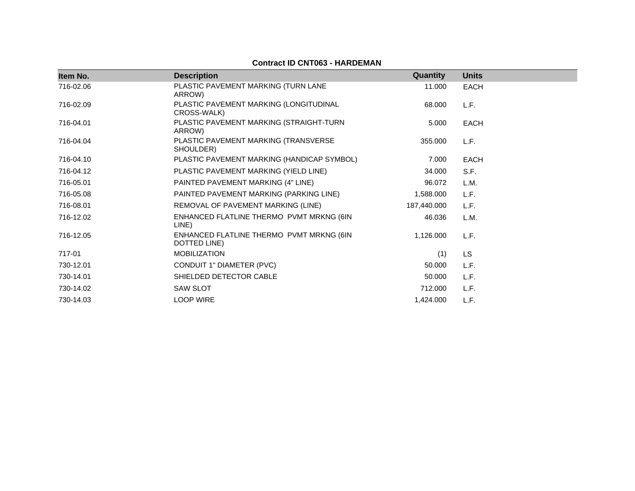| Item No.  | <b>Description</b>                                       | Quantity    | <b>Units</b> |
|-----------|----------------------------------------------------------|-------------|--------------|
| 716-02.06 | PLASTIC PAVEMENT MARKING (TURN LANE<br>ARROW)            | 11.000      | <b>EACH</b>  |
| 716-02.09 | PLASTIC PAVEMENT MARKING (LONGITUDINAL<br>CROSS-WALK)    | 68,000      | L.F.         |
| 716-04.01 | PLASTIC PAVEMENT MARKING (STRAIGHT-TURN<br>ARROW)        | 5.000       | <b>EACH</b>  |
| 716-04.04 | PLASTIC PAVEMENT MARKING (TRANSVERSE<br>SHOULDER)        | 355.000     | L.F.         |
| 716-04.10 | PLASTIC PAVEMENT MARKING (HANDICAP SYMBOL)               | 7.000       | <b>EACH</b>  |
| 716-04.12 | PLASTIC PAVEMENT MARKING (YIELD LINE)                    | 34.000      | S.F.         |
| 716-05.01 | PAINTED PAVEMENT MARKING (4" LINE)                       | 96.072      | L.M.         |
| 716-05.08 | PAINTED PAVEMENT MARKING (PARKING LINE)                  | 1,588.000   | L.F.         |
| 716-08.01 | REMOVAL OF PAVEMENT MARKING (LINE)                       | 187,440.000 | L.F.         |
| 716-12.02 | ENHANCED FLATLINE THERMO PVMT MRKNG (6IN<br>LINE)        | 46.036      | L.M.         |
| 716-12.05 | ENHANCED FLATLINE THERMO PVMT MRKNG (6IN<br>DOTTED LINE) | 1,126.000   | L.F.         |
| 717-01    | <b>MOBILIZATION</b>                                      | (1)         | <b>LS</b>    |
| 730-12.01 | CONDUIT 1" DIAMETER (PVC)                                | 50.000      | L.F.         |
| 730-14.01 | SHIELDED DETECTOR CABLE                                  | 50.000      | L.F.         |
| 730-14.02 | <b>SAW SLOT</b>                                          | 712.000     | L.F.         |
| 730-14.03 | <b>LOOP WIRE</b>                                         | 1,424.000   | L.F.         |

# **Contract ID CNT063 - HARDEMAN**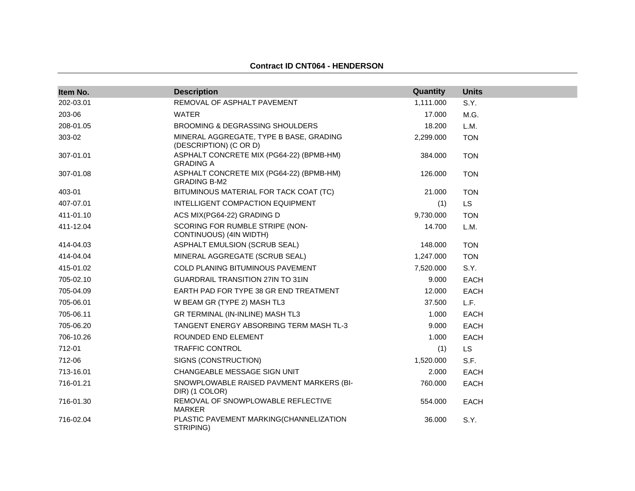### **Contract ID CNT064 - HENDERSON**

| Item No.  | <b>Description</b>                                                | Quantity  | <b>Units</b> |
|-----------|-------------------------------------------------------------------|-----------|--------------|
| 202-03.01 | REMOVAL OF ASPHALT PAVEMENT                                       | 1,111.000 | S.Y.         |
| 203-06    | <b>WATER</b>                                                      | 17.000    | M.G.         |
| 208-01.05 | <b>BROOMING &amp; DEGRASSING SHOULDERS</b>                        | 18.200    | L.M.         |
| 303-02    | MINERAL AGGREGATE, TYPE B BASE, GRADING<br>(DESCRIPTION) (C OR D) | 2,299.000 | <b>TON</b>   |
| 307-01.01 | ASPHALT CONCRETE MIX (PG64-22) (BPMB-HM)<br><b>GRADING A</b>      | 384.000   | <b>TON</b>   |
| 307-01.08 | ASPHALT CONCRETE MIX (PG64-22) (BPMB-HM)<br><b>GRADING B-M2</b>   | 126.000   | <b>TON</b>   |
| 403-01    | BITUMINOUS MATERIAL FOR TACK COAT (TC)                            | 21.000    | <b>TON</b>   |
| 407-07.01 | INTELLIGENT COMPACTION EQUIPMENT                                  | (1)       | <b>LS</b>    |
| 411-01.10 | ACS MIX(PG64-22) GRADING D                                        | 9,730.000 | <b>TON</b>   |
| 411-12.04 | SCORING FOR RUMBLE STRIPE (NON-<br>CONTINUOUS) (4IN WIDTH)        | 14.700    | L.M.         |
| 414-04.03 | ASPHALT EMULSION (SCRUB SEAL)                                     | 148.000   | <b>TON</b>   |
| 414-04.04 | MINERAL AGGREGATE (SCRUB SEAL)                                    | 1,247.000 | <b>TON</b>   |
| 415-01.02 | COLD PLANING BITUMINOUS PAVEMENT                                  | 7,520.000 | S.Y.         |
| 705-02.10 | <b>GUARDRAIL TRANSITION 27IN TO 31IN</b>                          | 9.000     | <b>EACH</b>  |
| 705-04.09 | EARTH PAD FOR TYPE 38 GR END TREATMENT                            | 12.000    | <b>EACH</b>  |
| 705-06.01 | W BEAM GR (TYPE 2) MASH TL3                                       | 37.500    | L.F.         |
| 705-06.11 | GR TERMINAL (IN-INLINE) MASH TL3                                  | 1.000     | <b>EACH</b>  |
| 705-06.20 | TANGENT ENERGY ABSORBING TERM MASH TL-3                           | 9.000     | <b>EACH</b>  |
| 706-10.26 | ROUNDED END ELEMENT                                               | 1.000     | <b>EACH</b>  |
| 712-01    | <b>TRAFFIC CONTROL</b>                                            | (1)       | LS.          |
| 712-06    | SIGNS (CONSTRUCTION)                                              | 1,520.000 | S.F.         |
| 713-16.01 | CHANGEABLE MESSAGE SIGN UNIT                                      | 2.000     | <b>EACH</b>  |
| 716-01.21 | SNOWPLOWABLE RAISED PAVMENT MARKERS (BI-<br>DIR) (1 COLOR)        | 760.000   | <b>EACH</b>  |
| 716-01.30 | REMOVAL OF SNOWPLOWABLE REFLECTIVE<br><b>MARKER</b>               | 554.000   | <b>EACH</b>  |
| 716-02.04 | PLASTIC PAVEMENT MARKING(CHANNELIZATION<br>STRIPING)              | 36.000    | S.Y.         |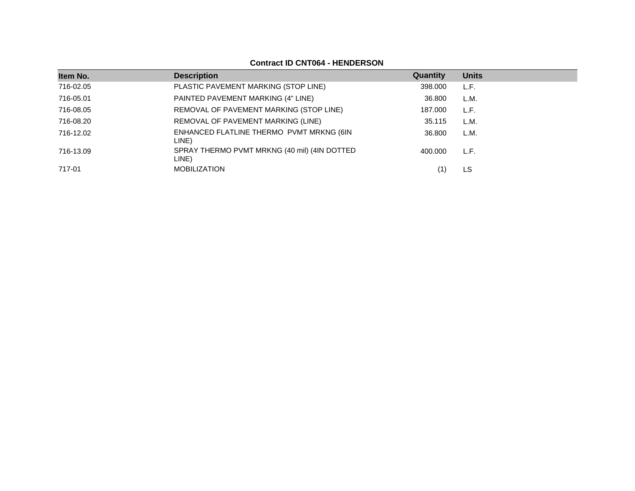# **Contract ID CNT064 - HENDERSON**

| Item No.  | <b>Description</b>                                    | Quantity | <b>Units</b> |
|-----------|-------------------------------------------------------|----------|--------------|
| 716-02.05 | PLASTIC PAVEMENT MARKING (STOP LINE)                  | 398.000  | L.F.         |
| 716-05.01 | PAINTED PAVEMENT MARKING (4" LINE)                    | 36.800   | L.M.         |
| 716-08.05 | REMOVAL OF PAVEMENT MARKING (STOP LINE)               | 187.000  | L.F.         |
| 716-08.20 | REMOVAL OF PAVEMENT MARKING (LINE)                    | 35.115   | L.M.         |
| 716-12.02 | ENHANCED FLATLINE THERMO PVMT MRKNG (6IN<br>LINE)     | 36.800   | L.M.         |
| 716-13.09 | SPRAY THERMO PVMT MRKNG (40 mil) (4IN DOTTED<br>LINE) | 400.000  | L.F.         |
| 717-01    | <b>MOBILIZATION</b>                                   |          | LS           |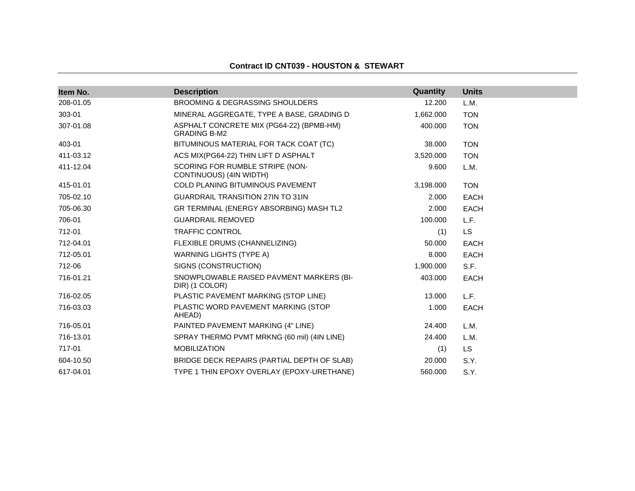### **Contract ID CNT039 - HOUSTON & STEWART**

| Item No.  | <b>Description</b>                                              | Quantity  | <b>Units</b> |
|-----------|-----------------------------------------------------------------|-----------|--------------|
| 208-01.05 | <b>BROOMING &amp; DEGRASSING SHOULDERS</b>                      | 12.200    | L.M.         |
| 303-01    | MINERAL AGGREGATE, TYPE A BASE, GRADING D                       | 1,662.000 | <b>TON</b>   |
| 307-01.08 | ASPHALT CONCRETE MIX (PG64-22) (BPMB-HM)<br><b>GRADING B-M2</b> | 400.000   | <b>TON</b>   |
| 403-01    | BITUMINOUS MATERIAL FOR TACK COAT (TC)                          | 38.000    | <b>TON</b>   |
| 411-03.12 | ACS MIX(PG64-22) THIN LIFT D ASPHALT                            | 3,520.000 | <b>TON</b>   |
| 411-12.04 | SCORING FOR RUMBLE STRIPE (NON-<br>CONTINUOUS) (4IN WIDTH)      | 9.600     | L.M.         |
| 415-01.01 | <b>COLD PLANING BITUMINOUS PAVEMENT</b>                         | 3,198.000 | <b>TON</b>   |
| 705-02.10 | <b>GUARDRAIL TRANSITION 27IN TO 31IN</b>                        | 2.000     | <b>EACH</b>  |
| 705-06.30 | GR TERMINAL (ENERGY ABSORBING) MASH TL2                         | 2.000     | <b>EACH</b>  |
| 706-01    | <b>GUARDRAIL REMOVED</b>                                        | 100.000   | L.F.         |
| 712-01    | <b>TRAFFIC CONTROL</b>                                          | (1)       | <b>LS</b>    |
| 712-04.01 | FLEXIBLE DRUMS (CHANNELIZING)                                   | 50.000    | <b>EACH</b>  |
| 712-05.01 | <b>WARNING LIGHTS (TYPE A)</b>                                  | 8.000     | <b>EACH</b>  |
| 712-06    | SIGNS (CONSTRUCTION)                                            | 1,900.000 | S.F.         |
| 716-01.21 | SNOWPLOWABLE RAISED PAVMENT MARKERS (BI-<br>DIR) (1 COLOR)      | 403.000   | <b>EACH</b>  |
| 716-02.05 | PLASTIC PAVEMENT MARKING (STOP LINE)                            | 13.000    | L.F.         |
| 716-03.03 | PLASTIC WORD PAVEMENT MARKING (STOP<br>AHEAD)                   | 1.000     | <b>EACH</b>  |
| 716-05.01 | PAINTED PAVEMENT MARKING (4" LINE)                              | 24.400    | L.M.         |
| 716-13.01 | SPRAY THERMO PVMT MRKNG (60 mil) (4IN LINE)                     | 24.400    | L.M.         |
| 717-01    | <b>MOBILIZATION</b>                                             | (1)       | <b>LS</b>    |
| 604-10.50 | BRIDGE DECK REPAIRS (PARTIAL DEPTH OF SLAB)                     | 20.000    | S.Y.         |
| 617-04.01 | TYPE 1 THIN EPOXY OVERLAY (EPOXY-URETHANE)                      | 560.000   | S.Y.         |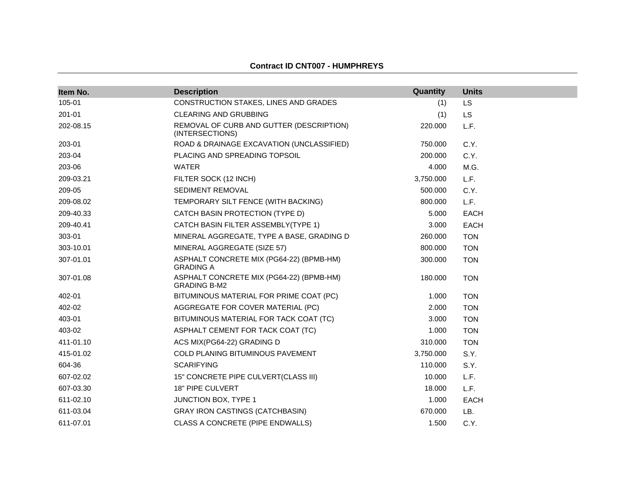| Item No.  | <b>Description</b>                                              | Quantity  | <b>Units</b> |
|-----------|-----------------------------------------------------------------|-----------|--------------|
| 105-01    | CONSTRUCTION STAKES, LINES AND GRADES                           | (1)       | <b>LS</b>    |
| 201-01    | <b>CLEARING AND GRUBBING</b>                                    | (1)       | <b>LS</b>    |
| 202-08.15 | REMOVAL OF CURB AND GUTTER (DESCRIPTION)<br>(INTERSECTIONS)     | 220.000   | L.F.         |
| 203-01    | ROAD & DRAINAGE EXCAVATION (UNCLASSIFIED)                       | 750.000   | C.Y.         |
| 203-04    | PLACING AND SPREADING TOPSOIL                                   | 200.000   | C.Y.         |
| 203-06    | <b>WATER</b>                                                    | 4.000     | M.G.         |
| 209-03.21 | FILTER SOCK (12 INCH)                                           | 3,750.000 | L.F.         |
| 209-05    | <b>SEDIMENT REMOVAL</b>                                         | 500.000   | C.Y.         |
| 209-08.02 | TEMPORARY SILT FENCE (WITH BACKING)                             | 800.000   | L.F.         |
| 209-40.33 | CATCH BASIN PROTECTION (TYPE D)                                 | 5.000     | <b>EACH</b>  |
| 209-40.41 | CATCH BASIN FILTER ASSEMBLY(TYPE 1)                             | 3.000     | <b>EACH</b>  |
| 303-01    | MINERAL AGGREGATE, TYPE A BASE, GRADING D                       | 260.000   | <b>TON</b>   |
| 303-10.01 | MINERAL AGGREGATE (SIZE 57)                                     | 800.000   | <b>TON</b>   |
| 307-01.01 | ASPHALT CONCRETE MIX (PG64-22) (BPMB-HM)<br><b>GRADING A</b>    | 300.000   | <b>TON</b>   |
| 307-01.08 | ASPHALT CONCRETE MIX (PG64-22) (BPMB-HM)<br><b>GRADING B-M2</b> | 180.000   | <b>TON</b>   |
| 402-01    | BITUMINOUS MATERIAL FOR PRIME COAT (PC)                         | 1.000     | <b>TON</b>   |
| 402-02    | AGGREGATE FOR COVER MATERIAL (PC)                               | 2.000     | <b>TON</b>   |
| 403-01    | BITUMINOUS MATERIAL FOR TACK COAT (TC)                          | 3.000     | <b>TON</b>   |
| 403-02    | ASPHALT CEMENT FOR TACK COAT (TC)                               | 1.000     | <b>TON</b>   |
| 411-01.10 | ACS MIX(PG64-22) GRADING D                                      | 310.000   | <b>TON</b>   |
| 415-01.02 | COLD PLANING BITUMINOUS PAVEMENT                                | 3,750.000 | S.Y.         |
| 604-36    | <b>SCARIFYING</b>                                               | 110.000   | S.Y.         |
| 607-02.02 | 15" CONCRETE PIPE CULVERT(CLASS III)                            | 10.000    | L.F.         |
| 607-03.30 | 18" PIPE CULVERT                                                | 18.000    | L.F.         |
| 611-02.10 | JUNCTION BOX, TYPE 1                                            | 1.000     | <b>EACH</b>  |
| 611-03.04 | <b>GRAY IRON CASTINGS (CATCHBASIN)</b>                          | 670.000   | LB.          |
| 611-07.01 | CLASS A CONCRETE (PIPE ENDWALLS)                                | 1.500     | C.Y.         |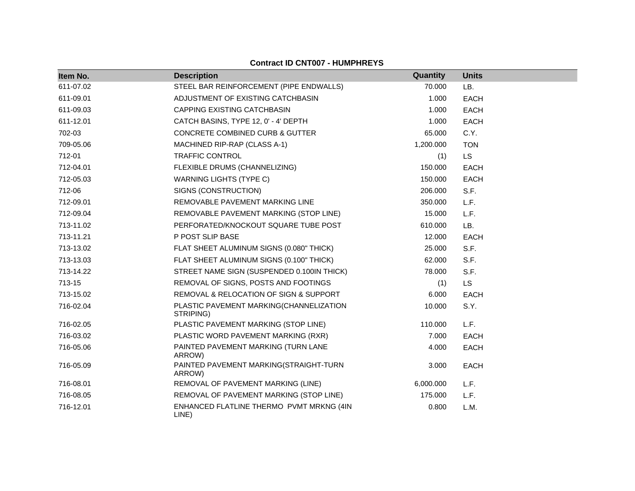| Item No.  | <b>Description</b>                                   | Quantity  | <b>Units</b> |
|-----------|------------------------------------------------------|-----------|--------------|
| 611-07.02 | STEEL BAR REINFORCEMENT (PIPE ENDWALLS)              | 70.000    | LB.          |
| 611-09.01 | ADJUSTMENT OF EXISTING CATCHBASIN                    | 1.000     | <b>EACH</b>  |
| 611-09.03 | CAPPING EXISTING CATCHBASIN                          | 1.000     | <b>EACH</b>  |
| 611-12.01 | CATCH BASINS, TYPE 12, 0' - 4' DEPTH                 | 1.000     | <b>EACH</b>  |
| 702-03    | CONCRETE COMBINED CURB & GUTTER                      | 65.000    | C.Y.         |
| 709-05.06 | MACHINED RIP-RAP (CLASS A-1)                         | 1,200.000 | <b>TON</b>   |
| 712-01    | <b>TRAFFIC CONTROL</b>                               | (1)       | LS.          |
| 712-04.01 | FLEXIBLE DRUMS (CHANNELIZING)                        | 150.000   | <b>EACH</b>  |
| 712-05.03 | <b>WARNING LIGHTS (TYPE C)</b>                       | 150.000   | <b>EACH</b>  |
| 712-06    | SIGNS (CONSTRUCTION)                                 | 206.000   | S.F.         |
| 712-09.01 | REMOVABLE PAVEMENT MARKING LINE                      | 350.000   | L.F.         |
| 712-09.04 | REMOVABLE PAVEMENT MARKING (STOP LINE)               | 15.000    | L.F.         |
| 713-11.02 | PERFORATED/KNOCKOUT SQUARE TUBE POST                 | 610.000   | LB.          |
| 713-11.21 | P POST SLIP BASE                                     | 12.000    | <b>EACH</b>  |
| 713-13.02 | FLAT SHEET ALUMINUM SIGNS (0.080" THICK)             | 25.000    | S.F.         |
| 713-13.03 | FLAT SHEET ALUMINUM SIGNS (0.100" THICK)             | 62.000    | S.F.         |
| 713-14.22 | STREET NAME SIGN (SUSPENDED 0.100IN THICK)           | 78.000    | S.F.         |
| 713-15    | REMOVAL OF SIGNS, POSTS AND FOOTINGS                 | (1)       | <b>LS</b>    |
| 713-15.02 | REMOVAL & RELOCATION OF SIGN & SUPPORT               | 6.000     | <b>EACH</b>  |
| 716-02.04 | PLASTIC PAVEMENT MARKING(CHANNELIZATION<br>STRIPING) | 10.000    | S.Y.         |
| 716-02.05 | PLASTIC PAVEMENT MARKING (STOP LINE)                 | 110.000   | L.F.         |
| 716-03.02 | PLASTIC WORD PAVEMENT MARKING (RXR)                  | 7.000     | <b>EACH</b>  |
| 716-05.06 | PAINTED PAVEMENT MARKING (TURN LANE<br>ARROW)        | 4.000     | <b>EACH</b>  |
| 716-05.09 | PAINTED PAVEMENT MARKING(STRAIGHT-TURN<br>ARROW)     | 3.000     | <b>EACH</b>  |
| 716-08.01 | REMOVAL OF PAVEMENT MARKING (LINE)                   | 6,000.000 | L.F.         |
| 716-08.05 | REMOVAL OF PAVEMENT MARKING (STOP LINE)              | 175.000   | L.F.         |
| 716-12.01 | ENHANCED FLATLINE THERMO PVMT MRKNG (4IN<br>LINE)    | 0.800     | L.M.         |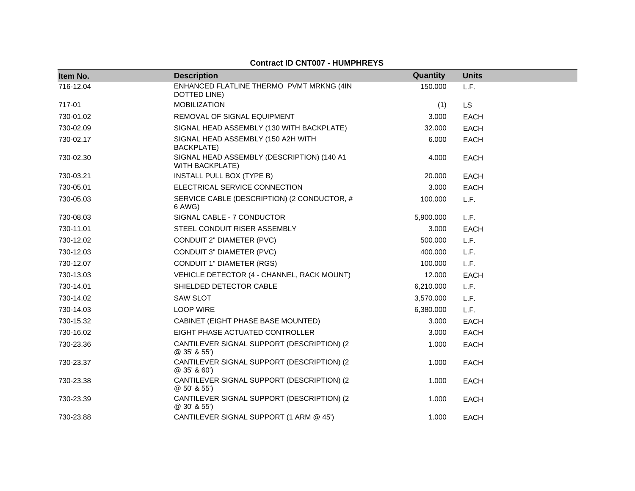| Item No.  | <b>Description</b>                                                   | Quantity  | <b>Units</b> |
|-----------|----------------------------------------------------------------------|-----------|--------------|
| 716-12.04 | ENHANCED FLATLINE THERMO PVMT MRKNG (4IN<br>DOTTED LINE)             | 150.000   | L.F.         |
| 717-01    | <b>MOBILIZATION</b>                                                  | (1)       | <b>LS</b>    |
| 730-01.02 | REMOVAL OF SIGNAL EQUIPMENT                                          | 3.000     | <b>EACH</b>  |
| 730-02.09 | SIGNAL HEAD ASSEMBLY (130 WITH BACKPLATE)                            | 32.000    | <b>EACH</b>  |
| 730-02.17 | SIGNAL HEAD ASSEMBLY (150 A2H WITH<br>BACKPLATE)                     | 6.000     | <b>EACH</b>  |
| 730-02.30 | SIGNAL HEAD ASSEMBLY (DESCRIPTION) (140 A1<br><b>WITH BACKPLATE)</b> | 4.000     | <b>EACH</b>  |
| 730-03.21 | INSTALL PULL BOX (TYPE B)                                            | 20.000    | <b>EACH</b>  |
| 730-05.01 | ELECTRICAL SERVICE CONNECTION                                        | 3.000     | <b>EACH</b>  |
| 730-05.03 | SERVICE CABLE (DESCRIPTION) (2 CONDUCTOR, #<br>6 AWG)                | 100.000   | L.F.         |
| 730-08.03 | SIGNAL CABLE - 7 CONDUCTOR                                           | 5,900.000 | L.F.         |
| 730-11.01 | STEEL CONDUIT RISER ASSEMBLY                                         | 3.000     | <b>EACH</b>  |
| 730-12.02 | CONDUIT 2" DIAMETER (PVC)                                            | 500.000   | L.F.         |
| 730-12.03 | CONDUIT 3" DIAMETER (PVC)                                            | 400.000   | L.F.         |
| 730-12.07 | <b>CONDUIT 1" DIAMETER (RGS)</b>                                     | 100.000   | L.F.         |
| 730-13.03 | VEHICLE DETECTOR (4 - CHANNEL, RACK MOUNT)                           | 12.000    | <b>EACH</b>  |
| 730-14.01 | SHIELDED DETECTOR CABLE                                              | 6,210.000 | L.F.         |
| 730-14.02 | <b>SAW SLOT</b>                                                      | 3,570.000 | L.F.         |
| 730-14.03 | <b>LOOP WIRE</b>                                                     | 6,380.000 | L.F.         |
| 730-15.32 | CABINET (EIGHT PHASE BASE MOUNTED)                                   | 3.000     | <b>EACH</b>  |
| 730-16.02 | EIGHT PHASE ACTUATED CONTROLLER                                      | 3.000     | <b>EACH</b>  |
| 730-23.36 | CANTILEVER SIGNAL SUPPORT (DESCRIPTION) (2<br>@ 35' & 55')           | 1.000     | <b>EACH</b>  |
| 730-23.37 | CANTILEVER SIGNAL SUPPORT (DESCRIPTION) (2<br>@ 35' & 60')           | 1.000     | <b>EACH</b>  |
| 730-23.38 | CANTILEVER SIGNAL SUPPORT (DESCRIPTION) (2<br>@ 50' & 55')           | 1.000     | <b>EACH</b>  |
| 730-23.39 | CANTILEVER SIGNAL SUPPORT (DESCRIPTION) (2<br>@30'855'               | 1.000     | <b>EACH</b>  |
| 730-23.88 | CANTILEVER SIGNAL SUPPORT (1 ARM @ 45')                              | 1.000     | <b>EACH</b>  |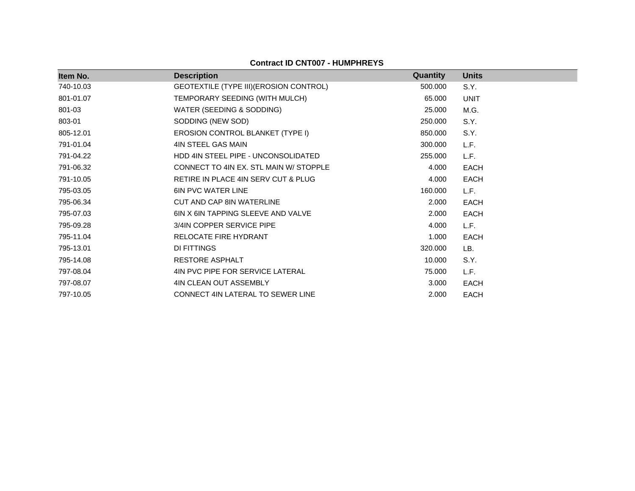| ltem No.  | <b>Description</b>                      | <b>Quantity</b> | <b>Units</b> |
|-----------|-----------------------------------------|-----------------|--------------|
| 740-10.03 | GEOTEXTILE (TYPE III) (EROSION CONTROL) | 500.000         | S.Y.         |
| 801-01.07 | TEMPORARY SEEDING (WITH MULCH)          | 65.000          | <b>UNIT</b>  |
| 801-03    | WATER (SEEDING & SODDING)               | 25.000          | M.G.         |
| 803-01    | SODDING (NEW SOD)                       | 250.000         | S.Y.         |
| 805-12.01 | EROSION CONTROL BLANKET (TYPE I)        | 850.000         | S.Y.         |
| 791-01.04 | 4IN STEEL GAS MAIN                      | 300.000         | L.F.         |
| 791-04.22 | HDD 4IN STEEL PIPE - UNCONSOLIDATED     | 255.000         | L.F.         |
| 791-06.32 | CONNECT TO 4IN EX. STL MAIN W/ STOPPLE  | 4.000           | <b>EACH</b>  |
| 791-10.05 | RETIRE IN PLACE 4IN SERV CUT & PLUG     | 4.000           | <b>EACH</b>  |
| 795-03.05 | <b>6IN PVC WATER LINE</b>               | 160.000         | L.F.         |
| 795-06.34 | <b>CUT AND CAP 8IN WATERLINE</b>        | 2.000           | EACH         |
| 795-07.03 | 6IN X 6IN TAPPING SLEEVE AND VALVE      | 2.000           | EACH         |
| 795-09.28 | 3/4IN COPPER SERVICE PIPE               | 4.000           | L.F.         |
| 795-11.04 | RELOCATE FIRE HYDRANT                   | 1.000           | EACH         |
| 795-13.01 | DI FITTINGS                             | 320.000         | LB.          |
| 795-14.08 | <b>RESTORE ASPHALT</b>                  | 10.000          | S.Y.         |
| 797-08.04 | 4IN PVC PIPE FOR SERVICE LATERAL        | 75.000          | L.F.         |
| 797-08.07 | 4IN CLEAN OUT ASSEMBLY                  | 3.000           | EACH         |
| 797-10.05 | CONNECT 4IN LATERAL TO SEWER LINE       | 2.000           | EACH         |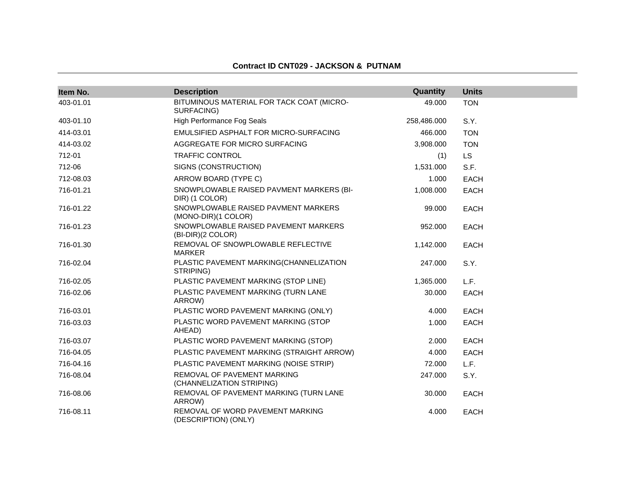### **Contract ID CNT029 - JACKSON & PUTNAM**

| Item No.  | <b>Description</b>                                         | Quantity    | <b>Units</b> |
|-----------|------------------------------------------------------------|-------------|--------------|
| 403-01.01 | BITUMINOUS MATERIAL FOR TACK COAT (MICRO-<br>SURFACING)    | 49.000      | <b>TON</b>   |
| 403-01.10 | <b>High Performance Fog Seals</b>                          | 258,486.000 | S.Y.         |
| 414-03.01 | EMULSIFIED ASPHALT FOR MICRO-SURFACING                     | 466.000     | <b>TON</b>   |
| 414-03.02 | AGGREGATE FOR MICRO SURFACING                              | 3,908.000   | <b>TON</b>   |
| 712-01    | <b>TRAFFIC CONTROL</b>                                     | (1)         | LS.          |
| 712-06    | SIGNS (CONSTRUCTION)                                       | 1,531.000   | S.F.         |
| 712-08.03 | ARROW BOARD (TYPE C)                                       | 1.000       | <b>EACH</b>  |
| 716-01.21 | SNOWPLOWABLE RAISED PAVMENT MARKERS (BI-<br>DIR) (1 COLOR) | 1,008.000   | <b>EACH</b>  |
| 716-01.22 | SNOWPLOWABLE RAISED PAVMENT MARKERS<br>(MONO-DIR)(1 COLOR) | 99.000      | <b>EACH</b>  |
| 716-01.23 | SNOWPLOWABLE RAISED PAVEMENT MARKERS<br>(BI-DIR)(2 COLOR)  | 952.000     | <b>EACH</b>  |
| 716-01.30 | REMOVAL OF SNOWPLOWABLE REFLECTIVE<br><b>MARKER</b>        | 1,142.000   | <b>EACH</b>  |
| 716-02.04 | PLASTIC PAVEMENT MARKING(CHANNELIZATION<br>STRIPING)       | 247.000     | S.Y.         |
| 716-02.05 | PLASTIC PAVEMENT MARKING (STOP LINE)                       | 1,365.000   | L.F.         |
| 716-02.06 | PLASTIC PAVEMENT MARKING (TURN LANE<br>ARROW)              | 30.000      | EACH         |
| 716-03.01 | PLASTIC WORD PAVEMENT MARKING (ONLY)                       | 4.000       | EACH         |
| 716-03.03 | PLASTIC WORD PAVEMENT MARKING (STOP<br>AHEAD)              | 1.000       | <b>EACH</b>  |
| 716-03.07 | PLASTIC WORD PAVEMENT MARKING (STOP)                       | 2.000       | <b>EACH</b>  |
| 716-04.05 | PLASTIC PAVEMENT MARKING (STRAIGHT ARROW)                  | 4.000       | EACH         |
| 716-04.16 | PLASTIC PAVEMENT MARKING (NOISE STRIP)                     | 72.000      | L.F.         |
| 716-08.04 | REMOVAL OF PAVEMENT MARKING<br>(CHANNELIZATION STRIPING)   | 247.000     | S.Y.         |
| 716-08.06 | REMOVAL OF PAVEMENT MARKING (TURN LANE<br>ARROW)           | 30.000      | <b>EACH</b>  |
| 716-08.11 | REMOVAL OF WORD PAVEMENT MARKING<br>(DESCRIPTION) (ONLY)   | 4.000       | <b>EACH</b>  |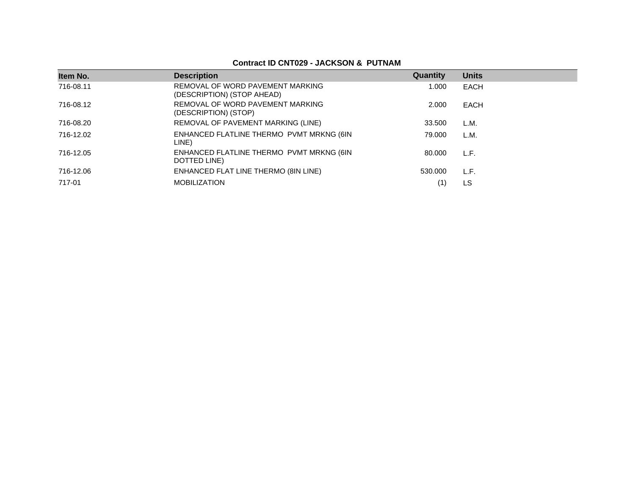## **Contract ID CNT029 - JACKSON & PUTNAM**

| Item No.  | <b>Description</b>                                             | Quantity | <b>Units</b> |
|-----------|----------------------------------------------------------------|----------|--------------|
| 716-08.11 | REMOVAL OF WORD PAVEMENT MARKING<br>(DESCRIPTION) (STOP AHEAD) | 1.000    | EACH         |
| 716-08.12 | REMOVAL OF WORD PAVEMENT MARKING<br>(DESCRIPTION) (STOP)       | 2.000    | EACH         |
| 716-08.20 | REMOVAL OF PAVEMENT MARKING (LINE)                             | 33.500   | L.M.         |
| 716-12.02 | ENHANCED FLATLINE THERMO PVMT MRKNG (6IN<br>LINE)              | 79.000   | L.M.         |
| 716-12.05 | ENHANCED FLATLINE THERMO PVMT MRKNG (6IN<br>DOTTED LINE)       | 80.000   | L.F.         |
| 716-12.06 | ENHANCED FLAT LINE THERMO (8IN LINE)                           | 530.000  | L.F.         |
| 717-01    | <b>MOBILIZATION</b>                                            |          | LS           |
|           |                                                                |          |              |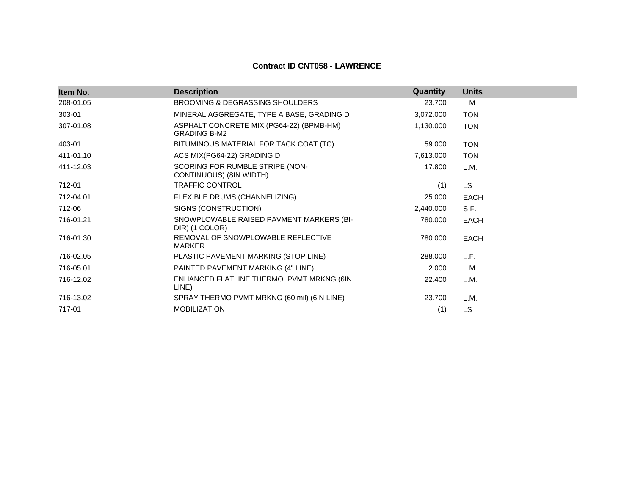### **Contract ID CNT058 - LAWRENCE**

| Item No.  | <b>Description</b>                                              | Quantity  | <b>Units</b> |
|-----------|-----------------------------------------------------------------|-----------|--------------|
| 208-01.05 | BROOMING & DEGRASSING SHOULDERS                                 | 23.700    | L.M.         |
| 303-01    | MINERAL AGGREGATE, TYPE A BASE, GRADING D                       | 3,072.000 | <b>TON</b>   |
| 307-01.08 | ASPHALT CONCRETE MIX (PG64-22) (BPMB-HM)<br><b>GRADING B-M2</b> | 1,130.000 | <b>TON</b>   |
| 403-01    | BITUMINOUS MATERIAL FOR TACK COAT (TC)                          | 59.000    | <b>TON</b>   |
| 411-01.10 | ACS MIX(PG64-22) GRADING D                                      | 7,613.000 | <b>TON</b>   |
| 411-12.03 | SCORING FOR RUMBLE STRIPE (NON-<br>CONTINUOUS) (8IN WIDTH)      | 17.800    | L.M.         |
| 712-01    | TRAFFIC CONTROL                                                 | (1)       | <b>LS</b>    |
| 712-04.01 | FLEXIBLE DRUMS (CHANNELIZING)                                   | 25,000    | <b>EACH</b>  |
| 712-06    | SIGNS (CONSTRUCTION)                                            | 2,440.000 | S.F.         |
| 716-01.21 | SNOWPLOWABLE RAISED PAVMENT MARKERS (BI-<br>DIR) (1 COLOR)      | 780,000   | <b>EACH</b>  |
| 716-01.30 | REMOVAL OF SNOWPLOWABLE REFLECTIVE<br><b>MARKER</b>             | 780.000   | <b>EACH</b>  |
| 716-02.05 | PLASTIC PAVEMENT MARKING (STOP LINE)                            | 288,000   | L.F.         |
| 716-05.01 | PAINTED PAVEMENT MARKING (4" LINE)                              | 2.000     | L.M.         |
| 716-12.02 | ENHANCED FLATLINE THERMO PVMT MRKNG (6IN<br>LINE)               | 22,400    | L.M.         |
| 716-13.02 | SPRAY THERMO PVMT MRKNG (60 mil) (6IN LINE)                     | 23.700    | L.M.         |
| 717-01    | <b>MOBILIZATION</b>                                             | (1)       | LS           |
|           |                                                                 |           |              |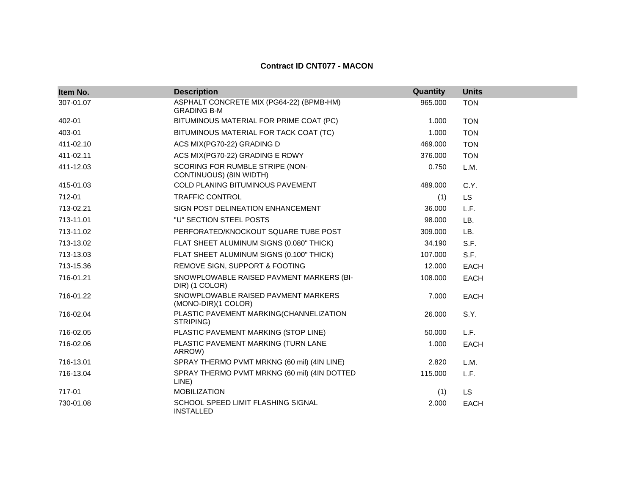#### **Contract ID CNT077 - MACON**

| Item No.  | <b>Description</b>                                             | Quantity | <b>Units</b> |
|-----------|----------------------------------------------------------------|----------|--------------|
| 307-01.07 | ASPHALT CONCRETE MIX (PG64-22) (BPMB-HM)<br><b>GRADING B-M</b> | 965.000  | <b>TON</b>   |
| 402-01    | BITUMINOUS MATERIAL FOR PRIME COAT (PC)                        | 1.000    | <b>TON</b>   |
| 403-01    | BITUMINOUS MATERIAL FOR TACK COAT (TC)                         | 1.000    | <b>TON</b>   |
| 411-02.10 | ACS MIX(PG70-22) GRADING D                                     | 469.000  | <b>TON</b>   |
| 411-02.11 | ACS MIX(PG70-22) GRADING E RDWY                                | 376.000  | <b>TON</b>   |
| 411-12.03 | SCORING FOR RUMBLE STRIPE (NON-<br>CONTINUOUS) (8IN WIDTH)     | 0.750    | L.M.         |
| 415-01.03 | COLD PLANING BITUMINOUS PAVEMENT                               | 489.000  | C.Y.         |
| 712-01    | <b>TRAFFIC CONTROL</b>                                         | (1)      | <b>LS</b>    |
| 713-02.21 | SIGN POST DELINEATION ENHANCEMENT                              | 36,000   | L.F.         |
| 713-11.01 | "U" SECTION STEEL POSTS                                        | 98.000   | LB.          |
| 713-11.02 | PERFORATED/KNOCKOUT SQUARE TUBE POST                           | 309.000  | LB.          |
| 713-13.02 | FLAT SHEET ALUMINUM SIGNS (0.080" THICK)                       | 34.190   | S.F.         |
| 713-13.03 | FLAT SHEET ALUMINUM SIGNS (0.100" THICK)                       | 107.000  | S.F.         |
| 713-15.36 | REMOVE SIGN, SUPPORT & FOOTING                                 | 12.000   | <b>EACH</b>  |
| 716-01.21 | SNOWPLOWABLE RAISED PAVMENT MARKERS (BI-<br>DIR) (1 COLOR)     | 108.000  | <b>EACH</b>  |
| 716-01.22 | SNOWPLOWABLE RAISED PAVMENT MARKERS<br>(MONO-DIR)(1 COLOR)     | 7.000    | <b>EACH</b>  |
| 716-02.04 | PLASTIC PAVEMENT MARKING(CHANNELIZATION<br>STRIPING)           | 26,000   | S.Y.         |
| 716-02.05 | PLASTIC PAVEMENT MARKING (STOP LINE)                           | 50.000   | L.F.         |
| 716-02.06 | PLASTIC PAVEMENT MARKING (TURN LANE<br>ARROW)                  | 1.000    | <b>EACH</b>  |
| 716-13.01 | SPRAY THERMO PVMT MRKNG (60 mil) (4IN LINE)                    | 2.820    | L.M.         |
| 716-13.04 | SPRAY THERMO PVMT MRKNG (60 mil) (4IN DOTTED<br>LINE)          | 115.000  | L.F.         |
| 717-01    | <b>MOBILIZATION</b>                                            | (1)      | LS.          |
| 730-01.08 | SCHOOL SPEED LIMIT FLASHING SIGNAL<br><b>INSTALLED</b>         | 2.000    | <b>EACH</b>  |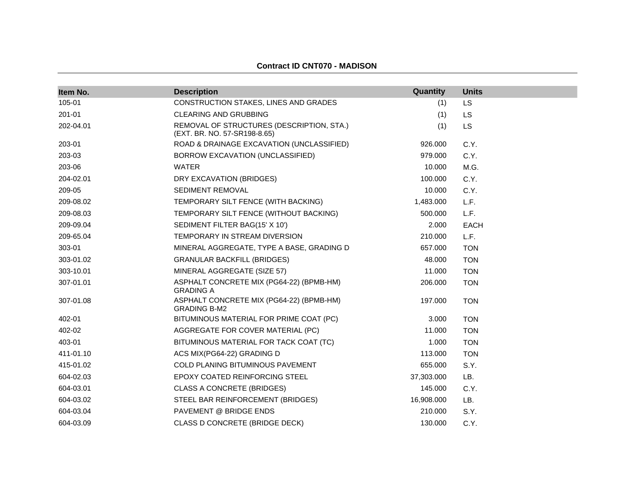### **Contract ID CNT070 - MADISON**

| Item No.  | <b>Description</b>                                                        | Quantity   | <b>Units</b> |
|-----------|---------------------------------------------------------------------------|------------|--------------|
| 105-01    | CONSTRUCTION STAKES, LINES AND GRADES                                     | (1)        | LS           |
| 201-01    | <b>CLEARING AND GRUBBING</b>                                              | (1)        | <b>LS</b>    |
| 202-04.01 | REMOVAL OF STRUCTURES (DESCRIPTION, STA.)<br>(EXT. BR. NO. 57-SR198-8.65) | (1)        | LS           |
| 203-01    | ROAD & DRAINAGE EXCAVATION (UNCLASSIFIED)                                 | 926.000    | C.Y.         |
| 203-03    | BORROW EXCAVATION (UNCLASSIFIED)                                          | 979.000    | C.Y.         |
| 203-06    | <b>WATER</b>                                                              | 10.000     | M.G.         |
| 204-02.01 | DRY EXCAVATION (BRIDGES)                                                  | 100.000    | C.Y.         |
| 209-05    | SEDIMENT REMOVAL                                                          | 10.000     | C.Y.         |
| 209-08.02 | TEMPORARY SILT FENCE (WITH BACKING)                                       | 1,483.000  | L.F.         |
| 209-08.03 | TEMPORARY SILT FENCE (WITHOUT BACKING)                                    | 500.000    | L.F.         |
| 209-09.04 | SEDIMENT FILTER BAG(15' X 10')                                            | 2.000      | <b>EACH</b>  |
| 209-65.04 | TEMPORARY IN STREAM DIVERSION                                             | 210.000    | L.F.         |
| 303-01    | MINERAL AGGREGATE, TYPE A BASE, GRADING D                                 | 657.000    | <b>TON</b>   |
| 303-01.02 | <b>GRANULAR BACKFILL (BRIDGES)</b>                                        | 48.000     | <b>TON</b>   |
| 303-10.01 | MINERAL AGGREGATE (SIZE 57)                                               | 11.000     | <b>TON</b>   |
| 307-01.01 | ASPHALT CONCRETE MIX (PG64-22) (BPMB-HM)<br><b>GRADING A</b>              | 206.000    | <b>TON</b>   |
| 307-01.08 | ASPHALT CONCRETE MIX (PG64-22) (BPMB-HM)<br><b>GRADING B-M2</b>           | 197.000    | <b>TON</b>   |
| 402-01    | BITUMINOUS MATERIAL FOR PRIME COAT (PC)                                   | 3.000      | <b>TON</b>   |
| 402-02    | AGGREGATE FOR COVER MATERIAL (PC)                                         | 11.000     | <b>TON</b>   |
| 403-01    | BITUMINOUS MATERIAL FOR TACK COAT (TC)                                    | 1.000      | <b>TON</b>   |
| 411-01.10 | ACS MIX(PG64-22) GRADING D                                                | 113.000    | <b>TON</b>   |
| 415-01.02 | <b>COLD PLANING BITUMINOUS PAVEMENT</b>                                   | 655.000    | S.Y.         |
| 604-02.03 | EPOXY COATED REINFORCING STEEL                                            | 37,303.000 | LB.          |
| 604-03.01 | <b>CLASS A CONCRETE (BRIDGES)</b>                                         | 145.000    | C.Y.         |
| 604-03.02 | STEEL BAR REINFORCEMENT (BRIDGES)                                         | 16,908.000 | LB.          |
| 604-03.04 | PAVEMENT @ BRIDGE ENDS                                                    | 210.000    | S.Y.         |
| 604-03.09 | CLASS D CONCRETE (BRIDGE DECK)                                            | 130.000    | C.Y.         |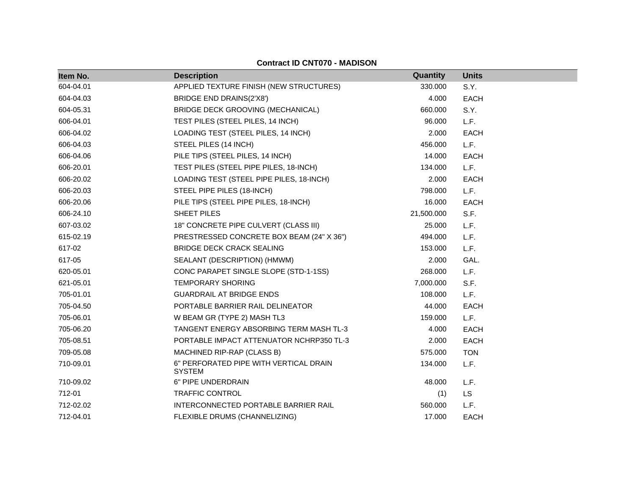### **Contract ID CNT070 - MADISON**

| Item No.  | <b>Description</b>                                      | Quantity   | <b>Units</b> |
|-----------|---------------------------------------------------------|------------|--------------|
| 604-04.01 | APPLIED TEXTURE FINISH (NEW STRUCTURES)                 | 330,000    | S.Y.         |
| 604-04.03 | BRIDGE END DRAINS(2'X8')                                | 4.000      | <b>EACH</b>  |
| 604-05.31 | BRIDGE DECK GROOVING (MECHANICAL)                       | 660.000    | S.Y.         |
| 606-04.01 | TEST PILES (STEEL PILES, 14 INCH)                       | 96.000     | L.F.         |
| 606-04.02 | LOADING TEST (STEEL PILES, 14 INCH)                     | 2.000      | <b>EACH</b>  |
| 606-04.03 | STEEL PILES (14 INCH)                                   | 456.000    | L.F.         |
| 606-04.06 | PILE TIPS (STEEL PILES, 14 INCH)                        | 14.000     | <b>EACH</b>  |
| 606-20.01 | TEST PILES (STEEL PIPE PILES, 18-INCH)                  | 134.000    | L.F.         |
| 606-20.02 | LOADING TEST (STEEL PIPE PILES, 18-INCH)                | 2.000      | <b>EACH</b>  |
| 606-20.03 | STEEL PIPE PILES (18-INCH)                              | 798.000    | L.F.         |
| 606-20.06 | PILE TIPS (STEEL PIPE PILES, 18-INCH)                   | 16.000     | <b>EACH</b>  |
| 606-24.10 | SHEET PILES                                             | 21,500.000 | S.F.         |
| 607-03.02 | 18" CONCRETE PIPE CULVERT (CLASS III)                   | 25.000     | L.F.         |
| 615-02.19 | PRESTRESSED CONCRETE BOX BEAM (24" X 36")               | 494.000    | L.F.         |
| 617-02    | <b>BRIDGE DECK CRACK SEALING</b>                        | 153.000    | L.F.         |
| 617-05    | SEALANT (DESCRIPTION) (HMWM)                            | 2.000      | GAL.         |
| 620-05.01 | CONC PARAPET SINGLE SLOPE (STD-1-1SS)                   | 268.000    | L.F.         |
| 621-05.01 | <b>TEMPORARY SHORING</b>                                | 7,000.000  | S.F.         |
| 705-01.01 | <b>GUARDRAIL AT BRIDGE ENDS</b>                         | 108.000    | L.F.         |
| 705-04.50 | PORTABLE BARRIER RAIL DELINEATOR                        | 44.000     | <b>EACH</b>  |
| 705-06.01 | W BEAM GR (TYPE 2) MASH TL3                             | 159.000    | L.F.         |
| 705-06.20 | TANGENT ENERGY ABSORBING TERM MASH TL-3                 | 4.000      | <b>EACH</b>  |
| 705-08.51 | PORTABLE IMPACT ATTENUATOR NCHRP350 TL-3                | 2.000      | <b>EACH</b>  |
| 709-05.08 | MACHINED RIP-RAP (CLASS B)                              | 575.000    | <b>TON</b>   |
| 710-09.01 | 6" PERFORATED PIPE WITH VERTICAL DRAIN<br><b>SYSTEM</b> | 134.000    | L.F.         |
| 710-09.02 | 6" PIPE UNDERDRAIN                                      | 48.000     | L.F.         |
| 712-01    | TRAFFIC CONTROL                                         | (1)        | LS           |
| 712-02.02 | INTERCONNECTED PORTABLE BARRIER RAIL                    | 560.000    | L.F.         |
| 712-04.01 | FLEXIBLE DRUMS (CHANNELIZING)                           | 17.000     | <b>EACH</b>  |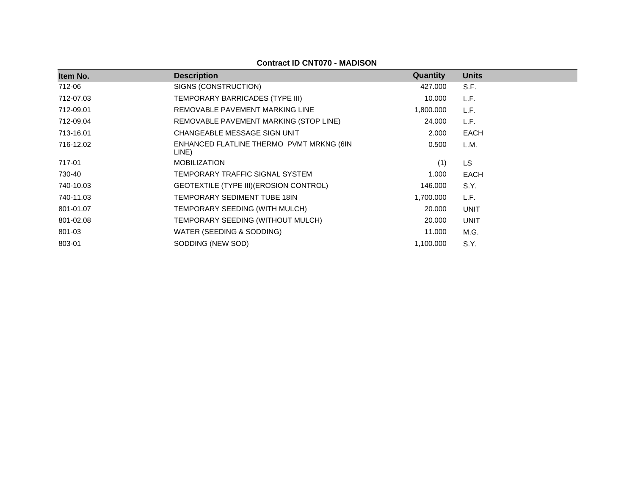| Item No.  | <b>Description</b>                                | Quantity  | <b>Units</b> |
|-----------|---------------------------------------------------|-----------|--------------|
| 712-06    | SIGNS (CONSTRUCTION)                              | 427.000   | S.F.         |
| 712-07.03 | TEMPORARY BARRICADES (TYPE III)                   | 10.000    | L.F.         |
| 712-09.01 | REMOVABLE PAVEMENT MARKING LINE                   | 1,800.000 | L.F.         |
| 712-09.04 | REMOVABLE PAVEMENT MARKING (STOP LINE)            | 24.000    | L.F.         |
| 713-16.01 | CHANGEABLE MESSAGE SIGN UNIT                      | 2.000     | <b>EACH</b>  |
| 716-12.02 | ENHANCED FLATLINE THERMO PVMT MRKNG (6IN<br>LINE) | 0.500     | L.M.         |
| 717-01    | <b>MOBILIZATION</b>                               | (1)       | LS           |
| 730-40    | TEMPORARY TRAFFIC SIGNAL SYSTEM                   | 1.000     | EACH         |
| 740-10.03 | GEOTEXTILE (TYPE III) (EROSION CONTROL)           | 146.000   | S.Y.         |
| 740-11.03 | TEMPORARY SEDIMENT TUBE 18IN                      | 1,700.000 | L.F.         |
| 801-01.07 | TEMPORARY SEEDING (WITH MULCH)                    | 20,000    | <b>UNIT</b>  |
| 801-02.08 | TEMPORARY SEEDING (WITHOUT MULCH)                 | 20.000    | <b>UNIT</b>  |
| 801-03    | WATER (SEEDING & SODDING)                         | 11.000    | M.G.         |
| 803-01    | SODDING (NEW SOD)                                 | 1,100.000 | S.Y.         |
|           |                                                   |           |              |

## **Contract ID CNT070 - MADISON**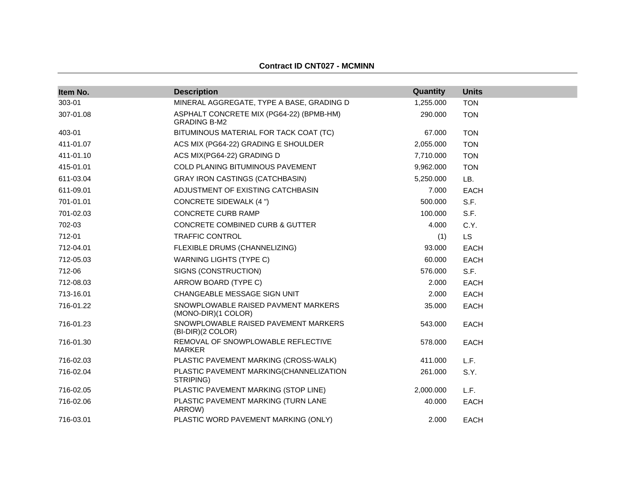| Item No.  | <b>Description</b>                                              | Quantity  | <b>Units</b> |
|-----------|-----------------------------------------------------------------|-----------|--------------|
| 303-01    | MINERAL AGGREGATE, TYPE A BASE, GRADING D                       | 1,255.000 | <b>TON</b>   |
| 307-01.08 | ASPHALT CONCRETE MIX (PG64-22) (BPMB-HM)<br><b>GRADING B-M2</b> | 290.000   | <b>TON</b>   |
| 403-01    | BITUMINOUS MATERIAL FOR TACK COAT (TC)                          | 67.000    | <b>TON</b>   |
| 411-01.07 | ACS MIX (PG64-22) GRADING E SHOULDER                            | 2,055.000 | <b>TON</b>   |
| 411-01.10 | ACS MIX(PG64-22) GRADING D                                      | 7,710.000 | <b>TON</b>   |
| 415-01.01 | COLD PLANING BITUMINOUS PAVEMENT                                | 9,962.000 | <b>TON</b>   |
| 611-03.04 | <b>GRAY IRON CASTINGS (CATCHBASIN)</b>                          | 5,250.000 | LB.          |
| 611-09.01 | ADJUSTMENT OF EXISTING CATCHBASIN                               | 7.000     | <b>EACH</b>  |
| 701-01.01 | <b>CONCRETE SIDEWALK (4 ")</b>                                  | 500.000   | S.F.         |
| 701-02.03 | <b>CONCRETE CURB RAMP</b>                                       | 100.000   | S.F.         |
| 702-03    | <b>CONCRETE COMBINED CURB &amp; GUTTER</b>                      | 4.000     | C.Y.         |
| 712-01    | <b>TRAFFIC CONTROL</b>                                          | (1)       | <b>LS</b>    |
| 712-04.01 | FLEXIBLE DRUMS (CHANNELIZING)                                   | 93.000    | <b>EACH</b>  |
| 712-05.03 | <b>WARNING LIGHTS (TYPE C)</b>                                  | 60.000    | <b>EACH</b>  |
| 712-06    | SIGNS (CONSTRUCTION)                                            | 576.000   | S.F.         |
| 712-08.03 | ARROW BOARD (TYPE C)                                            | 2.000     | <b>EACH</b>  |
| 713-16.01 | CHANGEABLE MESSAGE SIGN UNIT                                    | 2.000     | <b>EACH</b>  |
| 716-01.22 | SNOWPLOWABLE RAISED PAVMENT MARKERS<br>(MONO-DIR)(1 COLOR)      | 35.000    | <b>EACH</b>  |
| 716-01.23 | SNOWPLOWABLE RAISED PAVEMENT MARKERS<br>(BI-DIR)(2 COLOR)       | 543.000   | <b>EACH</b>  |
| 716-01.30 | REMOVAL OF SNOWPLOWABLE REFLECTIVE<br><b>MARKER</b>             | 578.000   | <b>EACH</b>  |
| 716-02.03 | PLASTIC PAVEMENT MARKING (CROSS-WALK)                           | 411.000   | L.F.         |
| 716-02.04 | PLASTIC PAVEMENT MARKING(CHANNELIZATION<br>STRIPING)            | 261.000   | S.Y.         |
| 716-02.05 | PLASTIC PAVEMENT MARKING (STOP LINE)                            | 2,000.000 | L.F.         |
| 716-02.06 | PLASTIC PAVEMENT MARKING (TURN LANE<br>ARROW)                   | 40.000    | <b>EACH</b>  |
| 716-03.01 | PLASTIC WORD PAVEMENT MARKING (ONLY)                            | 2.000     | <b>EACH</b>  |

### **Contract ID CNT027 - MCMINN**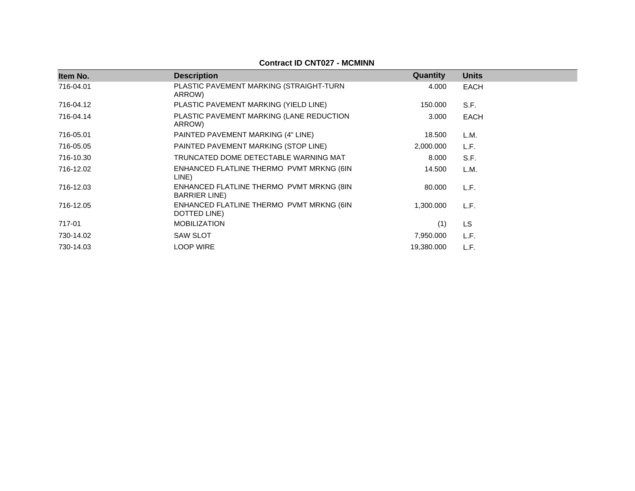| Item No.  | <b>Description</b>                                                | Quantity   | <b>Units</b> |
|-----------|-------------------------------------------------------------------|------------|--------------|
| 716-04.01 | PLASTIC PAVEMENT MARKING (STRAIGHT-TURN<br>ARROW)                 | 4.000      | <b>EACH</b>  |
| 716-04.12 | PLASTIC PAVEMENT MARKING (YIELD LINE)                             | 150.000    | S.F.         |
| 716-04.14 | PLASTIC PAVEMENT MARKING (LANE REDUCTION<br>ARROW)                | 3.000      | <b>EACH</b>  |
| 716-05.01 | PAINTED PAVEMENT MARKING (4" LINE)                                | 18.500     | L.M.         |
| 716-05.05 | PAINTED PAVEMENT MARKING (STOP LINE)                              | 2,000.000  | L.F.         |
| 716-10.30 | TRUNCATED DOME DETECTABLE WARNING MAT                             | 8.000      | S.F.         |
| 716-12.02 | ENHANCED FLATLINE THERMO PVMT MRKNG (6IN<br>LINE)                 | 14.500     | L.M.         |
| 716-12.03 | ENHANCED FLATLINE THERMO PVMT MRKNG (8IN<br><b>BARRIER LINE</b> ) | 80.000     | L.F.         |
| 716-12.05 | ENHANCED FLATLINE THERMO PVMT MRKNG (6IN<br>DOTTED LINE)          | 1,300.000  | L.F.         |
| 717-01    | <b>MOBILIZATION</b>                                               | (1)        | <b>LS</b>    |
| 730-14.02 | <b>SAW SLOT</b>                                                   | 7,950.000  | L.F.         |
| 730-14.03 | <b>LOOP WIRE</b>                                                  | 19,380.000 | L.F.         |

## **Contract ID CNT027 - MCMINN**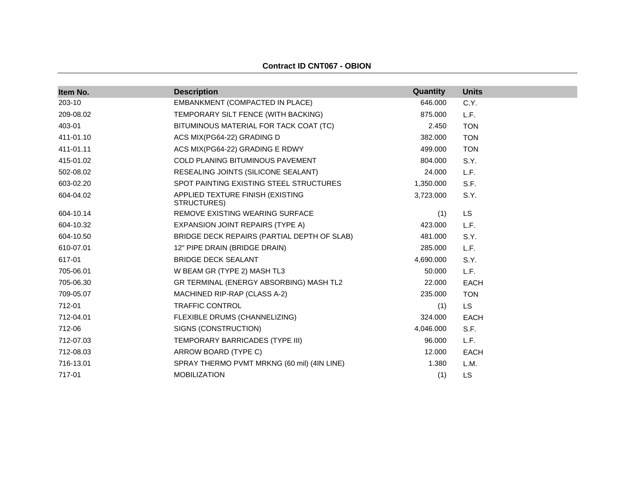| Item No.  | <b>Description</b>                              | Quantity  | <b>Units</b> |
|-----------|-------------------------------------------------|-----------|--------------|
| 203-10    | EMBANKMENT (COMPACTED IN PLACE)                 | 646.000   | C.Y.         |
| 209-08.02 | TEMPORARY SILT FENCE (WITH BACKING)             | 875.000   | L.F.         |
| 403-01    | BITUMINOUS MATERIAL FOR TACK COAT (TC)          | 2.450     | <b>TON</b>   |
| 411-01.10 | ACS MIX(PG64-22) GRADING D                      | 382,000   | <b>TON</b>   |
| 411-01.11 | ACS MIX(PG64-22) GRADING E RDWY                 | 499.000   | <b>TON</b>   |
| 415-01.02 | COLD PLANING BITUMINOUS PAVEMENT                | 804.000   | S.Y.         |
| 502-08.02 | RESEALING JOINTS (SILICONE SEALANT)             | 24.000    | L.F.         |
| 603-02.20 | SPOT PAINTING EXISTING STEEL STRUCTURES         | 1,350.000 | S.F.         |
| 604-04.02 | APPLIED TEXTURE FINISH (EXISTING<br>STRUCTURES) | 3,723.000 | S.Y.         |
| 604-10.14 | REMOVE EXISTING WEARING SURFACE                 | (1)       | <b>LS</b>    |
| 604-10.32 | EXPANSION JOINT REPAIRS (TYPE A)                | 423.000   | L.F.         |
| 604-10.50 | BRIDGE DECK REPAIRS (PARTIAL DEPTH OF SLAB)     | 481.000   | S.Y.         |
| 610-07.01 | 12" PIPE DRAIN (BRIDGE DRAIN)                   | 285.000   | L.F.         |
| 617-01    | <b>BRIDGE DECK SEALANT</b>                      | 4,690.000 | S.Y.         |
| 705-06.01 | W BEAM GR (TYPE 2) MASH TL3                     | 50.000    | L.F.         |
| 705-06.30 | GR TERMINAL (ENERGY ABSORBING) MASH TL2         | 22,000    | <b>EACH</b>  |
| 709-05.07 | MACHINED RIP-RAP (CLASS A-2)                    | 235.000   | <b>TON</b>   |
| 712-01    | <b>TRAFFIC CONTROL</b>                          | (1)       | <b>LS</b>    |
| 712-04.01 | FLEXIBLE DRUMS (CHANNELIZING)                   | 324.000   | <b>EACH</b>  |
| 712-06    | SIGNS (CONSTRUCTION)                            | 4,046.000 | S.F.         |
| 712-07.03 | TEMPORARY BARRICADES (TYPE III)                 | 96.000    | L.F.         |
| 712-08.03 | ARROW BOARD (TYPE C)                            | 12.000    | <b>EACH</b>  |
| 716-13.01 | SPRAY THERMO PVMT MRKNG (60 mil) (4IN LINE)     | 1.380     | L.M.         |
| 717-01    | <b>MOBILIZATION</b>                             | (1)       | <b>LS</b>    |

**Contract ID CNT067 - OBION**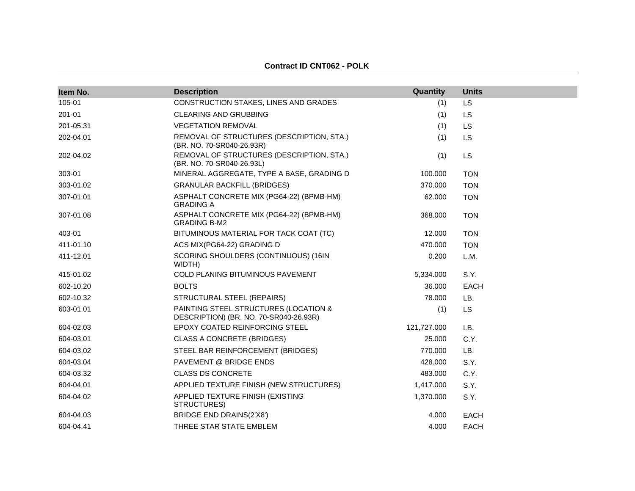| Item No.  | <b>Description</b>                                                              | Quantity    | <b>Units</b> |
|-----------|---------------------------------------------------------------------------------|-------------|--------------|
| 105-01    | CONSTRUCTION STAKES, LINES AND GRADES                                           | (1)         | LS           |
| 201-01    | CLEARING AND GRUBBING                                                           | (1)         | <b>LS</b>    |
| 201-05.31 | <b>VEGETATION REMOVAL</b>                                                       | (1)         | <b>LS</b>    |
| 202-04.01 | REMOVAL OF STRUCTURES (DESCRIPTION, STA.)<br>(BR. NO. 70-SR040-26.93R)          | (1)         | <b>LS</b>    |
| 202-04.02 | REMOVAL OF STRUCTURES (DESCRIPTION, STA.)<br>(BR. NO. 70-SR040-26.93L)          | (1)         | <b>LS</b>    |
| 303-01    | MINERAL AGGREGATE, TYPE A BASE, GRADING D                                       | 100.000     | <b>TON</b>   |
| 303-01.02 | <b>GRANULAR BACKFILL (BRIDGES)</b>                                              | 370.000     | <b>TON</b>   |
| 307-01.01 | ASPHALT CONCRETE MIX (PG64-22) (BPMB-HM)<br><b>GRADING A</b>                    | 62.000      | <b>TON</b>   |
| 307-01.08 | ASPHALT CONCRETE MIX (PG64-22) (BPMB-HM)<br><b>GRADING B-M2</b>                 | 368.000     | <b>TON</b>   |
| 403-01    | BITUMINOUS MATERIAL FOR TACK COAT (TC)                                          | 12.000      | <b>TON</b>   |
| 411-01.10 | ACS MIX(PG64-22) GRADING D                                                      | 470.000     | <b>TON</b>   |
| 411-12.01 | SCORING SHOULDERS (CONTINUOUS) (16IN<br>WIDTH)                                  | 0.200       | L.M.         |
| 415-01.02 | COLD PLANING BITUMINOUS PAVEMENT                                                | 5,334.000   | S.Y.         |
| 602-10.20 | <b>BOLTS</b>                                                                    | 36.000      | <b>EACH</b>  |
| 602-10.32 | STRUCTURAL STEEL (REPAIRS)                                                      | 78.000      | LB.          |
| 603-01.01 | PAINTING STEEL STRUCTURES (LOCATION &<br>DESCRIPTION) (BR. NO. 70-SR040-26.93R) | (1)         | <b>LS</b>    |
| 604-02.03 | EPOXY COATED REINFORCING STEEL                                                  | 121,727.000 | LB.          |
| 604-03.01 | <b>CLASS A CONCRETE (BRIDGES)</b>                                               | 25.000      | C.Y.         |
| 604-03.02 | STEEL BAR REINFORCEMENT (BRIDGES)                                               | 770.000     | LB.          |
| 604-03.04 | PAVEMENT @ BRIDGE ENDS                                                          | 428.000     | S.Y.         |
| 604-03.32 | <b>CLASS DS CONCRETE</b>                                                        | 483.000     | C.Y.         |
| 604-04.01 | APPLIED TEXTURE FINISH (NEW STRUCTURES)                                         | 1,417.000   | S.Y.         |
| 604-04.02 | APPLIED TEXTURE FINISH (EXISTING<br>STRUCTURES)                                 | 1,370.000   | S.Y.         |
| 604-04.03 | BRIDGE END DRAINS(2'X8')                                                        | 4.000       | <b>EACH</b>  |
| 604-04.41 | THREE STAR STATE EMBLEM                                                         | 4.000       | <b>EACH</b>  |

**Contract ID CNT062 - POLK**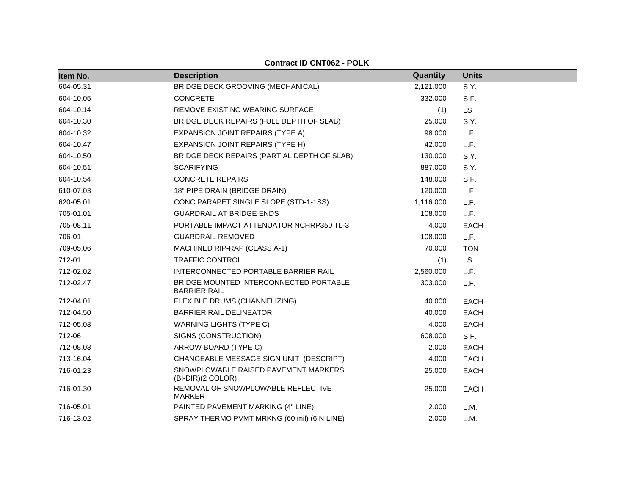| Item No.  | <b>Description</b>                                            | Quantity  | <b>Units</b> |
|-----------|---------------------------------------------------------------|-----------|--------------|
| 604-05.31 | BRIDGE DECK GROOVING (MECHANICAL)                             | 2,121.000 | S.Y.         |
| 604-10.05 | <b>CONCRETE</b>                                               | 332.000   | S.F.         |
| 604-10.14 | REMOVE EXISTING WEARING SURFACE                               | (1)       | LS           |
| 604-10.30 | BRIDGE DECK REPAIRS (FULL DEPTH OF SLAB)                      | 25,000    | S.Y.         |
| 604-10.32 | EXPANSION JOINT REPAIRS (TYPE A)                              | 98.000    | L.F.         |
| 604-10.47 | EXPANSION JOINT REPAIRS (TYPE H)                              | 42.000    | L.F.         |
| 604-10.50 | BRIDGE DECK REPAIRS (PARTIAL DEPTH OF SLAB)                   | 130.000   | S.Y.         |
| 604-10.51 | <b>SCARIFYING</b>                                             | 887.000   | S.Y.         |
| 604-10.54 | <b>CONCRETE REPAIRS</b>                                       | 148.000   | S.F.         |
| 610-07.03 | 18" PIPE DRAIN (BRIDGE DRAIN)                                 | 120.000   | L.F.         |
| 620-05.01 | CONC PARAPET SINGLE SLOPE (STD-1-1SS)                         | 1,116.000 | L.F.         |
| 705-01.01 | <b>GUARDRAIL AT BRIDGE ENDS</b>                               | 108.000   | L.F.         |
| 705-08.11 | PORTABLE IMPACT ATTENUATOR NCHRP350 TL-3                      | 4.000     | <b>EACH</b>  |
| 706-01    | <b>GUARDRAIL REMOVED</b>                                      | 108.000   | L.F.         |
| 709-05.06 | MACHINED RIP-RAP (CLASS A-1)                                  | 70.000    | <b>TON</b>   |
| 712-01    | <b>TRAFFIC CONTROL</b>                                        | (1)       | <b>LS</b>    |
| 712-02.02 | INTERCONNECTED PORTABLE BARRIER RAIL                          | 2,560.000 | L.F.         |
| 712-02.47 | BRIDGE MOUNTED INTERCONNECTED PORTABLE<br><b>BARRIER RAIL</b> | 303,000   | L.F.         |
| 712-04.01 | FLEXIBLE DRUMS (CHANNELIZING)                                 | 40.000    | <b>EACH</b>  |
| 712-04.50 | <b>BARRIER RAIL DELINEATOR</b>                                | 40.000    | <b>EACH</b>  |
| 712-05.03 | <b>WARNING LIGHTS (TYPE C)</b>                                | 4.000     | <b>EACH</b>  |
| 712-06    | SIGNS (CONSTRUCTION)                                          | 608.000   | S.F.         |
| 712-08.03 | ARROW BOARD (TYPE C)                                          | 2.000     | <b>EACH</b>  |
| 713-16.04 | CHANGEABLE MESSAGE SIGN UNIT (DESCRIPT)                       | 4.000     | <b>EACH</b>  |
| 716-01.23 | SNOWPLOWABLE RAISED PAVEMENT MARKERS<br>(BI-DIR)(2 COLOR)     | 25.000    | <b>EACH</b>  |
| 716-01.30 | REMOVAL OF SNOWPLOWABLE REFLECTIVE<br><b>MARKER</b>           | 25.000    | <b>EACH</b>  |
| 716-05.01 | PAINTED PAVEMENT MARKING (4" LINE)                            | 2.000     | L.M.         |
| 716-13.02 | SPRAY THERMO PVMT MRKNG (60 mil) (6IN LINE)                   | 2.000     | L.M.         |

#### **Contract ID CNT062 - POLK**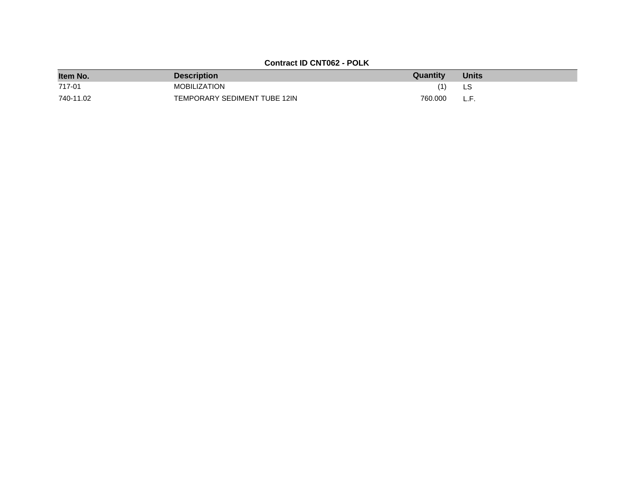# **Contract ID CNT062 - POLK**

| Item No.  | <b>Description</b>           | Quantity | <b>Units</b> |
|-----------|------------------------------|----------|--------------|
| 717-01    | <b>MOBILIZATION</b>          |          | LS           |
| 740-11.02 | TEMPORARY SEDIMENT TUBE 12IN | 760.000  | .            |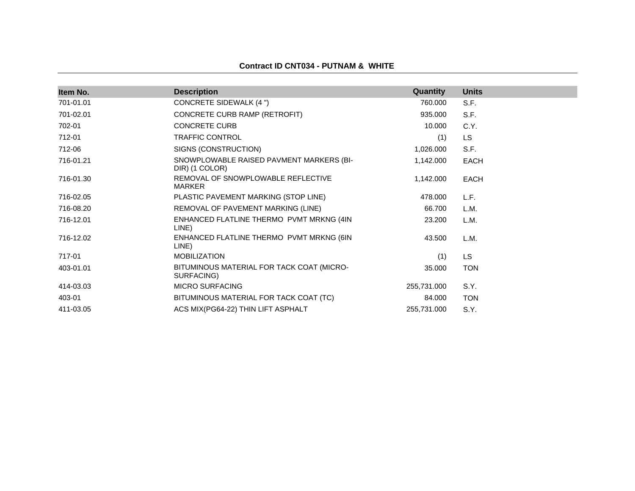|  |  | Contract ID CNT034 - PUTNAM & WHITE |  |
|--|--|-------------------------------------|--|
|--|--|-------------------------------------|--|

| Item No.  | <b>Description</b>                                         | Quantity    | <b>Units</b> |
|-----------|------------------------------------------------------------|-------------|--------------|
| 701-01.01 | CONCRETE SIDEWALK (4 ")                                    | 760.000     | S.F.         |
| 701-02.01 | CONCRETE CURB RAMP (RETROFIT)                              | 935.000     | S.F.         |
| 702-01    | <b>CONCRETE CURB</b>                                       | 10.000      | C.Y.         |
| 712-01    | <b>TRAFFIC CONTROL</b>                                     | (1)         | LS.          |
| 712-06    | SIGNS (CONSTRUCTION)                                       | 1,026.000   | S.F.         |
| 716-01.21 | SNOWPLOWABLE RAISED PAVMENT MARKERS (BI-<br>DIR) (1 COLOR) | 1,142.000   | <b>EACH</b>  |
| 716-01.30 | REMOVAL OF SNOWPLOWABLE REFLECTIVE<br><b>MARKER</b>        | 1,142.000   | <b>EACH</b>  |
| 716-02.05 | PLASTIC PAVEMENT MARKING (STOP LINE)                       | 478.000     | L.F.         |
| 716-08.20 | REMOVAL OF PAVEMENT MARKING (LINE)                         | 66.700      | L.M.         |
| 716-12.01 | ENHANCED FLATLINE THERMO PVMT MRKNG (4IN<br>LINE)          | 23.200      | L.M.         |
| 716-12.02 | ENHANCED FLATLINE THERMO PVMT MRKNG (6IN<br>LINE)          | 43.500      | L.M.         |
| 717-01    | <b>MOBILIZATION</b>                                        | (1)         | LS.          |
| 403-01.01 | BITUMINOUS MATERIAL FOR TACK COAT (MICRO-<br>SURFACING)    | 35.000      | <b>TON</b>   |
| 414-03.03 | <b>MICRO SURFACING</b>                                     | 255,731.000 | S.Y.         |
| 403-01    | BITUMINOUS MATERIAL FOR TACK COAT (TC)                     | 84.000      | <b>TON</b>   |
| 411-03.05 | ACS MIX(PG64-22) THIN LIFT ASPHALT                         | 255,731.000 | S.Y.         |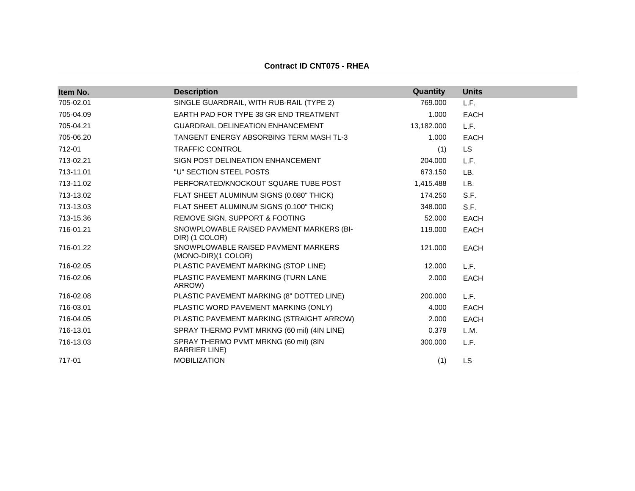| Item No.  | <b>Description</b>                                            | Quantity   | <b>Units</b> |
|-----------|---------------------------------------------------------------|------------|--------------|
| 705-02.01 | SINGLE GUARDRAIL, WITH RUB-RAIL (TYPE 2)                      | 769.000    | L.F.         |
| 705-04.09 | EARTH PAD FOR TYPE 38 GR END TREATMENT                        | 1.000      | <b>EACH</b>  |
| 705-04.21 | <b>GUARDRAIL DELINEATION ENHANCEMENT</b>                      | 13,182.000 | L.F.         |
| 705-06.20 | TANGENT ENERGY ABSORBING TERM MASH TL-3                       | 1.000      | <b>EACH</b>  |
| 712-01    | <b>TRAFFIC CONTROL</b>                                        | (1)        | <b>LS</b>    |
| 713-02.21 | SIGN POST DELINEATION ENHANCEMENT                             | 204.000    | L.F.         |
| 713-11.01 | "U" SECTION STEEL POSTS                                       | 673.150    | LB.          |
| 713-11.02 | PERFORATED/KNOCKOUT SQUARE TUBE POST                          | 1,415.488  | LB.          |
| 713-13.02 | FLAT SHEET ALUMINUM SIGNS (0.080" THICK)                      | 174.250    | S.F.         |
| 713-13.03 | FLAT SHEET ALUMINUM SIGNS (0.100" THICK)                      | 348.000    | S.F.         |
| 713-15.36 | REMOVE SIGN, SUPPORT & FOOTING                                | 52.000     | <b>EACH</b>  |
| 716-01.21 | SNOWPLOWABLE RAISED PAVMENT MARKERS (BI-<br>DIR) (1 COLOR)    | 119.000    | <b>EACH</b>  |
| 716-01.22 | SNOWPLOWABLE RAISED PAVMENT MARKERS<br>(MONO-DIR)(1 COLOR)    | 121.000    | <b>EACH</b>  |
| 716-02.05 | PLASTIC PAVEMENT MARKING (STOP LINE)                          | 12.000     | L.F.         |
| 716-02.06 | PLASTIC PAVEMENT MARKING (TURN LANE<br>ARROW)                 | 2.000      | <b>EACH</b>  |
| 716-02.08 | PLASTIC PAVEMENT MARKING (8" DOTTED LINE)                     | 200.000    | L.F.         |
| 716-03.01 | PLASTIC WORD PAVEMENT MARKING (ONLY)                          | 4.000      | <b>EACH</b>  |
| 716-04.05 | PLASTIC PAVEMENT MARKING (STRAIGHT ARROW)                     | 2.000      | <b>EACH</b>  |
| 716-13.01 | SPRAY THERMO PVMT MRKNG (60 mil) (4IN LINE)                   | 0.379      | L.M.         |
| 716-13.03 | SPRAY THERMO PVMT MRKNG (60 mil) (8IN<br><b>BARRIER LINE)</b> | 300.000    | L.F.         |
| 717-01    | <b>MOBILIZATION</b>                                           | (1)        | LS           |

# **Contract ID CNT075 - RHEA**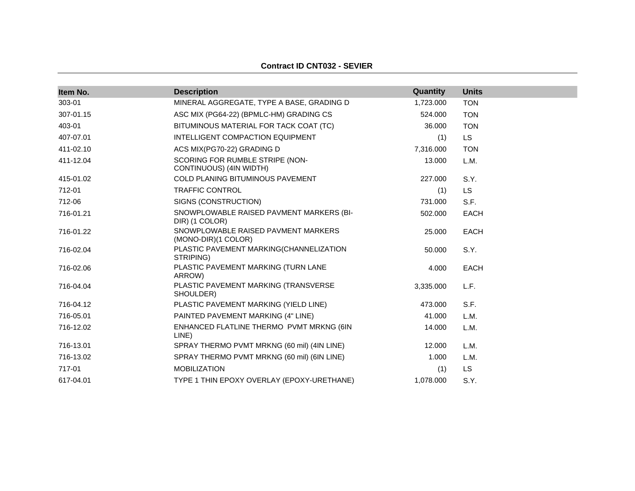| <b>Contract ID CNT032 - SEVIER</b> |  |  |
|------------------------------------|--|--|
|------------------------------------|--|--|

| Item No.  | <b>Description</b>                                         | Quantity  | <b>Units</b> |
|-----------|------------------------------------------------------------|-----------|--------------|
| 303-01    | MINERAL AGGREGATE, TYPE A BASE, GRADING D                  | 1,723.000 | <b>TON</b>   |
| 307-01.15 | ASC MIX (PG64-22) (BPMLC-HM) GRADING CS                    | 524.000   | <b>TON</b>   |
| 403-01    | BITUMINOUS MATERIAL FOR TACK COAT (TC)                     | 36,000    | <b>TON</b>   |
| 407-07.01 | INTELLIGENT COMPACTION EQUIPMENT                           | (1)       | <b>LS</b>    |
| 411-02.10 | ACS MIX(PG70-22) GRADING D                                 | 7,316.000 | <b>TON</b>   |
| 411-12.04 | SCORING FOR RUMBLE STRIPE (NON-<br>CONTINUOUS) (4IN WIDTH) | 13.000    | L.M.         |
| 415-01.02 | <b>COLD PLANING BITUMINOUS PAVEMENT</b>                    | 227.000   | S.Y.         |
| 712-01    | <b>TRAFFIC CONTROL</b>                                     | (1)       | <b>LS</b>    |
| 712-06    | SIGNS (CONSTRUCTION)                                       | 731.000   | S.F.         |
| 716-01.21 | SNOWPLOWABLE RAISED PAVMENT MARKERS (BI-<br>DIR) (1 COLOR) | 502.000   | <b>EACH</b>  |
| 716-01.22 | SNOWPLOWABLE RAISED PAVMENT MARKERS<br>(MONO-DIR)(1 COLOR) | 25.000    | <b>EACH</b>  |
| 716-02.04 | PLASTIC PAVEMENT MARKING(CHANNELIZATION<br>STRIPING)       | 50.000    | S.Y.         |
| 716-02.06 | PLASTIC PAVEMENT MARKING (TURN LANE<br>ARROW)              | 4.000     | <b>EACH</b>  |
| 716-04.04 | PLASTIC PAVEMENT MARKING (TRANSVERSE<br>SHOULDER)          | 3,335.000 | L.F.         |
| 716-04.12 | PLASTIC PAVEMENT MARKING (YIELD LINE)                      | 473.000   | S.F.         |
| 716-05.01 | PAINTED PAVEMENT MARKING (4" LINE)                         | 41.000    | L.M.         |
| 716-12.02 | ENHANCED FLATLINE THERMO PVMT MRKNG (6IN<br>LINE)          | 14.000    | L.M.         |
| 716-13.01 | SPRAY THERMO PVMT MRKNG (60 mil) (4IN LINE)                | 12.000    | L.M.         |
| 716-13.02 | SPRAY THERMO PVMT MRKNG (60 mil) (6IN LINE)                | 1.000     | L.M.         |
| 717-01    | <b>MOBILIZATION</b>                                        | (1)       | LS.          |
| 617-04.01 | TYPE 1 THIN EPOXY OVERLAY (EPOXY-URETHANE)                 | 1,078.000 | S.Y.         |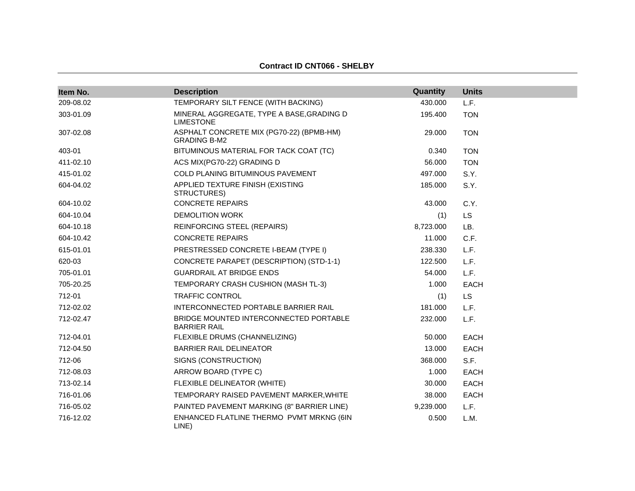# **Contract ID CNT066 - SHELBY**

| Item No.  | <b>Description</b>                                              | Quantity  | <b>Units</b> |
|-----------|-----------------------------------------------------------------|-----------|--------------|
| 209-08.02 | TEMPORARY SILT FENCE (WITH BACKING)                             | 430.000   | L.F.         |
| 303-01.09 | MINERAL AGGREGATE, TYPE A BASE, GRADING D<br><b>LIMESTONE</b>   | 195.400   | <b>TON</b>   |
| 307-02.08 | ASPHALT CONCRETE MIX (PG70-22) (BPMB-HM)<br><b>GRADING B-M2</b> | 29.000    | <b>TON</b>   |
| 403-01    | BITUMINOUS MATERIAL FOR TACK COAT (TC)                          | 0.340     | <b>TON</b>   |
| 411-02.10 | ACS MIX(PG70-22) GRADING D                                      | 56.000    | <b>TON</b>   |
| 415-01.02 | COLD PLANING BITUMINOUS PAVEMENT                                | 497.000   | S.Y.         |
| 604-04.02 | APPLIED TEXTURE FINISH (EXISTING<br>STRUCTURES)                 | 185.000   | S.Y.         |
| 604-10.02 | <b>CONCRETE REPAIRS</b>                                         | 43.000    | C.Y.         |
| 604-10.04 | <b>DEMOLITION WORK</b>                                          | (1)       | <b>LS</b>    |
| 604-10.18 | REINFORCING STEEL (REPAIRS)                                     | 8,723.000 | LB.          |
| 604-10.42 | <b>CONCRETE REPAIRS</b>                                         | 11.000    | C.F.         |
| 615-01.01 | PRESTRESSED CONCRETE I-BEAM (TYPE I)                            | 238.330   | L.F.         |
| 620-03    | CONCRETE PARAPET (DESCRIPTION) (STD-1-1)                        | 122,500   | L.F.         |
| 705-01.01 | <b>GUARDRAIL AT BRIDGE ENDS</b>                                 | 54.000    | L.F.         |
| 705-20.25 | TEMPORARY CRASH CUSHION (MASH TL-3)                             | 1.000     | <b>EACH</b>  |
| 712-01    | <b>TRAFFIC CONTROL</b>                                          | (1)       | <b>LS</b>    |
| 712-02.02 | INTERCONNECTED PORTABLE BARRIER RAIL                            | 181.000   | L.F.         |
| 712-02.47 | BRIDGE MOUNTED INTERCONNECTED PORTABLE<br><b>BARRIER RAIL</b>   | 232,000   | L.F.         |
| 712-04.01 | FLEXIBLE DRUMS (CHANNELIZING)                                   | 50.000    | <b>EACH</b>  |
| 712-04.50 | <b>BARRIER RAIL DELINEATOR</b>                                  | 13.000    | <b>EACH</b>  |
| 712-06    | SIGNS (CONSTRUCTION)                                            | 368.000   | S.F.         |
| 712-08.03 | ARROW BOARD (TYPE C)                                            | 1.000     | <b>EACH</b>  |
| 713-02.14 | FLEXIBLE DELINEATOR (WHITE)                                     | 30.000    | <b>EACH</b>  |
| 716-01.06 | TEMPORARY RAISED PAVEMENT MARKER, WHITE                         | 38.000    | EACH         |
| 716-05.02 | PAINTED PAVEMENT MARKING (8" BARRIER LINE)                      | 9,239.000 | L.F.         |
| 716-12.02 | ENHANCED FLATLINE THERMO PVMT MRKNG (6IN<br>LINE)               | 0.500     | L.M.         |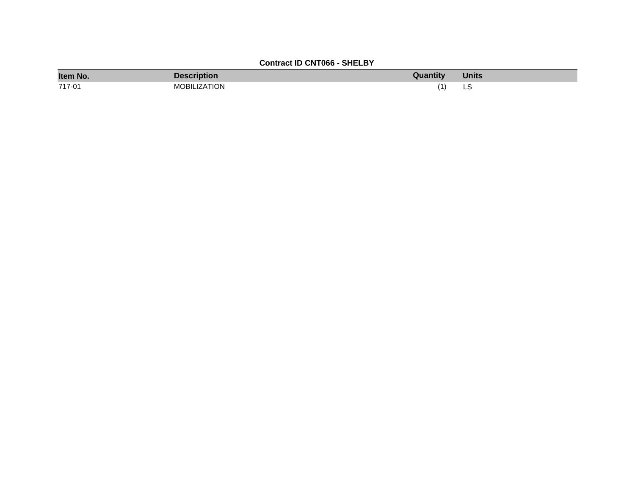# **Contract ID CNT066 - SHELBY**

| Item No. | <b>Description</b> | Quantity | <b>Units</b> |
|----------|--------------------|----------|--------------|
| 717-01   | MOBILIZATION       |          | نٽ           |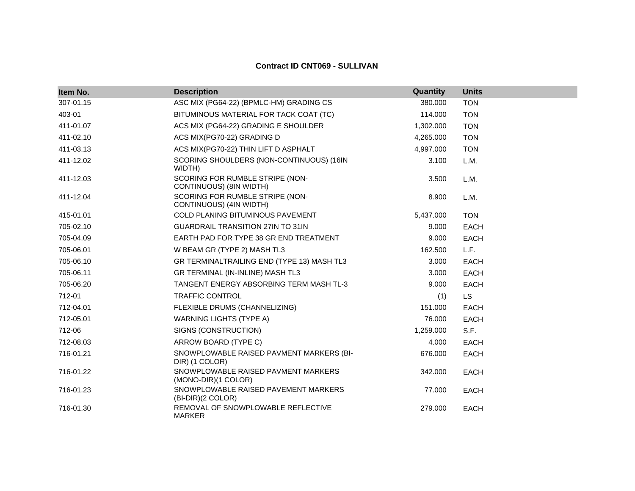| Item No.  | <b>Description</b>                                         | Quantity  | <b>Units</b> |
|-----------|------------------------------------------------------------|-----------|--------------|
| 307-01.15 | ASC MIX (PG64-22) (BPMLC-HM) GRADING CS                    | 380.000   | <b>TON</b>   |
| 403-01    | BITUMINOUS MATERIAL FOR TACK COAT (TC)                     | 114.000   | <b>TON</b>   |
| 411-01.07 | ACS MIX (PG64-22) GRADING E SHOULDER                       | 1,302.000 | <b>TON</b>   |
| 411-02.10 | ACS MIX(PG70-22) GRADING D                                 | 4,265.000 | <b>TON</b>   |
| 411-03.13 | ACS MIX(PG70-22) THIN LIFT D ASPHALT                       | 4,997.000 | <b>TON</b>   |
| 411-12.02 | SCORING SHOULDERS (NON-CONTINUOUS) (16IN<br>WIDTH)         | 3.100     | L.M.         |
| 411-12.03 | SCORING FOR RUMBLE STRIPE (NON-<br>CONTINUOUS) (8IN WIDTH) | 3.500     | L.M.         |
| 411-12.04 | SCORING FOR RUMBLE STRIPE (NON-<br>CONTINUOUS) (4IN WIDTH) | 8.900     | L.M.         |
| 415-01.01 | COLD PLANING BITUMINOUS PAVEMENT                           | 5,437.000 | <b>TON</b>   |
| 705-02.10 | <b>GUARDRAIL TRANSITION 27IN TO 31IN</b>                   | 9.000     | <b>EACH</b>  |
| 705-04.09 | EARTH PAD FOR TYPE 38 GR END TREATMENT                     | 9.000     | EACH         |
| 705-06.01 | W BEAM GR (TYPE 2) MASH TL3                                | 162.500   | L.F.         |
| 705-06.10 | GR TERMINALTRAILING END (TYPE 13) MASH TL3                 | 3.000     | EACH         |
| 705-06.11 | GR TERMINAL (IN-INLINE) MASH TL3                           | 3.000     | EACH         |
| 705-06.20 | TANGENT ENERGY ABSORBING TERM MASH TL-3                    | 9.000     | EACH         |
| 712-01    | TRAFFIC CONTROL                                            | (1)       | <b>LS</b>    |
| 712-04.01 | FLEXIBLE DRUMS (CHANNELIZING)                              | 151.000   | <b>EACH</b>  |
| 712-05.01 | <b>WARNING LIGHTS (TYPE A)</b>                             | 76.000    | <b>EACH</b>  |
| 712-06    | SIGNS (CONSTRUCTION)                                       | 1,259.000 | S.F.         |
| 712-08.03 | ARROW BOARD (TYPE C)                                       | 4.000     | EACH         |
| 716-01.21 | SNOWPLOWABLE RAISED PAVMENT MARKERS (BI-<br>DIR) (1 COLOR) | 676.000   | <b>EACH</b>  |
| 716-01.22 | SNOWPLOWABLE RAISED PAVMENT MARKERS<br>(MONO-DIR)(1 COLOR) | 342.000   | <b>EACH</b>  |
| 716-01.23 | SNOWPLOWABLE RAISED PAVEMENT MARKERS<br>(BI-DIR)(2 COLOR)  | 77.000    | <b>EACH</b>  |
| 716-01.30 | REMOVAL OF SNOWPLOWABLE REFLECTIVE<br><b>MARKER</b>        | 279.000   | <b>EACH</b>  |

#### **Contract ID CNT069 - SULLIVAN**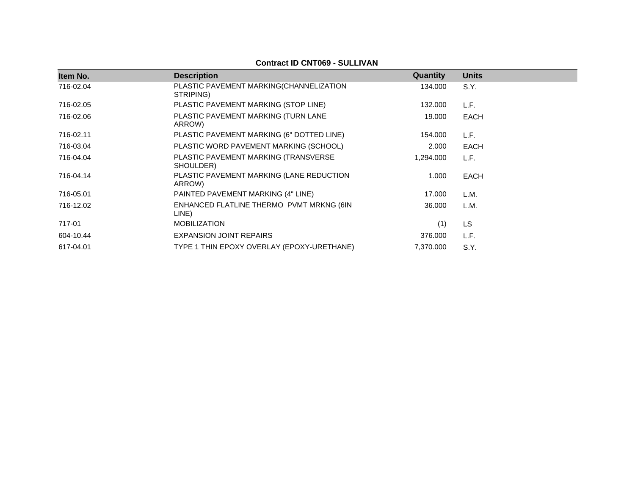| Item No.  | <b>Description</b>                                   | Quantity  | <b>Units</b> |
|-----------|------------------------------------------------------|-----------|--------------|
| 716-02.04 | PLASTIC PAVEMENT MARKING(CHANNELIZATION<br>STRIPING) | 134.000   | S.Y.         |
| 716-02.05 | PLASTIC PAVEMENT MARKING (STOP LINE)                 | 132.000   | L.F.         |
| 716-02.06 | PLASTIC PAVEMENT MARKING (TURN LANE<br>ARROW)        | 19.000    | EACH         |
| 716-02.11 | PLASTIC PAVEMENT MARKING (6" DOTTED LINE)            | 154.000   | L.F.         |
| 716-03.04 | PLASTIC WORD PAVEMENT MARKING (SCHOOL)               | 2.000     | EACH         |
| 716-04.04 | PLASTIC PAVEMENT MARKING (TRANSVERSE<br>SHOULDER)    | 1,294.000 | L.F.         |
| 716-04.14 | PLASTIC PAVEMENT MARKING (LANE REDUCTION<br>ARROW)   | 1.000     | EACH         |
| 716-05.01 | PAINTED PAVEMENT MARKING (4" LINE)                   | 17.000    | L.M.         |
| 716-12.02 | ENHANCED FLATLINE THERMO PVMT MRKNG (6IN<br>LINE)    | 36.000    | L.M.         |
| 717-01    | <b>MOBILIZATION</b>                                  | (1)       | <b>LS</b>    |
| 604-10.44 | <b>EXPANSION JOINT REPAIRS</b>                       | 376.000   | L.F.         |
| 617-04.01 | TYPE 1 THIN EPOXY OVERLAY (EPOXY-URETHANE)           | 7,370.000 | S.Y.         |

# **Contract ID CNT069 - SULLIVAN**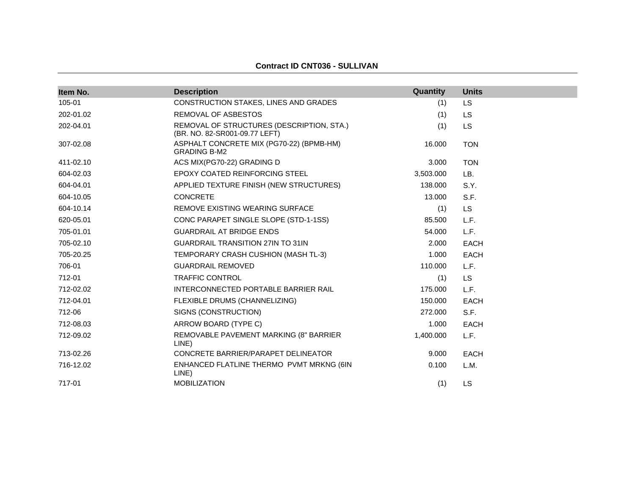| Item No.  | <b>Description</b>                                                         | Quantity  | <b>Units</b> |
|-----------|----------------------------------------------------------------------------|-----------|--------------|
| 105-01    | CONSTRUCTION STAKES, LINES AND GRADES                                      | (1)       | <b>LS</b>    |
| 202-01.02 | REMOVAL OF ASBESTOS                                                        | (1)       | <b>LS</b>    |
| 202-04.01 | REMOVAL OF STRUCTURES (DESCRIPTION, STA.)<br>(BR. NO. 82-SR001-09.77 LEFT) | (1)       | LS.          |
| 307-02.08 | ASPHALT CONCRETE MIX (PG70-22) (BPMB-HM)<br><b>GRADING B-M2</b>            | 16.000    | <b>TON</b>   |
| 411-02.10 | ACS MIX(PG70-22) GRADING D                                                 | 3.000     | <b>TON</b>   |
| 604-02.03 | EPOXY COATED REINFORCING STEEL                                             | 3,503.000 | LB.          |
| 604-04.01 | APPLIED TEXTURE FINISH (NEW STRUCTURES)                                    | 138.000   | S.Y.         |
| 604-10.05 | <b>CONCRETE</b>                                                            | 13.000    | S.F.         |
| 604-10.14 | REMOVE EXISTING WEARING SURFACE                                            | (1)       | <b>LS</b>    |
| 620-05.01 | CONC PARAPET SINGLE SLOPE (STD-1-1SS)                                      | 85.500    | L.F.         |
| 705-01.01 | <b>GUARDRAIL AT BRIDGE ENDS</b>                                            | 54.000    | L.F.         |
| 705-02.10 | <b>GUARDRAIL TRANSITION 27IN TO 31IN</b>                                   | 2.000     | EACH         |
| 705-20.25 | TEMPORARY CRASH CUSHION (MASH TL-3)                                        | 1.000     | <b>EACH</b>  |
| 706-01    | <b>GUARDRAIL REMOVED</b>                                                   | 110.000   | L.F.         |
| 712-01    | <b>TRAFFIC CONTROL</b>                                                     | (1)       | LS.          |
| 712-02.02 | INTERCONNECTED PORTABLE BARRIER RAIL                                       | 175.000   | L.F.         |
| 712-04.01 | FLEXIBLE DRUMS (CHANNELIZING)                                              | 150.000   | EACH         |
| 712-06    | SIGNS (CONSTRUCTION)                                                       | 272,000   | S.F.         |
| 712-08.03 | ARROW BOARD (TYPE C)                                                       | 1.000     | <b>EACH</b>  |
| 712-09.02 | REMOVABLE PAVEMENT MARKING (8" BARRIER<br>LINE)                            | 1,400.000 | L.F.         |
| 713-02.26 | CONCRETE BARRIER/PARAPET DELINEATOR                                        | 9.000     | <b>EACH</b>  |
| 716-12.02 | ENHANCED FLATLINE THERMO PVMT MRKNG (6IN<br>LINE)                          | 0.100     | L.M.         |
| 717-01    | <b>MOBILIZATION</b>                                                        | (1)       | <b>LS</b>    |

## **Contract ID CNT036 - SULLIVAN**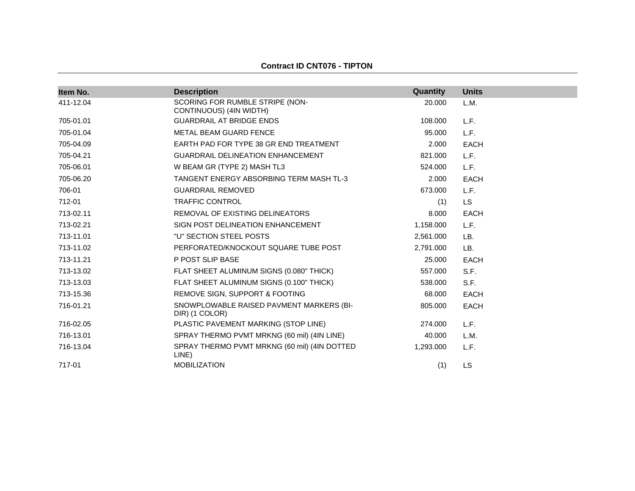#### **Contract ID CNT076 - TIPTON**

| Item No.  | <b>Description</b>                                         | Quantity  | <b>Units</b> |
|-----------|------------------------------------------------------------|-----------|--------------|
| 411-12.04 | SCORING FOR RUMBLE STRIPE (NON-<br>CONTINUOUS) (4IN WIDTH) | 20.000    | L.M.         |
| 705-01.01 | <b>GUARDRAIL AT BRIDGE ENDS</b>                            | 108.000   | L.F.         |
| 705-01.04 | <b>METAL BEAM GUARD FENCE</b>                              | 95.000    | L.F.         |
| 705-04.09 | EARTH PAD FOR TYPE 38 GR END TREATMENT                     | 2.000     | <b>EACH</b>  |
| 705-04.21 | <b>GUARDRAIL DELINEATION ENHANCEMENT</b>                   | 821.000   | L.F.         |
| 705-06.01 | W BEAM GR (TYPE 2) MASH TL3                                | 524.000   | L.F.         |
| 705-06.20 | TANGENT ENERGY ABSORBING TERM MASH TL-3                    | 2.000     | <b>EACH</b>  |
| 706-01    | <b>GUARDRAIL REMOVED</b>                                   | 673.000   | L.F.         |
| 712-01    | <b>TRAFFIC CONTROL</b>                                     | (1)       | <b>LS</b>    |
| 713-02.11 | REMOVAL OF EXISTING DELINEATORS                            | 8.000     | <b>EACH</b>  |
| 713-02.21 | SIGN POST DELINEATION ENHANCEMENT                          | 1,158.000 | L.F.         |
| 713-11.01 | "U" SECTION STEEL POSTS                                    | 2,561.000 | LB.          |
| 713-11.02 | PERFORATED/KNOCKOUT SQUARE TUBE POST                       | 2,791.000 | LB.          |
| 713-11.21 | P POST SLIP BASE                                           | 25.000    | <b>EACH</b>  |
| 713-13.02 | FLAT SHEET ALUMINUM SIGNS (0.080" THICK)                   | 557.000   | S.F.         |
| 713-13.03 | FLAT SHEET ALUMINUM SIGNS (0.100" THICK)                   | 538.000   | S.F.         |
| 713-15.36 | REMOVE SIGN, SUPPORT & FOOTING                             | 68.000    | <b>EACH</b>  |
| 716-01.21 | SNOWPLOWABLE RAISED PAVMENT MARKERS (BI-<br>DIR) (1 COLOR) | 805.000   | <b>EACH</b>  |
| 716-02.05 | PLASTIC PAVEMENT MARKING (STOP LINE)                       | 274.000   | L.F.         |
| 716-13.01 | SPRAY THERMO PVMT MRKNG (60 mil) (4IN LINE)                | 40.000    | L.M.         |
| 716-13.04 | SPRAY THERMO PVMT MRKNG (60 mil) (4IN DOTTED<br>LINE)      | 1,293.000 | L.F.         |
| 717-01    | <b>MOBILIZATION</b>                                        | (1)       | <b>LS</b>    |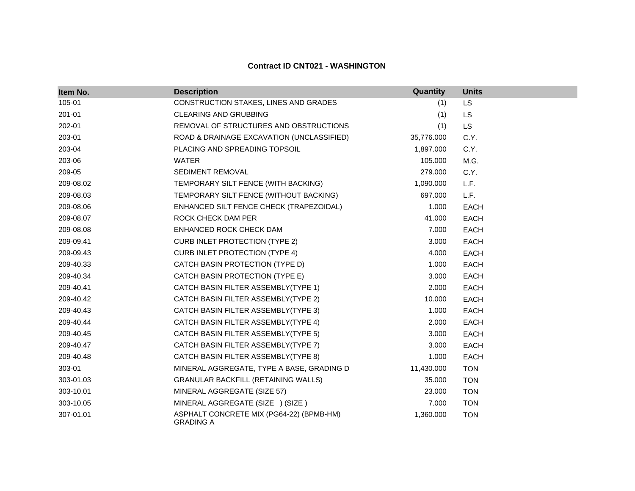| Item No.  | <b>Description</b>                                           | Quantity   | <b>Units</b> |
|-----------|--------------------------------------------------------------|------------|--------------|
| 105-01    | CONSTRUCTION STAKES, LINES AND GRADES                        |            |              |
|           |                                                              | (1)        | <b>LS</b>    |
| 201-01    | <b>CLEARING AND GRUBBING</b>                                 | (1)        | <b>LS</b>    |
| 202-01    | REMOVAL OF STRUCTURES AND OBSTRUCTIONS                       | (1)        | <b>LS</b>    |
| 203-01    | ROAD & DRAINAGE EXCAVATION (UNCLASSIFIED)                    | 35,776.000 | C.Y.         |
| 203-04    | PLACING AND SPREADING TOPSOIL                                | 1,897.000  | C.Y.         |
| 203-06    | <b>WATER</b>                                                 | 105.000    | M.G.         |
| 209-05    | SEDIMENT REMOVAL                                             | 279.000    | C.Y.         |
| 209-08.02 | TEMPORARY SILT FENCE (WITH BACKING)                          | 1,090.000  | L.F.         |
| 209-08.03 | TEMPORARY SILT FENCE (WITHOUT BACKING)                       | 697.000    | L.F.         |
| 209-08.06 | ENHANCED SILT FENCE CHECK (TRAPEZOIDAL)                      | 1.000      | EACH         |
| 209-08.07 | ROCK CHECK DAM PER                                           | 41.000     | EACH         |
| 209-08.08 | ENHANCED ROCK CHECK DAM                                      | 7.000      | EACH         |
| 209-09.41 | <b>CURB INLET PROTECTION (TYPE 2)</b>                        | 3.000      | EACH         |
| 209-09.43 | <b>CURB INLET PROTECTION (TYPE 4)</b>                        | 4.000      | EACH         |
| 209-40.33 | CATCH BASIN PROTECTION (TYPE D)                              | 1.000      | EACH         |
| 209-40.34 | CATCH BASIN PROTECTION (TYPE E)                              | 3.000      | EACH         |
| 209-40.41 | CATCH BASIN FILTER ASSEMBLY(TYPE 1)                          | 2.000      | EACH         |
| 209-40.42 | CATCH BASIN FILTER ASSEMBLY(TYPE 2)                          | 10.000     | EACH         |
| 209-40.43 | CATCH BASIN FILTER ASSEMBLY(TYPE 3)                          | 1.000      | EACH         |
| 209-40.44 | CATCH BASIN FILTER ASSEMBLY(TYPE 4)                          | 2.000      | EACH         |
| 209-40.45 | CATCH BASIN FILTER ASSEMBLY(TYPE 5)                          | 3.000      | EACH         |
| 209-40.47 | CATCH BASIN FILTER ASSEMBLY(TYPE 7)                          | 3.000      | <b>EACH</b>  |
| 209-40.48 | CATCH BASIN FILTER ASSEMBLY(TYPE 8)                          | 1.000      | EACH         |
| 303-01    | MINERAL AGGREGATE, TYPE A BASE, GRADING D                    | 11,430.000 | <b>TON</b>   |
| 303-01.03 | <b>GRANULAR BACKFILL (RETAINING WALLS)</b>                   | 35.000     | <b>TON</b>   |
| 303-10.01 | MINERAL AGGREGATE (SIZE 57)                                  | 23.000     | <b>TON</b>   |
| 303-10.05 | MINERAL AGGREGATE (SIZE ) (SIZE)                             | 7.000      | <b>TON</b>   |
| 307-01.01 | ASPHALT CONCRETE MIX (PG64-22) (BPMB-HM)<br><b>GRADING A</b> | 1,360.000  | <b>TON</b>   |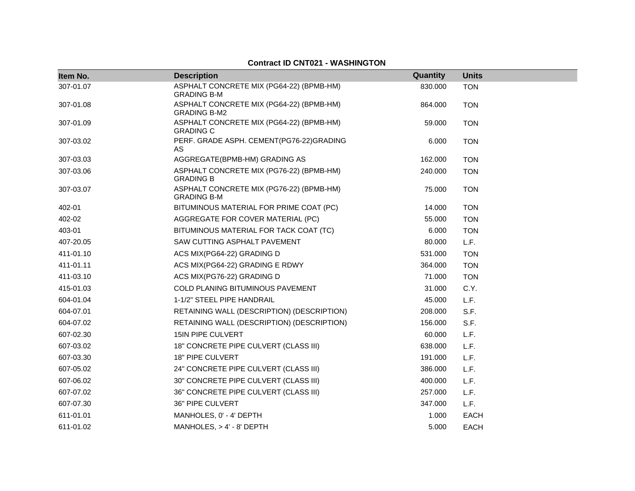| Item No.  | <b>Description</b>                                              | Quantity | <b>Units</b> |
|-----------|-----------------------------------------------------------------|----------|--------------|
| 307-01.07 | ASPHALT CONCRETE MIX (PG64-22) (BPMB-HM)<br><b>GRADING B-M</b>  | 830.000  | <b>TON</b>   |
| 307-01.08 | ASPHALT CONCRETE MIX (PG64-22) (BPMB-HM)<br><b>GRADING B-M2</b> | 864.000  | <b>TON</b>   |
| 307-01.09 | ASPHALT CONCRETE MIX (PG64-22) (BPMB-HM)<br><b>GRADING C</b>    | 59.000   | <b>TON</b>   |
| 307-03.02 | PERF. GRADE ASPH. CEMENT(PG76-22)GRADING<br>AS                  | 6.000    | <b>TON</b>   |
| 307-03.03 | AGGREGATE(BPMB-HM) GRADING AS                                   | 162.000  | <b>TON</b>   |
| 307-03.06 | ASPHALT CONCRETE MIX (PG76-22) (BPMB-HM)<br><b>GRADING B</b>    | 240.000  | <b>TON</b>   |
| 307-03.07 | ASPHALT CONCRETE MIX (PG76-22) (BPMB-HM)<br><b>GRADING B-M</b>  | 75.000   | <b>TON</b>   |
| 402-01    | BITUMINOUS MATERIAL FOR PRIME COAT (PC)                         | 14.000   | <b>TON</b>   |
| 402-02    | AGGREGATE FOR COVER MATERIAL (PC)                               | 55.000   | <b>TON</b>   |
| 403-01    | BITUMINOUS MATERIAL FOR TACK COAT (TC)                          | 6.000    | <b>TON</b>   |
| 407-20.05 | SAW CUTTING ASPHALT PAVEMENT                                    | 80.000   | L.F.         |
| 411-01.10 | ACS MIX(PG64-22) GRADING D                                      | 531.000  | <b>TON</b>   |
| 411-01.11 | ACS MIX(PG64-22) GRADING E RDWY                                 | 364.000  | <b>TON</b>   |
| 411-03.10 | ACS MIX(PG76-22) GRADING D                                      | 71.000   | <b>TON</b>   |
| 415-01.03 | COLD PLANING BITUMINOUS PAVEMENT                                | 31.000   | C.Y.         |
| 604-01.04 | 1-1/2" STEEL PIPE HANDRAIL                                      | 45.000   | L.F.         |
| 604-07.01 | RETAINING WALL (DESCRIPTION) (DESCRIPTION)                      | 208.000  | S.F.         |
| 604-07.02 | RETAINING WALL (DESCRIPTION) (DESCRIPTION)                      | 156.000  | S.F.         |
| 607-02.30 | <b>15IN PIPE CULVERT</b>                                        | 60.000   | L.F.         |
| 607-03.02 | 18" CONCRETE PIPE CULVERT (CLASS III)                           | 638.000  | L.F.         |
| 607-03.30 | 18" PIPE CULVERT                                                | 191.000  | L.F.         |
| 607-05.02 | 24" CONCRETE PIPE CULVERT (CLASS III)                           | 386.000  | L.F.         |
| 607-06.02 | 30" CONCRETE PIPE CULVERT (CLASS III)                           | 400.000  | L.F.         |
| 607-07.02 | 36" CONCRETE PIPE CULVERT (CLASS III)                           | 257.000  | L.F.         |
| 607-07.30 | 36" PIPE CULVERT                                                | 347.000  | L.F.         |
| 611-01.01 | MANHOLES, 0' - 4' DEPTH                                         | 1.000    | <b>EACH</b>  |
| 611-01.02 | MANHOLES, $> 4' - 8'$ DEPTH                                     | 5.000    | <b>EACH</b>  |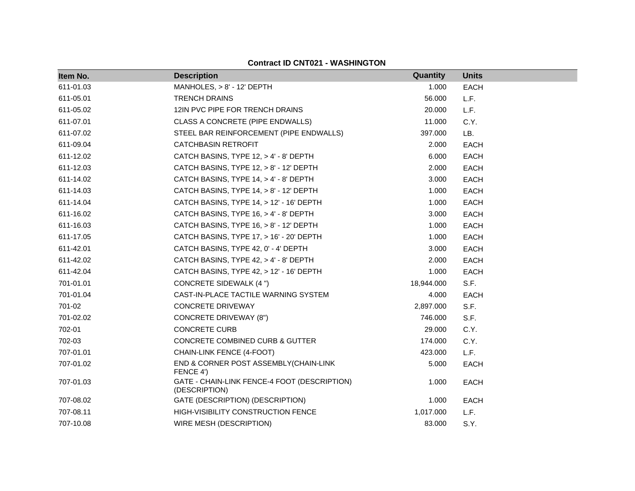| Item No.  | <b>Description</b>                                            | <b>Quantity</b> | <b>Units</b> |
|-----------|---------------------------------------------------------------|-----------------|--------------|
| 611-01.03 | MANHOLES, > 8' - 12' DEPTH                                    | 1.000           | <b>EACH</b>  |
| 611-05.01 | <b>TRENCH DRAINS</b>                                          | 56.000          | L.F.         |
| 611-05.02 | 12IN PVC PIPE FOR TRENCH DRAINS                               | 20.000          | L.F.         |
| 611-07.01 | CLASS A CONCRETE (PIPE ENDWALLS)                              | 11.000          | C.Y.         |
| 611-07.02 | STEEL BAR REINFORCEMENT (PIPE ENDWALLS)                       | 397.000         | LB.          |
| 611-09.04 | <b>CATCHBASIN RETROFIT</b>                                    | 2.000           | <b>EACH</b>  |
| 611-12.02 | CATCH BASINS, TYPE 12, > 4' - 8' DEPTH                        | 6.000           | EACH         |
| 611-12.03 | CATCH BASINS, TYPE 12, > 8' - 12' DEPTH                       | 2.000           | <b>EACH</b>  |
| 611-14.02 | CATCH BASINS, TYPE 14, > 4' - 8' DEPTH                        | 3.000           | <b>EACH</b>  |
| 611-14.03 | CATCH BASINS, TYPE 14, > 8' - 12' DEPTH                       | 1.000           | <b>EACH</b>  |
| 611-14.04 | CATCH BASINS, TYPE 14, > 12' - 16' DEPTH                      | 1.000           | <b>EACH</b>  |
| 611-16.02 | CATCH BASINS, TYPE 16, > 4' - 8' DEPTH                        | 3.000           | <b>EACH</b>  |
| 611-16.03 | CATCH BASINS, TYPE 16, > 8' - 12' DEPTH                       | 1.000           | <b>EACH</b>  |
| 611-17.05 | CATCH BASINS, TYPE 17, > 16' - 20' DEPTH                      | 1.000           | <b>EACH</b>  |
| 611-42.01 | CATCH BASINS, TYPE 42, 0' - 4' DEPTH                          | 3.000           | EACH         |
| 611-42.02 | CATCH BASINS, TYPE 42, > 4' - 8' DEPTH                        | 2.000           | <b>EACH</b>  |
| 611-42.04 | CATCH BASINS, TYPE 42, > 12' - 16' DEPTH                      | 1.000           | <b>EACH</b>  |
| 701-01.01 | CONCRETE SIDEWALK (4 ")                                       | 18,944.000      | S.F.         |
| 701-01.04 | CAST-IN-PLACE TACTILE WARNING SYSTEM                          | 4.000           | <b>EACH</b>  |
| 701-02    | <b>CONCRETE DRIVEWAY</b>                                      | 2,897.000       | S.F.         |
| 701-02.02 | <b>CONCRETE DRIVEWAY (8")</b>                                 | 746.000         | S.F.         |
| 702-01    | <b>CONCRETE CURB</b>                                          | 29.000          | C.Y.         |
| 702-03    | CONCRETE COMBINED CURB & GUTTER                               | 174.000         | C.Y.         |
| 707-01.01 | CHAIN-LINK FENCE (4-FOOT)                                     | 423.000         | L.F.         |
| 707-01.02 | END & CORNER POST ASSEMBLY(CHAIN-LINK<br>FENCE 4')            | 5.000           | <b>EACH</b>  |
| 707-01.03 | GATE - CHAIN-LINK FENCE-4 FOOT (DESCRIPTION)<br>(DESCRIPTION) | 1.000           | <b>EACH</b>  |
| 707-08.02 | GATE (DESCRIPTION) (DESCRIPTION)                              | 1.000           | <b>EACH</b>  |
| 707-08.11 | HIGH-VISIBILITY CONSTRUCTION FENCE                            | 1,017.000       | L.F.         |
| 707-10.08 | WIRE MESH (DESCRIPTION)                                       | 83.000          | S.Y.         |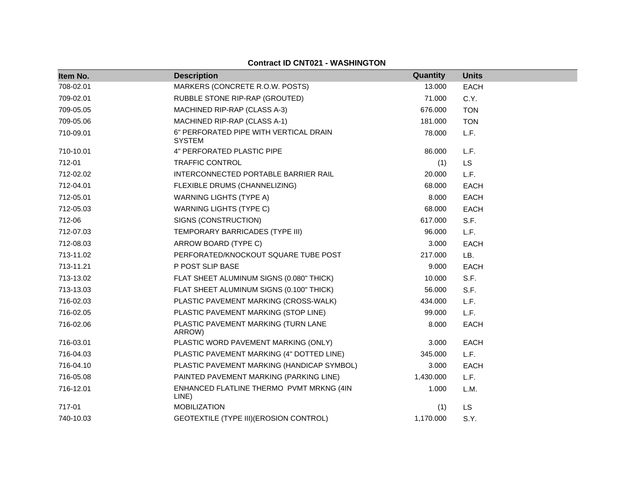| <b>Contract ID CNT021 - WASHINGTON</b> |  |
|----------------------------------------|--|
|----------------------------------------|--|

| Item No.  | <b>Description</b>                                      | Quantity  | <b>Units</b> |
|-----------|---------------------------------------------------------|-----------|--------------|
| 708-02.01 | MARKERS (CONCRETE R.O.W. POSTS)                         | 13.000    | EACH         |
| 709-02.01 | RUBBLE STONE RIP-RAP (GROUTED)                          | 71.000    | C.Y.         |
| 709-05.05 | MACHINED RIP-RAP (CLASS A-3)                            | 676.000   | <b>TON</b>   |
| 709-05.06 | MACHINED RIP-RAP (CLASS A-1)                            | 181.000   | <b>TON</b>   |
| 710-09.01 | 6" PERFORATED PIPE WITH VERTICAL DRAIN<br><b>SYSTEM</b> | 78.000    | L.F.         |
| 710-10.01 | 4" PERFORATED PLASTIC PIPE                              | 86.000    | L.F.         |
| 712-01    | <b>TRAFFIC CONTROL</b>                                  | (1)       | <b>LS</b>    |
| 712-02.02 | INTERCONNECTED PORTABLE BARRIER RAIL                    | 20.000    | L.F.         |
| 712-04.01 | FLEXIBLE DRUMS (CHANNELIZING)                           | 68.000    | <b>EACH</b>  |
| 712-05.01 | <b>WARNING LIGHTS (TYPE A)</b>                          | 8.000     | EACH         |
| 712-05.03 | <b>WARNING LIGHTS (TYPE C)</b>                          | 68.000    | <b>EACH</b>  |
| 712-06    | SIGNS (CONSTRUCTION)                                    | 617.000   | S.F.         |
| 712-07.03 | TEMPORARY BARRICADES (TYPE III)                         | 96.000    | L.F.         |
| 712-08.03 | ARROW BOARD (TYPE C)                                    | 3.000     | <b>EACH</b>  |
| 713-11.02 | PERFORATED/KNOCKOUT SQUARE TUBE POST                    | 217.000   | LB.          |
| 713-11.21 | P POST SLIP BASE                                        | 9.000     | <b>EACH</b>  |
| 713-13.02 | FLAT SHEET ALUMINUM SIGNS (0.080" THICK)                | 10.000    | S.F.         |
| 713-13.03 | FLAT SHEET ALUMINUM SIGNS (0.100" THICK)                | 56.000    | S.F.         |
| 716-02.03 | PLASTIC PAVEMENT MARKING (CROSS-WALK)                   | 434.000   | L.F.         |
| 716-02.05 | PLASTIC PAVEMENT MARKING (STOP LINE)                    | 99.000    | L.F.         |
| 716-02.06 | PLASTIC PAVEMENT MARKING (TURN LANE<br>ARROW)           | 8.000     | EACH         |
| 716-03.01 | PLASTIC WORD PAVEMENT MARKING (ONLY)                    | 3.000     | <b>EACH</b>  |
| 716-04.03 | PLASTIC PAVEMENT MARKING (4" DOTTED LINE)               | 345.000   | L.F.         |
| 716-04.10 | PLASTIC PAVEMENT MARKING (HANDICAP SYMBOL)              | 3.000     | <b>EACH</b>  |
| 716-05.08 | PAINTED PAVEMENT MARKING (PARKING LINE)                 | 1,430.000 | L.F.         |
| 716-12.01 | ENHANCED FLATLINE THERMO PVMT MRKNG (4IN<br>LINE)       | 1.000     | L.M.         |
| 717-01    | <b>MOBILIZATION</b>                                     | (1)       | LS           |
| 740-10.03 | GEOTEXTILE (TYPE III) (EROSION CONTROL)                 | 1,170.000 | S.Y.         |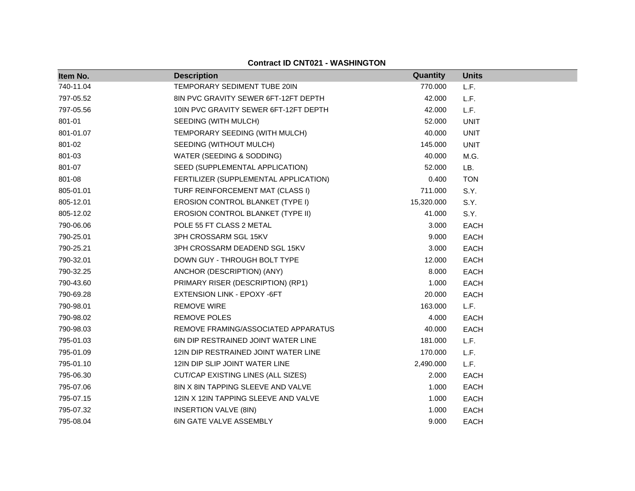| Item No.  | <b>Description</b>                         | Quantity   | <b>Units</b> |
|-----------|--------------------------------------------|------------|--------------|
| 740-11.04 | TEMPORARY SEDIMENT TUBE 20IN               | 770.000    | L.F.         |
| 797-05.52 | 8IN PVC GRAVITY SEWER 6FT-12FT DEPTH       | 42.000     | L.F.         |
| 797-05.56 | 10IN PVC GRAVITY SEWER 6FT-12FT DEPTH      | 42.000     | L.F.         |
| 801-01    | SEEDING (WITH MULCH)                       | 52.000     | <b>UNIT</b>  |
| 801-01.07 | TEMPORARY SEEDING (WITH MULCH)             | 40.000     | <b>UNIT</b>  |
| 801-02    | SEEDING (WITHOUT MULCH)                    | 145.000    | <b>UNIT</b>  |
| 801-03    | WATER (SEEDING & SODDING)                  | 40.000     | M.G.         |
| 801-07    | SEED (SUPPLEMENTAL APPLICATION)            | 52.000     | LB.          |
| 801-08    | FERTILIZER (SUPPLEMENTAL APPLICATION)      | 0.400      | <b>TON</b>   |
| 805-01.01 | TURF REINFORCEMENT MAT (CLASS I)           | 711.000    | S.Y.         |
| 805-12.01 | EROSION CONTROL BLANKET (TYPE I)           | 15,320.000 | S.Y.         |
| 805-12.02 | EROSION CONTROL BLANKET (TYPE II)          | 41.000     | S.Y.         |
| 790-06.06 | POLE 55 FT CLASS 2 METAL                   | 3.000      | <b>EACH</b>  |
| 790-25.01 | 3PH CROSSARM SGL 15KV                      | 9.000      | <b>EACH</b>  |
| 790-25.21 | 3PH CROSSARM DEADEND SGL 15KV              | 3.000      | <b>EACH</b>  |
| 790-32.01 | DOWN GUY - THROUGH BOLT TYPE               | 12.000     | <b>EACH</b>  |
| 790-32.25 | ANCHOR (DESCRIPTION) (ANY)                 | 8.000      | <b>EACH</b>  |
| 790-43.60 | PRIMARY RISER (DESCRIPTION) (RP1)          | 1.000      | <b>EACH</b>  |
| 790-69.28 | EXTENSION LINK - EPOXY -6FT                | 20.000     | EACH         |
| 790-98.01 | <b>REMOVE WIRE</b>                         | 163.000    | L.F.         |
| 790-98.02 | <b>REMOVE POLES</b>                        | 4.000      | EACH         |
| 790-98.03 | REMOVE FRAMING/ASSOCIATED APPARATUS        | 40.000     | EACH         |
| 795-01.03 | <b>6IN DIP RESTRAINED JOINT WATER LINE</b> | 181.000    | L.F.         |
| 795-01.09 | 12IN DIP RESTRAINED JOINT WATER LINE       | 170.000    | L.F.         |
| 795-01.10 | 12IN DIP SLIP JOINT WATER LINE             | 2,490.000  | L.F.         |
| 795-06.30 | CUT/CAP EXISTING LINES (ALL SIZES)         | 2.000      | EACH         |
| 795-07.06 | 8IN X 8IN TAPPING SLEEVE AND VALVE         | 1.000      | EACH         |
| 795-07.15 | 12IN X 12IN TAPPING SLEEVE AND VALVE       | 1.000      | <b>EACH</b>  |
| 795-07.32 | <b>INSERTION VALVE (8IN)</b>               | 1.000      | <b>EACH</b>  |
| 795-08.04 | <b>6IN GATE VALVE ASSEMBLY</b>             | 9.000      | <b>EACH</b>  |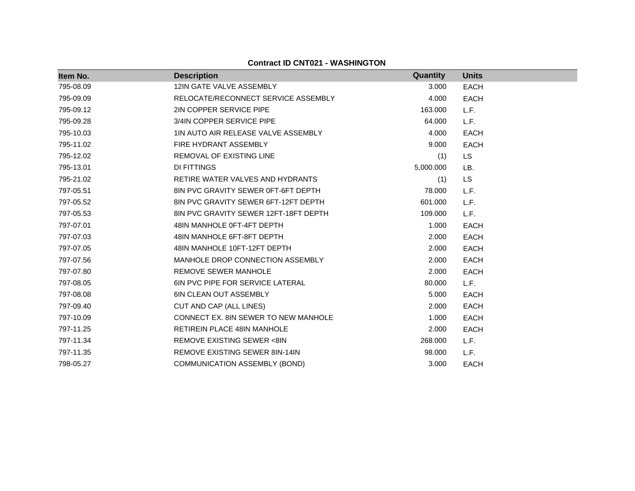| Item No.  | <b>Description</b>                      | Quantity  | <b>Units</b> |
|-----------|-----------------------------------------|-----------|--------------|
| 795-08.09 | 12IN GATE VALVE ASSEMBLY                | 3.000     | <b>EACH</b>  |
| 795-09.09 | RELOCATE/RECONNECT SERVICE ASSEMBLY     | 4.000     | <b>EACH</b>  |
| 795-09.12 | 2IN COPPER SERVICE PIPE                 | 163.000   | L.F.         |
| 795-09.28 | 3/4IN COPPER SERVICE PIPE               | 64.000    | L.F.         |
| 795-10.03 | 1IN AUTO AIR RELEASE VALVE ASSEMBLY     | 4.000     | <b>EACH</b>  |
| 795-11.02 | FIRE HYDRANT ASSEMBLY                   | 9.000     | <b>EACH</b>  |
| 795-12.02 | <b>REMOVAL OF EXISTING LINE</b>         | (1)       | <b>LS</b>    |
| 795-13.01 | DI FITTINGS                             | 5,000.000 | LB.          |
| 795-21.02 | RETIRE WATER VALVES AND HYDRANTS        | (1)       | <b>LS</b>    |
| 797-05.51 | 8IN PVC GRAVITY SEWER 0FT-6FT DEPTH     | 78.000    | L.F.         |
| 797-05.52 | 8IN PVC GRAVITY SEWER 6FT-12FT DEPTH    | 601.000   | L.F.         |
| 797-05.53 | 8IN PVC GRAVITY SEWER 12FT-18FT DEPTH   | 109.000   | L.F.         |
| 797-07.01 | 48IN MANHOLE 0FT-4FT DEPTH              | 1.000     | <b>EACH</b>  |
| 797-07.03 | 48IN MANHOLE 6FT-8FT DEPTH              | 2.000     | <b>EACH</b>  |
| 797-07.05 | 48IN MANHOLE 10FT-12FT DEPTH            | 2.000     | <b>EACH</b>  |
| 797-07.56 | MANHOLE DROP CONNECTION ASSEMBLY        | 2.000     | <b>EACH</b>  |
| 797-07.80 | REMOVE SEWER MANHOLE                    | 2.000     | <b>EACH</b>  |
| 797-08.05 | <b>6IN PVC PIPE FOR SERVICE LATERAL</b> | 80.000    | L.F.         |
| 797-08.08 | <b>6IN CLEAN OUT ASSEMBLY</b>           | 5.000     | <b>EACH</b>  |
| 797-09.40 | CUT AND CAP (ALL LINES)                 | 2.000     | <b>EACH</b>  |
| 797-10.09 | CONNECT EX. 8IN SEWER TO NEW MANHOLE    | 1.000     | <b>EACH</b>  |
| 797-11.25 | <b>RETIREIN PLACE 48IN MANHOLE</b>      | 2.000     | <b>EACH</b>  |
| 797-11.34 | REMOVE EXISTING SEWER <8IN              | 268.000   | L.F.         |
| 797-11.35 | REMOVE EXISTING SEWER 8IN-14IN          | 98.000    | L.F.         |
| 798-05.27 | COMMUNICATION ASSEMBLY (BOND)           | 3.000     | <b>EACH</b>  |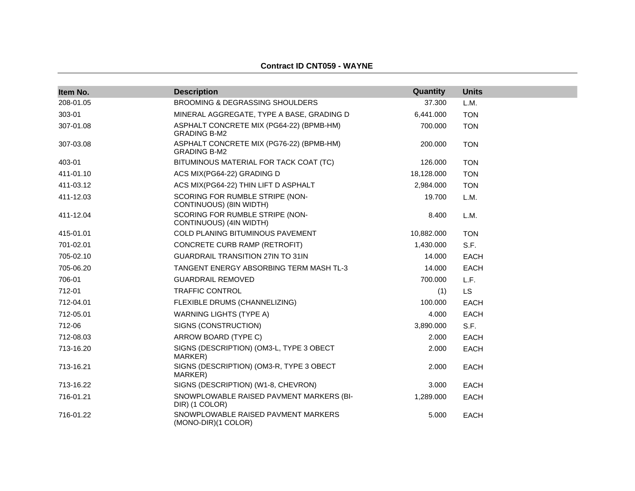#### **Contract ID CNT059 - WAYNE**

| Item No.  | <b>Description</b>                                              | <b>Quantity</b> | <b>Units</b> |
|-----------|-----------------------------------------------------------------|-----------------|--------------|
| 208-01.05 | <b>BROOMING &amp; DEGRASSING SHOULDERS</b>                      | 37.300          | L.M.         |
| 303-01    | MINERAL AGGREGATE, TYPE A BASE, GRADING D                       | 6,441.000       | <b>TON</b>   |
| 307-01.08 | ASPHALT CONCRETE MIX (PG64-22) (BPMB-HM)<br><b>GRADING B-M2</b> | 700.000         | <b>TON</b>   |
| 307-03.08 | ASPHALT CONCRETE MIX (PG76-22) (BPMB-HM)<br><b>GRADING B-M2</b> | 200.000         | <b>TON</b>   |
| 403-01    | BITUMINOUS MATERIAL FOR TACK COAT (TC)                          | 126.000         | <b>TON</b>   |
| 411-01.10 | ACS MIX(PG64-22) GRADING D                                      | 18,128.000      | <b>TON</b>   |
| 411-03.12 | ACS MIX(PG64-22) THIN LIFT D ASPHALT                            | 2,984.000       | <b>TON</b>   |
| 411-12.03 | SCORING FOR RUMBLE STRIPE (NON-<br>CONTINUOUS) (8IN WIDTH)      | 19.700          | L.M.         |
| 411-12.04 | SCORING FOR RUMBLE STRIPE (NON-<br>CONTINUOUS) (4IN WIDTH)      | 8.400           | L.M.         |
| 415-01.01 | COLD PLANING BITUMINOUS PAVEMENT                                | 10,882.000      | <b>TON</b>   |
| 701-02.01 | CONCRETE CURB RAMP (RETROFIT)                                   | 1,430.000       | S.F.         |
| 705-02.10 | <b>GUARDRAIL TRANSITION 27IN TO 31IN</b>                        | 14.000          | <b>EACH</b>  |
| 705-06.20 | TANGENT ENERGY ABSORBING TERM MASH TL-3                         | 14.000          | <b>EACH</b>  |
| 706-01    | <b>GUARDRAIL REMOVED</b>                                        | 700.000         | L.F.         |
| 712-01    | <b>TRAFFIC CONTROL</b>                                          | (1)             | <b>LS</b>    |
| 712-04.01 | FLEXIBLE DRUMS (CHANNELIZING)                                   | 100.000         | <b>EACH</b>  |
| 712-05.01 | <b>WARNING LIGHTS (TYPE A)</b>                                  | 4.000           | <b>EACH</b>  |
| 712-06    | SIGNS (CONSTRUCTION)                                            | 3,890.000       | S.F.         |
| 712-08.03 | ARROW BOARD (TYPE C)                                            | 2.000           | <b>EACH</b>  |
| 713-16.20 | SIGNS (DESCRIPTION) (OM3-L, TYPE 3 OBECT<br>MARKER)             | 2.000           | EACH         |
| 713-16.21 | SIGNS (DESCRIPTION) (OM3-R, TYPE 3 OBECT<br>MARKER)             | 2.000           | EACH         |
| 713-16.22 | SIGNS (DESCRIPTION) (W1-8, CHEVRON)                             | 3.000           | <b>EACH</b>  |
| 716-01.21 | SNOWPLOWABLE RAISED PAVMENT MARKERS (BI-<br>DIR) (1 COLOR)      | 1,289.000       | <b>EACH</b>  |
| 716-01.22 | SNOWPLOWABLE RAISED PAVMENT MARKERS<br>(MONO-DIR)(1 COLOR)      | 5.000           | <b>EACH</b>  |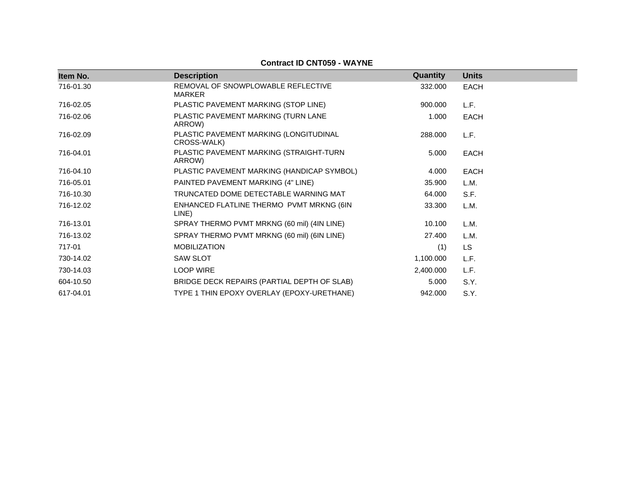| Item No.  | <b>Description</b>                                    | Quantity  | <b>Units</b> |
|-----------|-------------------------------------------------------|-----------|--------------|
| 716-01.30 | REMOVAL OF SNOWPLOWABLE REFLECTIVE<br><b>MARKER</b>   | 332.000   | <b>EACH</b>  |
| 716-02.05 | PLASTIC PAVEMENT MARKING (STOP LINE)                  | 900,000   | L.F.         |
| 716-02.06 | PLASTIC PAVEMENT MARKING (TURN LANE<br>ARROW)         | 1.000     | <b>EACH</b>  |
| 716-02.09 | PLASTIC PAVEMENT MARKING (LONGITUDINAL<br>CROSS-WALK) | 288,000   | L.F.         |
| 716-04.01 | PLASTIC PAVEMENT MARKING (STRAIGHT-TURN<br>ARROW)     | 5.000     | <b>EACH</b>  |
| 716-04.10 | PLASTIC PAVEMENT MARKING (HANDICAP SYMBOL)            | 4.000     | <b>EACH</b>  |
| 716-05.01 | PAINTED PAVEMENT MARKING (4" LINE)                    | 35.900    | L.M.         |
| 716-10.30 | TRUNCATED DOME DETECTABLE WARNING MAT                 | 64.000    | S.F.         |
| 716-12.02 | ENHANCED FLATLINE THERMO PVMT MRKNG (6IN<br>LINE)     | 33.300    | L.M.         |
| 716-13.01 | SPRAY THERMO PVMT MRKNG (60 mil) (4IN LINE)           | 10.100    | L.M.         |
| 716-13.02 | SPRAY THERMO PVMT MRKNG (60 mil) (6IN LINE)           | 27.400    | L.M.         |
| 717-01    | <b>MOBILIZATION</b>                                   | (1)       | <b>LS</b>    |
| 730-14.02 | <b>SAW SLOT</b>                                       | 1,100.000 | L.F.         |
| 730-14.03 | <b>LOOP WIRE</b>                                      | 2,400.000 | L.F.         |
| 604-10.50 | BRIDGE DECK REPAIRS (PARTIAL DEPTH OF SLAB)           | 5.000     | S.Y.         |
| 617-04.01 | TYPE 1 THIN EPOXY OVERLAY (EPOXY-URETHANE)            | 942.000   | S.Y.         |

## **Contract ID CNT059 - WAYNE**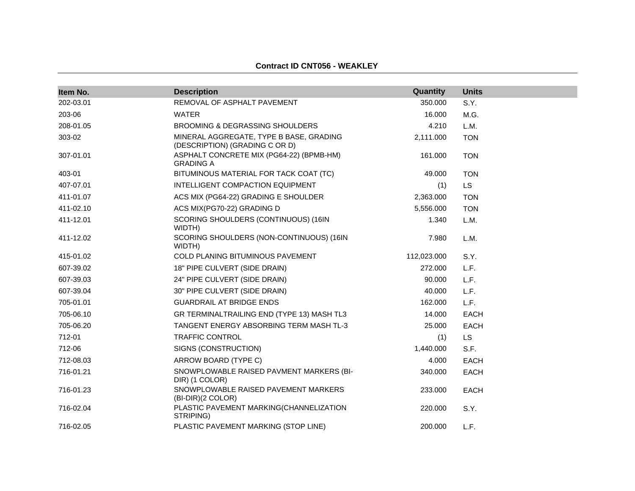| Item No.  | <b>Description</b>                                                        | Quantity    | <b>Units</b> |
|-----------|---------------------------------------------------------------------------|-------------|--------------|
| 202-03.01 | REMOVAL OF ASPHALT PAVEMENT                                               | 350.000     | S.Y.         |
| 203-06    | <b>WATER</b>                                                              | 16.000      | M.G.         |
| 208-01.05 | <b>BROOMING &amp; DEGRASSING SHOULDERS</b>                                | 4.210       | L.M.         |
| 303-02    | MINERAL AGGREGATE, TYPE B BASE, GRADING<br>(DESCRIPTION) (GRADING C OR D) | 2,111.000   | <b>TON</b>   |
| 307-01.01 | ASPHALT CONCRETE MIX (PG64-22) (BPMB-HM)<br><b>GRADING A</b>              | 161.000     | <b>TON</b>   |
| 403-01    | BITUMINOUS MATERIAL FOR TACK COAT (TC)                                    | 49.000      | <b>TON</b>   |
| 407-07.01 | INTELLIGENT COMPACTION EQUIPMENT                                          | (1)         | <b>LS</b>    |
| 411-01.07 | ACS MIX (PG64-22) GRADING E SHOULDER                                      | 2,363.000   | <b>TON</b>   |
| 411-02.10 | ACS MIX(PG70-22) GRADING D                                                | 5,556.000   | <b>TON</b>   |
| 411-12.01 | SCORING SHOULDERS (CONTINUOUS) (16IN<br>WIDTH)                            | 1.340       | L.M.         |
| 411-12.02 | SCORING SHOULDERS (NON-CONTINUOUS) (16IN<br><b>WIDTH)</b>                 | 7.980       | L.M.         |
| 415-01.02 | <b>COLD PLANING BITUMINOUS PAVEMENT</b>                                   | 112,023.000 | S.Y.         |
| 607-39.02 | 18" PIPE CULVERT (SIDE DRAIN)                                             | 272.000     | L.F.         |
| 607-39.03 | 24" PIPE CULVERT (SIDE DRAIN)                                             | 90.000      | L.F.         |
| 607-39.04 | 30" PIPE CULVERT (SIDE DRAIN)                                             | 40.000      | L.F.         |
| 705-01.01 | <b>GUARDRAIL AT BRIDGE ENDS</b>                                           | 162.000     | L.F.         |
| 705-06.10 | GR TERMINALTRAILING END (TYPE 13) MASH TL3                                | 14.000      | <b>EACH</b>  |
| 705-06.20 | TANGENT ENERGY ABSORBING TERM MASH TL-3                                   | 25.000      | <b>EACH</b>  |
| 712-01    | <b>TRAFFIC CONTROL</b>                                                    | (1)         | <b>LS</b>    |
| 712-06    | SIGNS (CONSTRUCTION)                                                      | 1,440.000   | S.F.         |
| 712-08.03 | ARROW BOARD (TYPE C)                                                      | 4.000       | EACH         |
| 716-01.21 | SNOWPLOWABLE RAISED PAVMENT MARKERS (BI-<br>DIR) (1 COLOR)                | 340.000     | <b>EACH</b>  |
| 716-01.23 | SNOWPLOWABLE RAISED PAVEMENT MARKERS<br>(BI-DIR)(2 COLOR)                 | 233.000     | <b>EACH</b>  |
| 716-02.04 | PLASTIC PAVEMENT MARKING(CHANNELIZATION<br>STRIPING)                      | 220.000     | S.Y.         |
| 716-02.05 | PLASTIC PAVEMENT MARKING (STOP LINE)                                      | 200.000     | L.F.         |

#### **Contract ID CNT056 - WEAKLEY**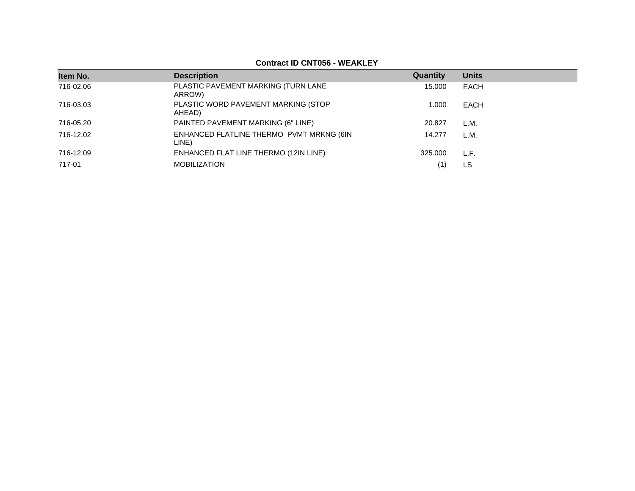## **Contract ID CNT056 - WEAKLEY**

| Item No.  | <b>Description</b>                                | Quantity | <b>Units</b> |
|-----------|---------------------------------------------------|----------|--------------|
| 716-02.06 | PLASTIC PAVEMENT MARKING (TURN LANE<br>ARROW)     | 15.000   | <b>EACH</b>  |
| 716-03.03 | PLASTIC WORD PAVEMENT MARKING (STOP<br>AHEAD)     | 1.000    | <b>EACH</b>  |
| 716-05.20 | PAINTED PAVEMENT MARKING (6" LINE)                | 20.827   | L.M.         |
| 716-12.02 | ENHANCED FLATLINE THERMO PVMT MRKNG (6IN<br>LINE) | 14.277   | L.M.         |
| 716-12.09 | ENHANCED FLAT LINE THERMO (12IN LINE)             | 325,000  | L.F.         |
| 717-01    | <b>MOBILIZATION</b>                               | (1       | LS           |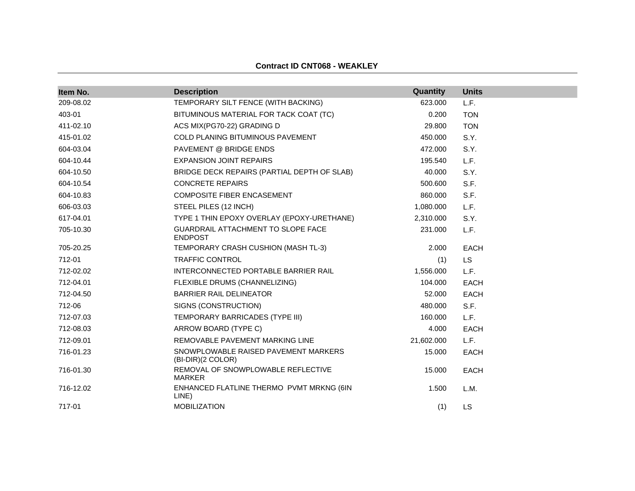| Item No.  | <b>Description</b>                                        | Quantity   | <b>Units</b> |
|-----------|-----------------------------------------------------------|------------|--------------|
| 209-08.02 | TEMPORARY SILT FENCE (WITH BACKING)                       | 623.000    | L.F.         |
| 403-01    | BITUMINOUS MATERIAL FOR TACK COAT (TC)                    | 0.200      | <b>TON</b>   |
| 411-02.10 | ACS MIX(PG70-22) GRADING D                                | 29.800     | <b>TON</b>   |
| 415-01.02 | <b>COLD PLANING BITUMINOUS PAVEMENT</b>                   | 450.000    | S.Y.         |
| 604-03.04 | PAVEMENT @ BRIDGE ENDS                                    | 472.000    | S.Y.         |
| 604-10.44 | <b>EXPANSION JOINT REPAIRS</b>                            | 195.540    | L.F.         |
| 604-10.50 | BRIDGE DECK REPAIRS (PARTIAL DEPTH OF SLAB)               | 40.000     | S.Y.         |
| 604-10.54 | <b>CONCRETE REPAIRS</b>                                   | 500.600    | S.F.         |
| 604-10.83 | COMPOSITE FIBER ENCASEMENT                                | 860.000    | S.F.         |
| 606-03.03 | STEEL PILES (12 INCH)                                     | 1,080.000  | L.F.         |
| 617-04.01 | TYPE 1 THIN EPOXY OVERLAY (EPOXY-URETHANE)                | 2,310.000  | S.Y.         |
| 705-10.30 | GUARDRAIL ATTACHMENT TO SLOPE FACE<br><b>ENDPOST</b>      | 231.000    | L.F.         |
| 705-20.25 | TEMPORARY CRASH CUSHION (MASH TL-3)                       | 2.000      | <b>EACH</b>  |
| 712-01    | <b>TRAFFIC CONTROL</b>                                    | (1)        | <b>LS</b>    |
| 712-02.02 | INTERCONNECTED PORTABLE BARRIER RAIL                      | 1,556.000  | L.F.         |
| 712-04.01 | FLEXIBLE DRUMS (CHANNELIZING)                             | 104.000    | EACH         |
| 712-04.50 | <b>BARRIER RAIL DELINEATOR</b>                            | 52.000     | <b>EACH</b>  |
| 712-06    | SIGNS (CONSTRUCTION)                                      | 480.000    | S.F.         |
| 712-07.03 | TEMPORARY BARRICADES (TYPE III)                           | 160.000    | L.F.         |
| 712-08.03 | ARROW BOARD (TYPE C)                                      | 4.000      | <b>EACH</b>  |
| 712-09.01 | REMOVABLE PAVEMENT MARKING LINE                           | 21,602.000 | L.F.         |
| 716-01.23 | SNOWPLOWABLE RAISED PAVEMENT MARKERS<br>(BI-DIR)(2 COLOR) | 15.000     | <b>EACH</b>  |
| 716-01.30 | REMOVAL OF SNOWPLOWABLE REFLECTIVE<br><b>MARKER</b>       | 15.000     | EACH         |
| 716-12.02 | ENHANCED FLATLINE THERMO PVMT MRKNG (6IN<br>LINE)         | 1.500      | L.M.         |
| 717-01    | <b>MOBILIZATION</b>                                       | (1)        | <b>LS</b>    |

#### **Contract ID CNT068 - WEAKLEY**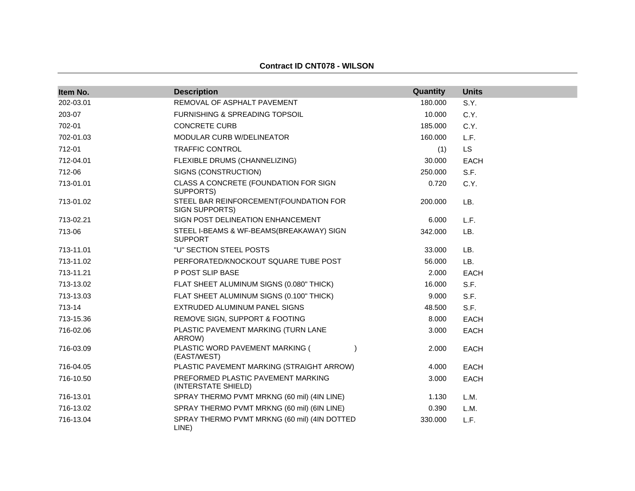#### **Contract ID CNT078 - WILSON**

| Item No.  | <b>Description</b>                                         | Quantity | <b>Units</b> |
|-----------|------------------------------------------------------------|----------|--------------|
| 202-03.01 | REMOVAL OF ASPHALT PAVEMENT                                | 180.000  | S.Y.         |
| 203-07    | <b>FURNISHING &amp; SPREADING TOPSOIL</b>                  | 10.000   | C.Y.         |
| 702-01    | <b>CONCRETE CURB</b>                                       | 185.000  | C.Y.         |
| 702-01.03 | MODULAR CURB W/DELINEATOR                                  | 160.000  | L.F.         |
| 712-01    | <b>TRAFFIC CONTROL</b>                                     | (1)      | LS           |
| 712-04.01 | FLEXIBLE DRUMS (CHANNELIZING)                              | 30.000   | <b>EACH</b>  |
| 712-06    | SIGNS (CONSTRUCTION)                                       | 250.000  | S.F.         |
| 713-01.01 | CLASS A CONCRETE (FOUNDATION FOR SIGN<br>SUPPORTS)         | 0.720    | C.Y.         |
| 713-01.02 | STEEL BAR REINFORCEMENT(FOUNDATION FOR<br>SIGN SUPPORTS)   | 200.000  | LB.          |
| 713-02.21 | SIGN POST DELINEATION ENHANCEMENT                          | 6.000    | L.F.         |
| 713-06    | STEEL I-BEAMS & WF-BEAMS(BREAKAWAY) SIGN<br><b>SUPPORT</b> | 342.000  | LB.          |
| 713-11.01 | "U" SECTION STEEL POSTS                                    | 33.000   | LB.          |
| 713-11.02 | PERFORATED/KNOCKOUT SQUARE TUBE POST                       | 56.000   | LB.          |
| 713-11.21 | P POST SLIP BASE                                           | 2.000    | <b>EACH</b>  |
| 713-13.02 | FLAT SHEET ALUMINUM SIGNS (0.080" THICK)                   | 16.000   | S.F.         |
| 713-13.03 | FLAT SHEET ALUMINUM SIGNS (0.100" THICK)                   | 9.000    | S.F.         |
| 713-14    | EXTRUDED ALUMINUM PANEL SIGNS                              | 48.500   | S.F.         |
| 713-15.36 | REMOVE SIGN, SUPPORT & FOOTING                             | 8.000    | <b>EACH</b>  |
| 716-02.06 | PLASTIC PAVEMENT MARKING (TURN LANE<br>ARROW)              | 3.000    | <b>EACH</b>  |
| 716-03.09 | PLASTIC WORD PAVEMENT MARKING (<br>(EAST/WEST)             | 2.000    | <b>EACH</b>  |
| 716-04.05 | PLASTIC PAVEMENT MARKING (STRAIGHT ARROW)                  | 4.000    | <b>EACH</b>  |
| 716-10.50 | PREFORMED PLASTIC PAVEMENT MARKING<br>(INTERSTATE SHIELD)  | 3.000    | <b>EACH</b>  |
| 716-13.01 | SPRAY THERMO PVMT MRKNG (60 mil) (4IN LINE)                | 1.130    | L.M.         |
| 716-13.02 | SPRAY THERMO PVMT MRKNG (60 mil) (6IN LINE)                | 0.390    | L.M.         |
| 716-13.04 | SPRAY THERMO PVMT MRKNG (60 mil) (4IN DOTTED<br>LINE)      | 330.000  | L.F.         |